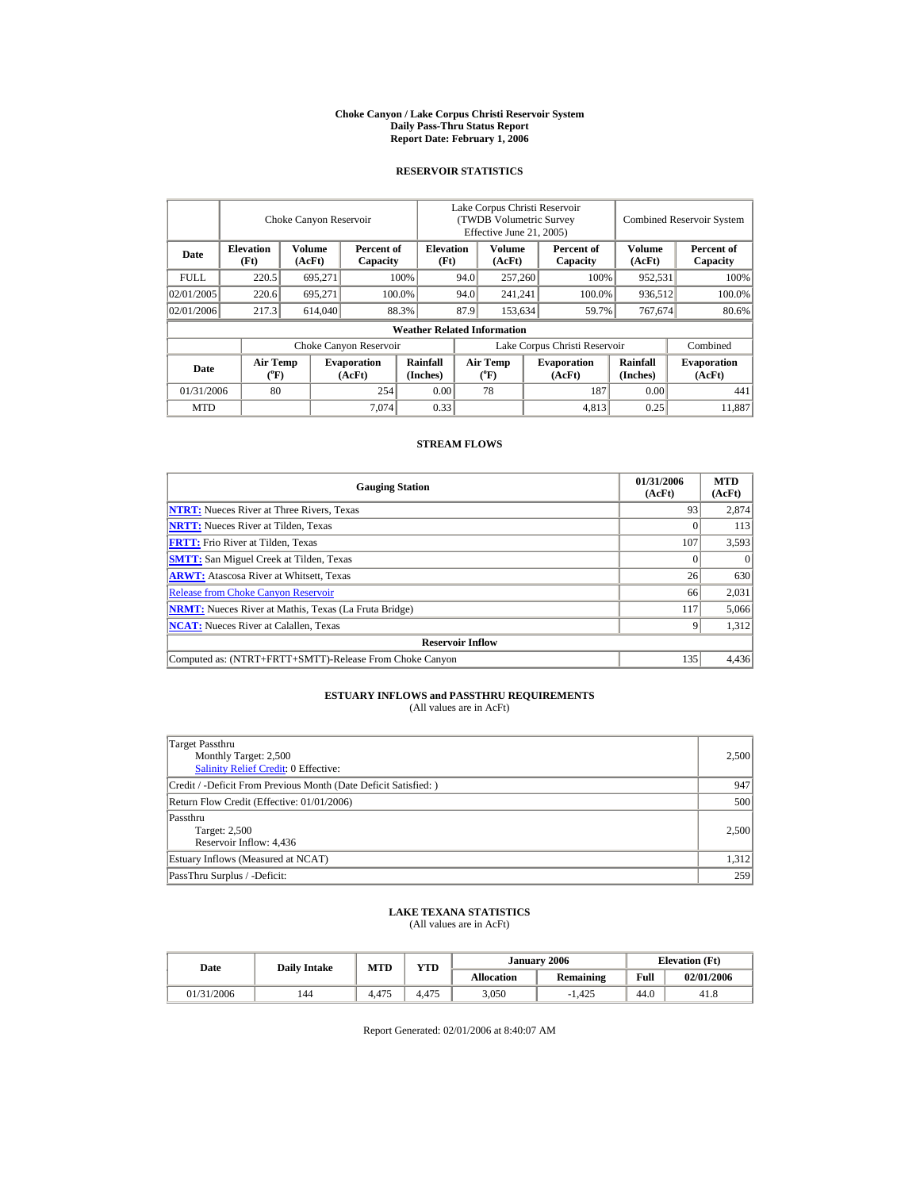#### **Choke Canyon / Lake Corpus Christi Reservoir System Daily Pass-Thru Status Report Report Date: February 1, 2006**

### **RESERVOIR STATISTICS**

|             |                                             | Choke Canyon Reservoir  |                              |                                                    | Lake Corpus Christi Reservoir<br>(TWDB Volumetric Survey<br>Effective June 21, 2005) |                                             |                                            |                              |                      | Combined Reservoir System    |
|-------------|---------------------------------------------|-------------------------|------------------------------|----------------------------------------------------|--------------------------------------------------------------------------------------|---------------------------------------------|--------------------------------------------|------------------------------|----------------------|------------------------------|
| Date        | <b>Elevation</b><br>(Ft)                    | <b>Volume</b><br>(AcFt) |                              | <b>Elevation</b><br>Percent of<br>(Ft)<br>Capacity |                                                                                      |                                             | Volume<br>Percent of<br>(AcFt)<br>Capacity |                              | Volume<br>(AcFt)     | Percent of<br>Capacity       |
| <b>FULL</b> | 220.5                                       | 695.271                 |                              | 100%<br>94.0                                       |                                                                                      |                                             | 257,260<br>100%                            |                              | 952,531              | 100%                         |
| 02/01/2005  | 220.6                                       | 695,271                 |                              | 100.0%                                             | 94.0                                                                                 | 241.241                                     |                                            | 100.0%                       | 936,512              | 100.0%                       |
| 02/01/2006  | 217.3                                       | 614,040                 |                              | 88.3%                                              | 87.9                                                                                 |                                             | 153,634                                    | 59.7%                        | 767,674              | 80.6%                        |
|             |                                             |                         |                              | <b>Weather Related Information</b>                 |                                                                                      |                                             |                                            |                              |                      |                              |
|             |                                             |                         | Choke Canyon Reservoir       |                                                    | Lake Corpus Christi Reservoir                                                        |                                             |                                            |                              |                      | Combined                     |
| Date        | <b>Air Temp</b><br>$({}^{\circ}\mathrm{F})$ |                         | <b>Evaporation</b><br>(AcFt) | Rainfall<br>(Inches)                               |                                                                                      | <b>Air Temp</b><br>$({}^{\circ}\mathrm{F})$ |                                            | <b>Evaporation</b><br>(AcFt) | Rainfall<br>(Inches) | <b>Evaporation</b><br>(AcFt) |
| 01/31/2006  | 80                                          |                         | 254                          | 0.00                                               |                                                                                      | 78                                          |                                            | 187                          | 0.00                 | 441                          |
| <b>MTD</b>  |                                             |                         | 7.074                        | 0.33                                               |                                                                                      |                                             |                                            | 4.813                        | 0.25                 | 11.887                       |

#### **STREAM FLOWS**

| <b>Gauging Station</b>                                       | 01/31/2006<br>(AcFt) | <b>MTD</b><br>(AcFt) |
|--------------------------------------------------------------|----------------------|----------------------|
| <b>NTRT:</b> Nueces River at Three Rivers, Texas             | 93                   | 2,874                |
| <b>NRTT:</b> Nueces River at Tilden, Texas                   |                      | 113                  |
| <b>FRTT:</b> Frio River at Tilden, Texas                     | 107                  | 3,593                |
| <b>SMTT:</b> San Miguel Creek at Tilden, Texas               |                      | $\Omega$             |
| <b>ARWT:</b> Atascosa River at Whitsett, Texas               | 26                   | 630                  |
| <b>Release from Choke Canyon Reservoir</b>                   | 66                   | 2,031                |
| <b>NRMT:</b> Nueces River at Mathis, Texas (La Fruta Bridge) | 117                  | 5,066                |
| <b>NCAT:</b> Nueces River at Calallen, Texas                 |                      | 1,312                |
| <b>Reservoir Inflow</b>                                      |                      |                      |
| Computed as: (NTRT+FRTT+SMTT)-Release From Choke Canyon      | 135                  | 4,436                |

## **ESTUARY INFLOWS and PASSTHRU REQUIREMENTS**<br>(All values are in AcFt)

| Target Passthru                                                 |       |
|-----------------------------------------------------------------|-------|
| Monthly Target: 2,500                                           | 2,500 |
| Salinity Relief Credit: 0 Effective:                            |       |
| Credit / -Deficit From Previous Month (Date Deficit Satisfied:) | 947   |
| Return Flow Credit (Effective: 01/01/2006)                      | 500   |
| Passthru                                                        |       |
| Target: 2,500                                                   | 2,500 |
| Reservoir Inflow: 4,436                                         |       |
| Estuary Inflows (Measured at NCAT)                              | 1,312 |
| PassThru Surplus / -Deficit:                                    | 259   |

## **LAKE TEXANA STATISTICS** (All values are in AcFt)

| Date       | <b>Daily Intake</b> | MTD   | <b>YTD</b> |                   | January 2006 | <b>Elevation</b> (Ft) |            |
|------------|---------------------|-------|------------|-------------------|--------------|-----------------------|------------|
|            |                     |       |            | <b>Allocation</b> | Remaining    | Full                  | 02/01/2006 |
| 01/31/2006 | 144                 | 4.475 | 4.475      | 3,050             | $-1,425$     | 44.0                  | 41.8       |

Report Generated: 02/01/2006 at 8:40:07 AM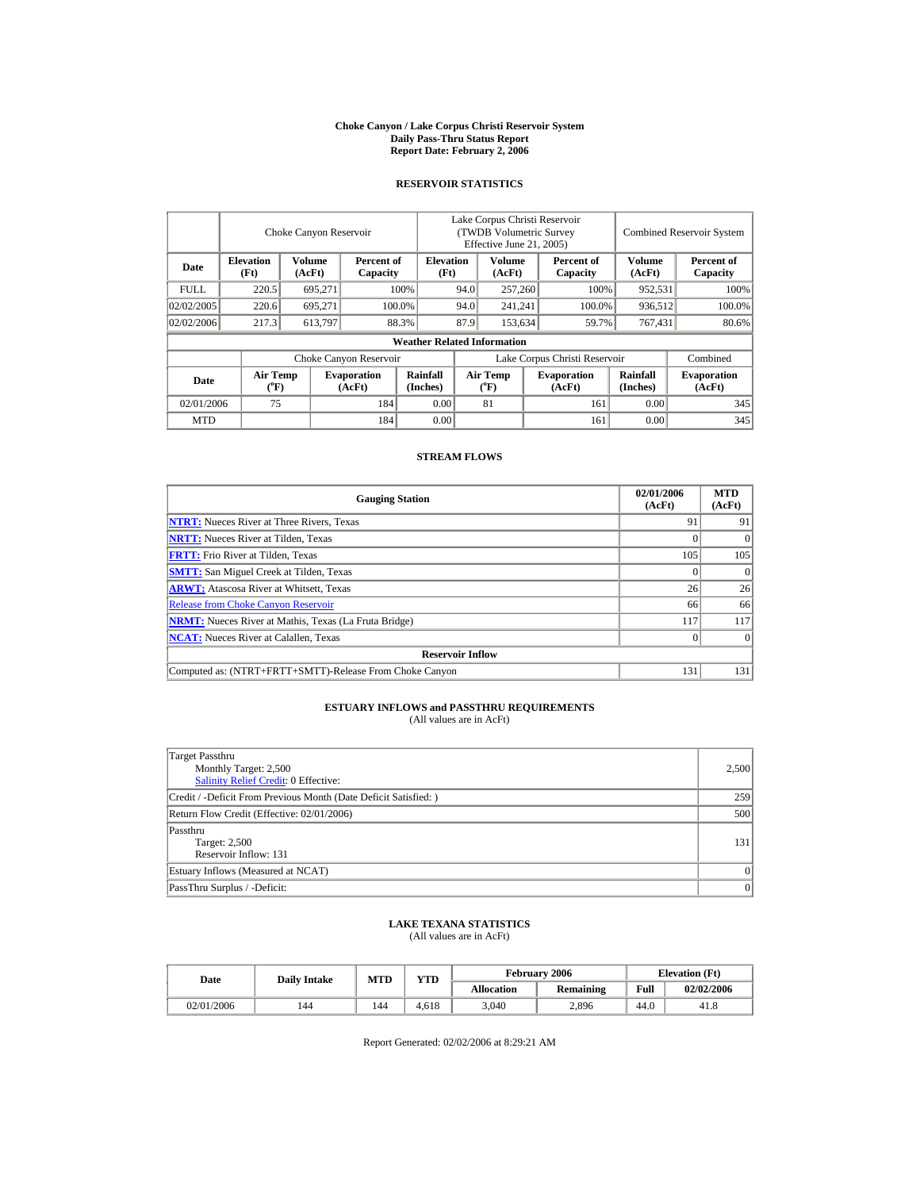#### **Choke Canyon / Lake Corpus Christi Reservoir System Daily Pass-Thru Status Report Report Date: February 2, 2006**

## **RESERVOIR STATISTICS**

l.

|             |                                      | Choke Canyon Reservoir  |                              |                                    | Lake Corpus Christi Reservoir<br>(TWDB Volumetric Survey)<br>Effective June 21, 2005) |                                |                  |                              |                         | <b>Combined Reservoir System</b> |
|-------------|--------------------------------------|-------------------------|------------------------------|------------------------------------|---------------------------------------------------------------------------------------|--------------------------------|------------------|------------------------------|-------------------------|----------------------------------|
| Date        | <b>Elevation</b><br>(Ft)             | <b>Volume</b><br>(AcFt) | Percent of<br>Capacity       |                                    | <b>Elevation</b><br>(Ft)                                                              |                                | Volume<br>(AcFt) | Percent of<br>Capacity       | <b>Volume</b><br>(AcFt) | Percent of<br>Capacity           |
| <b>FULL</b> | 220.5                                | 695.271                 |                              | 94.0<br>100%                       |                                                                                       | 257,260                        |                  | 100%                         | 952.531                 | 100%                             |
| 02/02/2005  | 220.6                                | 695.271                 |                              | 100.0%                             | 94.0<br>241.241                                                                       |                                |                  | 100.0%                       | 936.512                 | 100.0%                           |
| 02/02/2006  | 217.3                                | 613,797                 |                              | 88.3%                              | 87.9                                                                                  |                                | 153.634          | 59.7%                        | 767,431                 | 80.6%                            |
|             |                                      |                         |                              | <b>Weather Related Information</b> |                                                                                       |                                |                  |                              |                         |                                  |
|             |                                      |                         | Choke Canyon Reservoir       |                                    | Lake Corpus Christi Reservoir                                                         |                                |                  |                              |                         | Combined                         |
| Date        | Air Temp<br>$({}^{\circ}\mathrm{F})$ |                         | <b>Evaporation</b><br>(AcFt) | Rainfall<br>(Inches)               |                                                                                       | Air Temp<br>$({}^o\mathrm{F})$ |                  | <b>Evaporation</b><br>(AcFt) | Rainfall<br>(Inches)    | <b>Evaporation</b><br>(AcFt)     |
| 02/01/2006  | 75                                   |                         | 184                          | 0.00                               |                                                                                       | 81                             |                  | 161                          | 0.00                    | 345                              |
| <b>MTD</b>  |                                      |                         | 184                          | 0.00                               |                                                                                       |                                |                  | 161                          | 0.00                    | 345                              |

### **STREAM FLOWS**

| <b>Gauging Station</b>                                       | 02/01/2006<br>(AcFt) | <b>MTD</b><br>(AcFt) |
|--------------------------------------------------------------|----------------------|----------------------|
| <b>NTRT:</b> Nueces River at Three Rivers, Texas             | 91                   | 91                   |
| <b>NRTT:</b> Nueces River at Tilden, Texas                   |                      | $\Omega$             |
| <b>FRTT:</b> Frio River at Tilden, Texas                     | 105                  | 105                  |
| <b>SMTT:</b> San Miguel Creek at Tilden, Texas               |                      |                      |
| <b>ARWT:</b> Atascosa River at Whitsett, Texas               | 26                   | 26                   |
| <b>Release from Choke Canyon Reservoir</b>                   | 66                   | 66                   |
| <b>NRMT:</b> Nueces River at Mathis, Texas (La Fruta Bridge) | 117                  | 117                  |
| <b>NCAT:</b> Nueces River at Calallen, Texas                 |                      |                      |
| <b>Reservoir Inflow</b>                                      |                      |                      |
| Computed as: (NTRT+FRTT+SMTT)-Release From Choke Canyon      | 131                  | 131                  |

## **ESTUARY INFLOWS and PASSTHRU REQUIREMENTS**<br>(All values are in AcFt)

| Target Passthru<br>Monthly Target: 2,500<br><b>Salinity Relief Credit: 0 Effective:</b> | 2,500     |
|-----------------------------------------------------------------------------------------|-----------|
| Credit / -Deficit From Previous Month (Date Deficit Satisfied:)                         | 259       |
| Return Flow Credit (Effective: 02/01/2006)                                              | 500       |
| Passthru<br>Target: 2,500<br>Reservoir Inflow: 131                                      | 131       |
| Estuary Inflows (Measured at NCAT)                                                      | $\vert$ 0 |
| PassThru Surplus / -Deficit:                                                            | 0         |

## **LAKE TEXANA STATISTICS** (All values are in AcFt)

| <b>Daily Intake</b><br>Date |     | MTD | <b>YTD</b> |                   | <b>February 2006</b> | <b>Elevation</b> (Ft) |            |
|-----------------------------|-----|-----|------------|-------------------|----------------------|-----------------------|------------|
|                             |     |     |            | <b>Allocation</b> | <b>Remaining</b>     | Full                  | 02/02/2006 |
| 02/01/2006                  | 144 | 144 | 4.618      | 3.040             | 2.896                | 44.0                  | 41.8       |

Report Generated: 02/02/2006 at 8:29:21 AM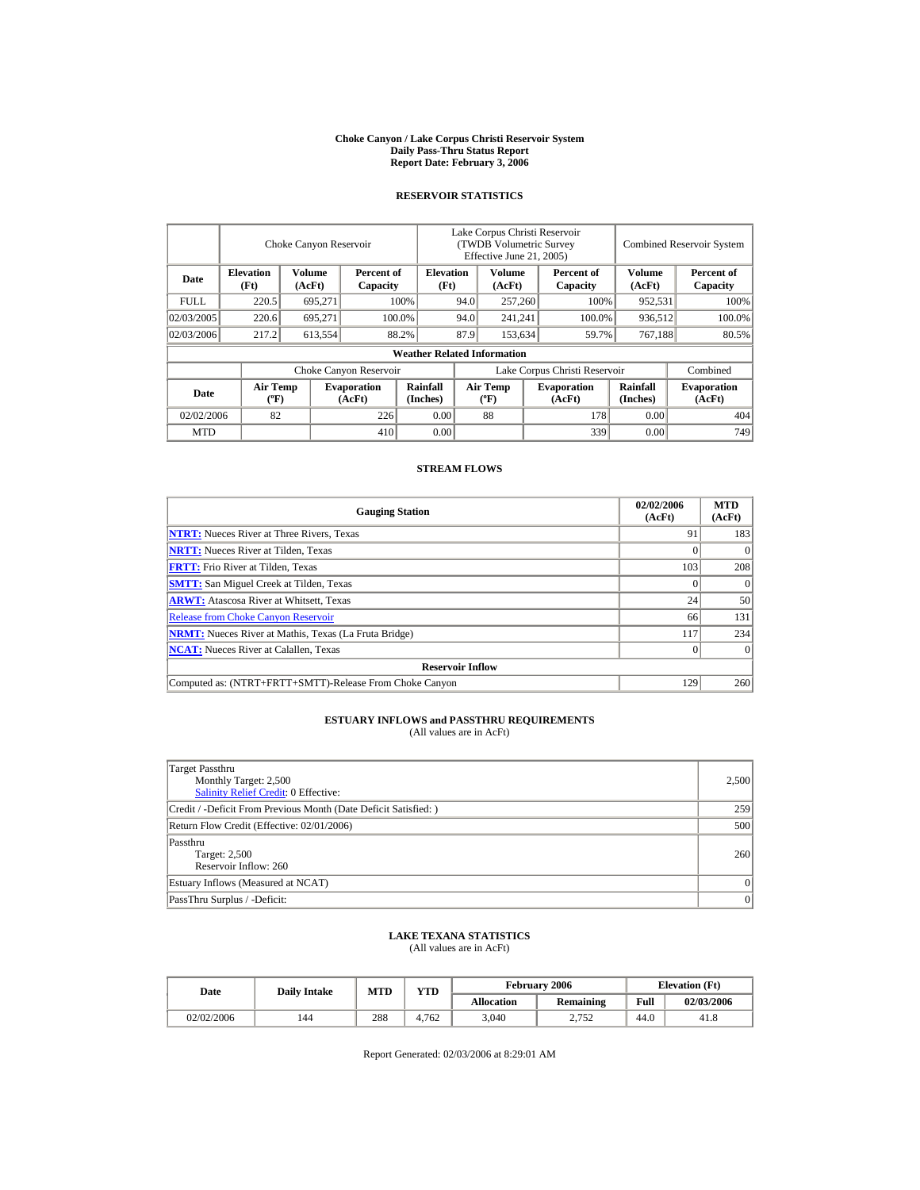#### **Choke Canyon / Lake Corpus Christi Reservoir System Daily Pass-Thru Status Report Report Date: February 3, 2006**

#### **RESERVOIR STATISTICS**

|            | Choke Canyon Reservoir                      |                  |                              |                                    | Lake Corpus Christi Reservoir<br>(TWDB Volumetric Survey<br>Effective June 21, 2005) |                                  |  |                              | <b>Combined Reservoir System</b> |                              |  |
|------------|---------------------------------------------|------------------|------------------------------|------------------------------------|--------------------------------------------------------------------------------------|----------------------------------|--|------------------------------|----------------------------------|------------------------------|--|
| Date       | <b>Elevation</b><br>(Ft)                    | Volume<br>(AcFt) | Percent of<br>Capacity       | <b>Elevation</b><br>(Ft)           |                                                                                      | Volume<br>(AcFt)                 |  | Percent of<br>Capacity       | Volume<br>(AcFt)                 | Percent of<br>Capacity       |  |
| FULL.      | 220.5                                       | 695,271          |                              | 100%                               | 94.0                                                                                 | 257,260                          |  | 100%                         | 952,531                          | 100%                         |  |
| 02/03/2005 | 220.6                                       | 695.271          |                              | 100.0%                             | 94.0                                                                                 | 241,241                          |  | 100.0%                       | 936,512                          | 100.0%                       |  |
| 02/03/2006 | 217.2                                       | 613,554          |                              | 88.2%                              | 87.9                                                                                 | 153.634                          |  | 59.7%                        | 767,188                          | 80.5%                        |  |
|            |                                             |                  |                              | <b>Weather Related Information</b> |                                                                                      |                                  |  |                              |                                  |                              |  |
|            |                                             |                  | Choke Canyon Reservoir       |                                    | Lake Corpus Christi Reservoir                                                        |                                  |  |                              |                                  | Combined                     |  |
| Date       | <b>Air Temp</b><br>$({}^{\circ}\mathrm{F})$ |                  | <b>Evaporation</b><br>(AcFt) | Rainfall<br>(Inches)               |                                                                                      | <b>Air Temp</b><br>$(^{\circ}F)$ |  | <b>Evaporation</b><br>(AcFt) | Rainfall<br>(Inches)             | <b>Evaporation</b><br>(AcFt) |  |
| 02/02/2006 | 82                                          |                  | 226                          | 0.00                               |                                                                                      | 88                               |  | 178                          | 0.00                             | 404                          |  |
| <b>MTD</b> |                                             |                  | 410                          | 0.00                               |                                                                                      |                                  |  | 339                          | 0.00                             | 749                          |  |

### **STREAM FLOWS**

| <b>Gauging Station</b>                                       | 02/02/2006<br>(AcFt) | <b>MTD</b><br>(AcFt) |  |  |  |  |
|--------------------------------------------------------------|----------------------|----------------------|--|--|--|--|
| <b>NTRT:</b> Nueces River at Three Rivers, Texas             | 91                   | 183                  |  |  |  |  |
| <b>NRTT:</b> Nueces River at Tilden, Texas                   |                      | $\Omega$             |  |  |  |  |
| <b>FRTT:</b> Frio River at Tilden, Texas                     | 103                  | 208                  |  |  |  |  |
| <b>SMTT:</b> San Miguel Creek at Tilden, Texas               |                      | $\Omega$             |  |  |  |  |
| <b>ARWT:</b> Atascosa River at Whitsett, Texas               | 24                   | 50                   |  |  |  |  |
| <b>Release from Choke Canyon Reservoir</b>                   | 66                   | 131                  |  |  |  |  |
| <b>NRMT:</b> Nueces River at Mathis, Texas (La Fruta Bridge) | 117                  | 234                  |  |  |  |  |
| <b>NCAT:</b> Nueces River at Calallen, Texas                 |                      |                      |  |  |  |  |
| <b>Reservoir Inflow</b>                                      |                      |                      |  |  |  |  |
| Computed as: (NTRT+FRTT+SMTT)-Release From Choke Canyon      | 129                  | 260                  |  |  |  |  |

# **ESTUARY INFLOWS and PASSTHRU REQUIREMENTS**<br>(All values are in AcFt)

| Target Passthru<br>Monthly Target: 2,500<br><b>Salinity Relief Credit: 0 Effective:</b> | 2,500    |
|-----------------------------------------------------------------------------------------|----------|
| Credit / -Deficit From Previous Month (Date Deficit Satisfied:)                         | 259      |
| Return Flow Credit (Effective: 02/01/2006)                                              | 500      |
| Passthru<br>Target: 2,500<br>Reservoir Inflow: 260                                      | 260      |
| Estuary Inflows (Measured at NCAT)                                                      | $\Omega$ |
| PassThru Surplus / -Deficit:                                                            | 0        |

### **LAKE TEXANA STATISTICS**

(All values are in AcFt)

| Date       | <b>Daily Intake</b> | <b>MTD</b> | <b>YTD</b> |                   | <b>February 2006</b> | <b>Elevation</b> (Ft) |            |
|------------|---------------------|------------|------------|-------------------|----------------------|-----------------------|------------|
|            |                     |            |            | <b>Allocation</b> | Remaining            | Full                  | 02/03/2006 |
| 02/02/2006 | 144                 | 288        | 4.762      | 3,040             | 2,752                | 44.0                  | 41.8       |

Report Generated: 02/03/2006 at 8:29:01 AM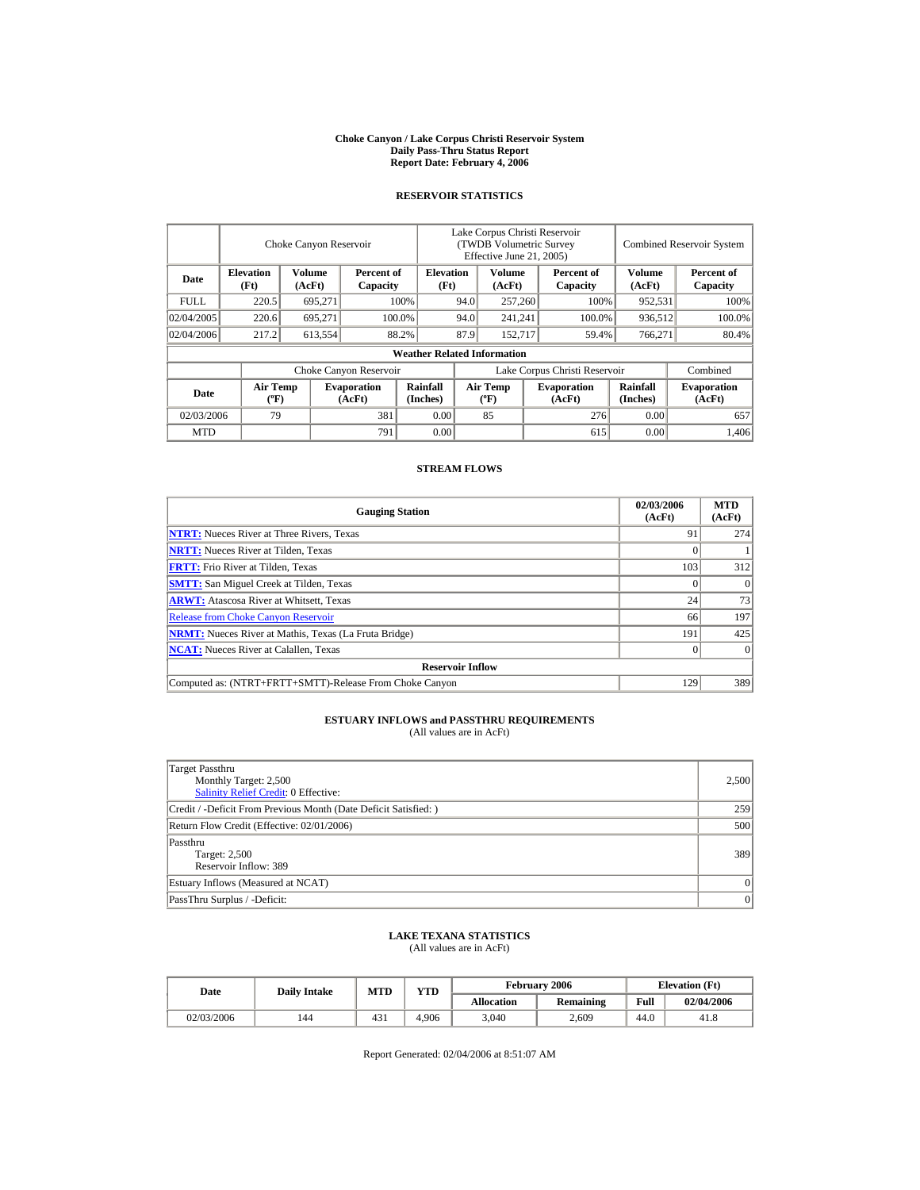#### **Choke Canyon / Lake Corpus Christi Reservoir System Daily Pass-Thru Status Report Report Date: February 4, 2006**

#### **RESERVOIR STATISTICS**

|             |                                             | Choke Canyon Reservoir  |                              |                                    | Lake Corpus Christi Reservoir<br>(TWDB Volumetric Survey<br>Effective June 21, 2005) |                                   |         |                              |                             | <b>Combined Reservoir System</b> |
|-------------|---------------------------------------------|-------------------------|------------------------------|------------------------------------|--------------------------------------------------------------------------------------|-----------------------------------|---------|------------------------------|-----------------------------|----------------------------------|
| Date        | <b>Elevation</b><br>(Ft)                    | <b>Volume</b><br>(AcFt) | Percent of<br>Capacity       | <b>Elevation</b><br>(Ft)           |                                                                                      | Volume<br>(AcFt)                  |         | Percent of<br>Capacity       | <b>Volume</b><br>(AcFt)     | Percent of<br>Capacity           |
| <b>FULL</b> | 220.5                                       | 695,271                 |                              | 100%                               | 94.0                                                                                 | 257,260                           |         | 100%                         | 952,531                     | 100%                             |
| 02/04/2005  | 220.6                                       | 695.271                 |                              | 100.0%                             | 94.0                                                                                 | 241,241                           |         | 100.0%                       | 936,512                     | 100.0%                           |
| 02/04/2006  | 217.2                                       | 613,554                 |                              | 88.2%                              | 87.9                                                                                 |                                   | 152,717 | 59.4%                        | 766,271                     | 80.4%                            |
|             |                                             |                         |                              | <b>Weather Related Information</b> |                                                                                      |                                   |         |                              |                             |                                  |
|             |                                             |                         | Choke Canyon Reservoir       |                                    | Lake Corpus Christi Reservoir                                                        |                                   |         |                              |                             | Combined                         |
| Date        | <b>Air Temp</b><br>$({}^{\circ}\mathrm{F})$ |                         | <b>Evaporation</b><br>(AcFt) | <b>Rainfall</b><br>(Inches)        |                                                                                      | Air Temp<br>$({}^{\circ}{\rm F})$ |         | <b>Evaporation</b><br>(AcFt) | <b>Rainfall</b><br>(Inches) | <b>Evaporation</b><br>(AcFt)     |
| 02/03/2006  | 79                                          |                         | 381                          | 0.00                               |                                                                                      | 85                                |         | 276                          | 0.00                        | 657                              |
| <b>MTD</b>  |                                             |                         | 791                          | 0.00                               |                                                                                      |                                   |         | 615                          | 0.00                        | 1.406                            |

### **STREAM FLOWS**

| <b>Gauging Station</b>                                       | 02/03/2006<br>(AcFt) | <b>MTD</b><br>(AcFt) |  |  |  |  |  |
|--------------------------------------------------------------|----------------------|----------------------|--|--|--|--|--|
| <b>NTRT:</b> Nueces River at Three Rivers, Texas             | 91                   | 274                  |  |  |  |  |  |
| <b>NRTT:</b> Nueces River at Tilden, Texas                   |                      |                      |  |  |  |  |  |
| <b>FRTT:</b> Frio River at Tilden, Texas                     | 103                  | 312                  |  |  |  |  |  |
| <b>SMTT:</b> San Miguel Creek at Tilden, Texas               |                      | $\Omega$             |  |  |  |  |  |
| <b>ARWT:</b> Atascosa River at Whitsett, Texas               | 24                   | 73                   |  |  |  |  |  |
| <b>Release from Choke Canyon Reservoir</b>                   | 66                   | 197                  |  |  |  |  |  |
| <b>NRMT:</b> Nueces River at Mathis, Texas (La Fruta Bridge) | 191                  | 425                  |  |  |  |  |  |
| <b>NCAT:</b> Nueces River at Calallen. Texas                 |                      |                      |  |  |  |  |  |
| <b>Reservoir Inflow</b>                                      |                      |                      |  |  |  |  |  |
| Computed as: (NTRT+FRTT+SMTT)-Release From Choke Canyon      | 129                  | 389                  |  |  |  |  |  |

# **ESTUARY INFLOWS and PASSTHRU REQUIREMENTS**<br>(All values are in AcFt)

| Target Passthru<br>Monthly Target: 2,500<br>Salinity Relief Credit: 0 Effective: | 2,500   |
|----------------------------------------------------------------------------------|---------|
| Credit / -Deficit From Previous Month (Date Deficit Satisfied:)                  | 259     |
| Return Flow Credit (Effective: 02/01/2006)                                       | 500     |
| Passthru<br>Target: 2,500<br>Reservoir Inflow: 389                               | 389     |
| Estuary Inflows (Measured at NCAT)                                               |         |
| PassThru Surplus / -Deficit:                                                     | $\vert$ |

### **LAKE TEXANA STATISTICS**

(All values are in AcFt)

| Date       | <b>Daily Intake</b> | <b>MTD</b> | <b>YTD</b> |                   | February 2006 | <b>Elevation</b> (Ft) |            |
|------------|---------------------|------------|------------|-------------------|---------------|-----------------------|------------|
|            |                     |            |            | <b>Allocation</b> | Remaining     | Full                  | 02/04/2006 |
| 02/03/2006 | 144                 | 431        | 4.906      | 3,040             | 2,609         | 44.0                  | 41.8       |

Report Generated: 02/04/2006 at 8:51:07 AM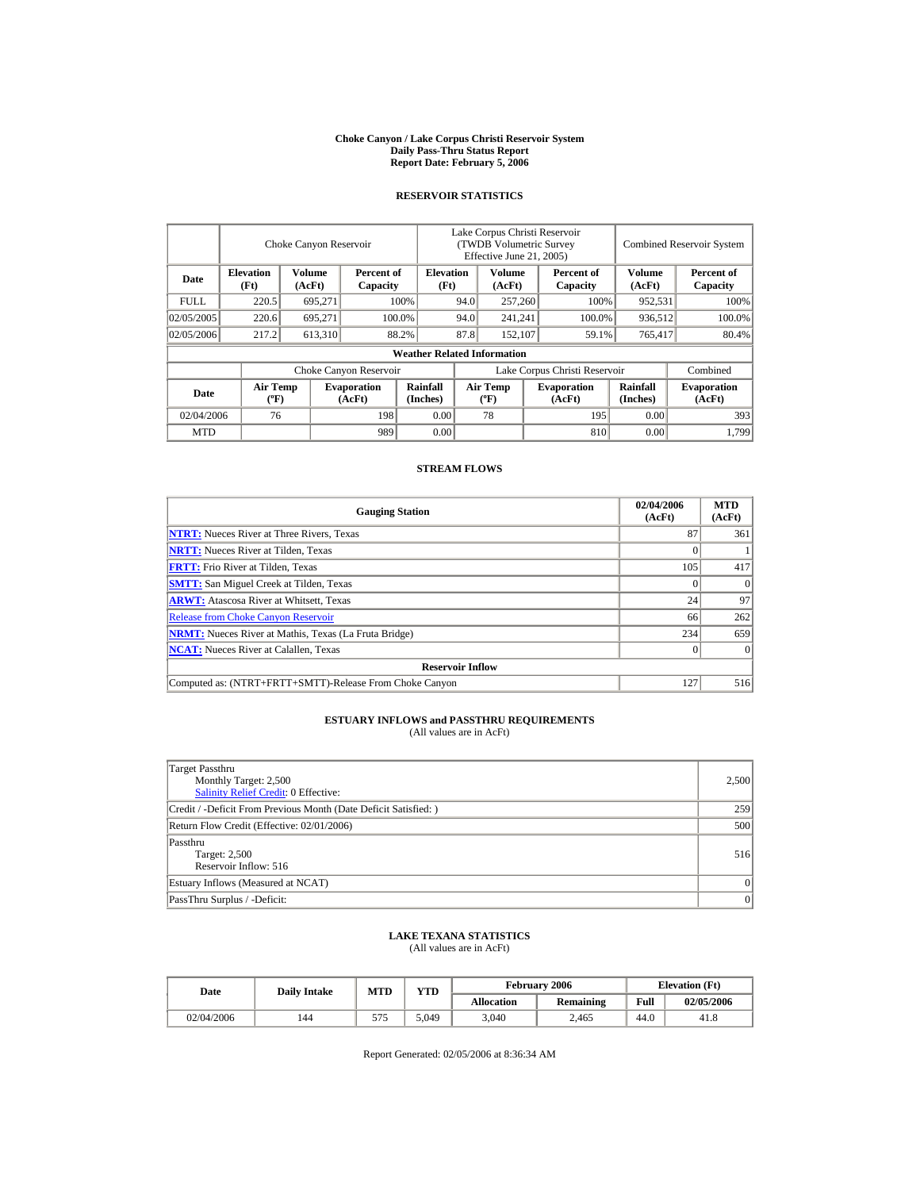#### **Choke Canyon / Lake Corpus Christi Reservoir System Daily Pass-Thru Status Report Report Date: February 5, 2006**

#### **RESERVOIR STATISTICS**

|            | Choke Canyon Reservoir                      |                  |                              |                                    | Lake Corpus Christi Reservoir<br>(TWDB Volumetric Survey<br>Effective June 21, 2005) |                                  |  |                              |                      | <b>Combined Reservoir System</b> |
|------------|---------------------------------------------|------------------|------------------------------|------------------------------------|--------------------------------------------------------------------------------------|----------------------------------|--|------------------------------|----------------------|----------------------------------|
| Date       | <b>Elevation</b><br>(Ft)                    | Volume<br>(AcFt) | Percent of<br>Capacity       | <b>Elevation</b><br>(Ft)           |                                                                                      | Volume<br>(AcFt)                 |  | Percent of<br>Capacity       | Volume<br>(AcFt)     | Percent of<br>Capacity           |
| FULL.      | 220.5                                       | 695,271          |                              | 100%                               | 94.0                                                                                 | 257,260                          |  | 100%                         | 952,531              | 100%                             |
| 02/05/2005 | 220.6                                       | 695.271          |                              | 100.0%                             | 94.0                                                                                 | 241,241                          |  | 100.0%                       | 936,512              | 100.0%                           |
| 02/05/2006 | 217.2                                       | 613,310          |                              | 88.2%                              | 87.8                                                                                 | 152,107                          |  | 59.1%                        | 765,417              | 80.4%                            |
|            |                                             |                  |                              | <b>Weather Related Information</b> |                                                                                      |                                  |  |                              |                      |                                  |
|            |                                             |                  | Choke Canyon Reservoir       |                                    | Lake Corpus Christi Reservoir                                                        |                                  |  |                              |                      | Combined                         |
| Date       | <b>Air Temp</b><br>$({}^{\circ}\mathrm{F})$ |                  | <b>Evaporation</b><br>(AcFt) | Rainfall<br>(Inches)               |                                                                                      | <b>Air Temp</b><br>$(^{\circ}F)$ |  | <b>Evaporation</b><br>(AcFt) | Rainfall<br>(Inches) | <b>Evaporation</b><br>(AcFt)     |
| 02/04/2006 | 76                                          |                  | 198                          | 0.00                               |                                                                                      | 78                               |  | 195                          | 0.00                 | 393                              |
| <b>MTD</b> |                                             |                  | 989                          | 0.00                               |                                                                                      |                                  |  | 810                          | 0.00                 | 1,799                            |

### **STREAM FLOWS**

| <b>Gauging Station</b>                                       | 02/04/2006<br>(AcFt) | <b>MTD</b><br>(AcFt) |
|--------------------------------------------------------------|----------------------|----------------------|
| <b>NTRT:</b> Nueces River at Three Rivers, Texas             | 87                   | 361                  |
| <b>NRTT:</b> Nueces River at Tilden, Texas                   |                      |                      |
| <b>FRTT:</b> Frio River at Tilden, Texas                     | 105                  | 417                  |
| <b>SMTT:</b> San Miguel Creek at Tilden, Texas               |                      | $\Omega$             |
| <b>ARWT:</b> Atascosa River at Whitsett, Texas               | 24                   | 97                   |
| <b>Release from Choke Canyon Reservoir</b>                   | 66                   | 262                  |
| <b>NRMT:</b> Nueces River at Mathis, Texas (La Fruta Bridge) | 234                  | 659                  |
| <b>NCAT:</b> Nueces River at Calallen, Texas                 |                      | 0                    |
| <b>Reservoir Inflow</b>                                      |                      |                      |
| Computed as: (NTRT+FRTT+SMTT)-Release From Choke Canyon      | 127                  | 516                  |

# **ESTUARY INFLOWS and PASSTHRU REQUIREMENTS**<br>(All values are in AcFt)

| Target Passthru<br>Monthly Target: 2,500<br>Salinity Relief Credit: 0 Effective: | 2,500 |
|----------------------------------------------------------------------------------|-------|
| Credit / -Deficit From Previous Month (Date Deficit Satisfied:)                  | 259   |
| Return Flow Credit (Effective: 02/01/2006)                                       | 500   |
| Passthru<br>Target: 2,500<br>Reservoir Inflow: 516                               | 516   |
| Estuary Inflows (Measured at NCAT)                                               |       |
| PassThru Surplus / -Deficit:                                                     | 0     |

### **LAKE TEXANA STATISTICS**

(All values are in AcFt)

| Date       | <b>Daily Intake</b> | <b>MTD</b> | <b>YTD</b> |                   | February 2006 |      | <b>Elevation</b> (Ft) |
|------------|---------------------|------------|------------|-------------------|---------------|------|-----------------------|
|            |                     |            |            | <b>Allocation</b> | Remaining     | Full | 02/05/2006            |
| 02/04/2006 | 144                 | 575        | 5.049      | 3,040             | 2.465         | 44.0 | 41.8                  |

Report Generated: 02/05/2006 at 8:36:34 AM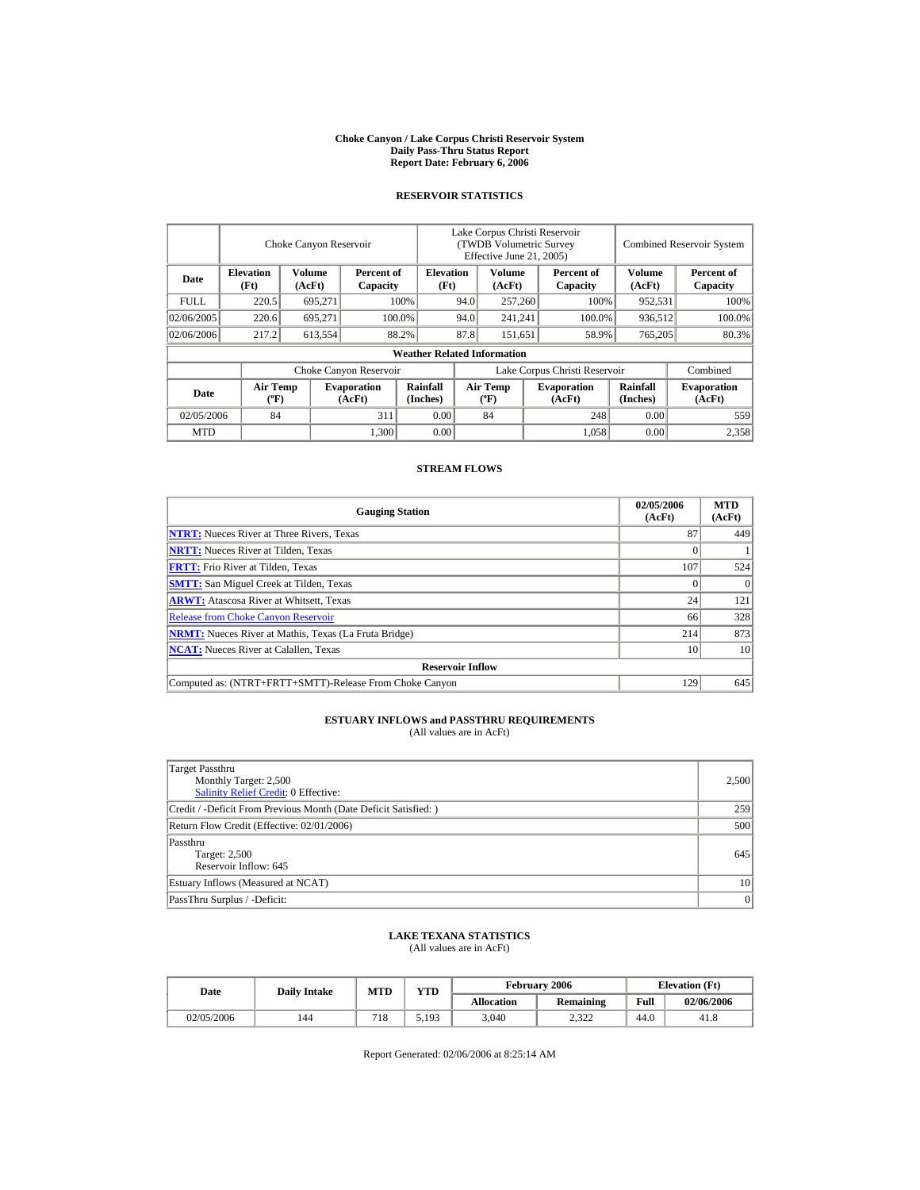#### **Choke Canyon / Lake Corpus Christi Reservoir System Daily Pass-Thru Status Report Report Date: February 6, 2006**

#### **RESERVOIR STATISTICS**

|            | Choke Canyon Reservoir                      |                  |                              |                                    | Lake Corpus Christi Reservoir<br>(TWDB Volumetric Survey<br>Effective June 21, 2005) |                                  |         |                              |                      | <b>Combined Reservoir System</b> |
|------------|---------------------------------------------|------------------|------------------------------|------------------------------------|--------------------------------------------------------------------------------------|----------------------------------|---------|------------------------------|----------------------|----------------------------------|
| Date       | <b>Elevation</b><br>(Ft)                    | Volume<br>(AcFt) | Percent of<br>Capacity       | <b>Elevation</b><br>(Ft)           |                                                                                      | Volume<br>(AcFt)                 |         | Percent of<br>Capacity       | Volume<br>(AcFt)     | Percent of<br>Capacity           |
| FULL.      | 220.5                                       | 695,271          |                              | 100%                               | 94.0                                                                                 | 257,260                          |         | 100%                         | 952,531              | 100%                             |
| 02/06/2005 | 220.6                                       | 695.271          |                              | 100.0%                             | 94.0                                                                                 |                                  | 241,241 | 100.0%                       | 936,512              | 100.0%                           |
| 02/06/2006 | 217.2                                       | 613,554          |                              | 88.2%                              | 87.8                                                                                 |                                  | 151,651 | 58.9%                        | 765,205              | 80.3%                            |
|            |                                             |                  |                              | <b>Weather Related Information</b> |                                                                                      |                                  |         |                              |                      |                                  |
|            |                                             |                  | Choke Canyon Reservoir       |                                    | Lake Corpus Christi Reservoir                                                        |                                  |         |                              |                      | Combined                         |
| Date       | <b>Air Temp</b><br>$({}^{\circ}\mathrm{F})$ |                  | <b>Evaporation</b><br>(AcFt) | Rainfall<br>(Inches)               |                                                                                      | <b>Air Temp</b><br>$(^{\circ}F)$ |         | <b>Evaporation</b><br>(AcFt) | Rainfall<br>(Inches) | <b>Evaporation</b><br>(AcFt)     |
| 02/05/2006 | 84                                          |                  | 311                          | 0.00                               |                                                                                      | 84                               |         | 248                          | 0.00                 | 559                              |
| <b>MTD</b> |                                             |                  | 1,300                        | 0.00                               |                                                                                      |                                  |         | 1.058                        | 0.00                 | 2.358                            |

### **STREAM FLOWS**

| <b>Gauging Station</b>                                       | 02/05/2006<br>(AcFt) | <b>MTD</b><br>(AcFt) |  |  |  |  |
|--------------------------------------------------------------|----------------------|----------------------|--|--|--|--|
| <b>NTRT:</b> Nueces River at Three Rivers, Texas             | 87                   | 449                  |  |  |  |  |
| <b>NRTT:</b> Nueces River at Tilden, Texas                   |                      |                      |  |  |  |  |
| <b>FRTT:</b> Frio River at Tilden, Texas                     | 107                  | 524                  |  |  |  |  |
| <b>SMTT:</b> San Miguel Creek at Tilden, Texas               |                      | $\theta$             |  |  |  |  |
| <b>ARWT:</b> Atascosa River at Whitsett, Texas               | 24                   | 121                  |  |  |  |  |
| <b>Release from Choke Canyon Reservoir</b>                   | 66                   | 328                  |  |  |  |  |
| <b>NRMT:</b> Nueces River at Mathis, Texas (La Fruta Bridge) | 214                  | 873                  |  |  |  |  |
| <b>NCAT:</b> Nueces River at Calallen, Texas                 | 10                   | 10                   |  |  |  |  |
| <b>Reservoir Inflow</b>                                      |                      |                      |  |  |  |  |
| Computed as: (NTRT+FRTT+SMTT)-Release From Choke Canyon      | 129                  | 645                  |  |  |  |  |

# **ESTUARY INFLOWS and PASSTHRU REQUIREMENTS**<br>(All values are in AcFt)

| Target Passthru<br>Monthly Target: 2,500<br><b>Salinity Relief Credit: 0 Effective:</b> | 2,500 |
|-----------------------------------------------------------------------------------------|-------|
| Credit / -Deficit From Previous Month (Date Deficit Satisfied:)                         | 259   |
| Return Flow Credit (Effective: 02/01/2006)                                              | 500   |
| Passthru<br>Target: 2,500<br>Reservoir Inflow: 645                                      | 645   |
| Estuary Inflows (Measured at NCAT)                                                      | 10    |
| PassThru Surplus / -Deficit:                                                            | 0     |

### **LAKE TEXANA STATISTICS**

(All values are in AcFt)

| Date       | <b>Daily Intake</b> | <b>MTD</b> | <b>VTD</b> |                   | <b>February 2006</b> | <b>Elevation</b> (Ft) |            |
|------------|---------------------|------------|------------|-------------------|----------------------|-----------------------|------------|
|            |                     |            |            | <b>Allocation</b> | Remaining            | Full                  | 02/06/2006 |
| 02/05/2006 | 144                 | 718        | 5,193      | 3,040             | 2.322                | 44.0                  | 41.8       |

Report Generated: 02/06/2006 at 8:25:14 AM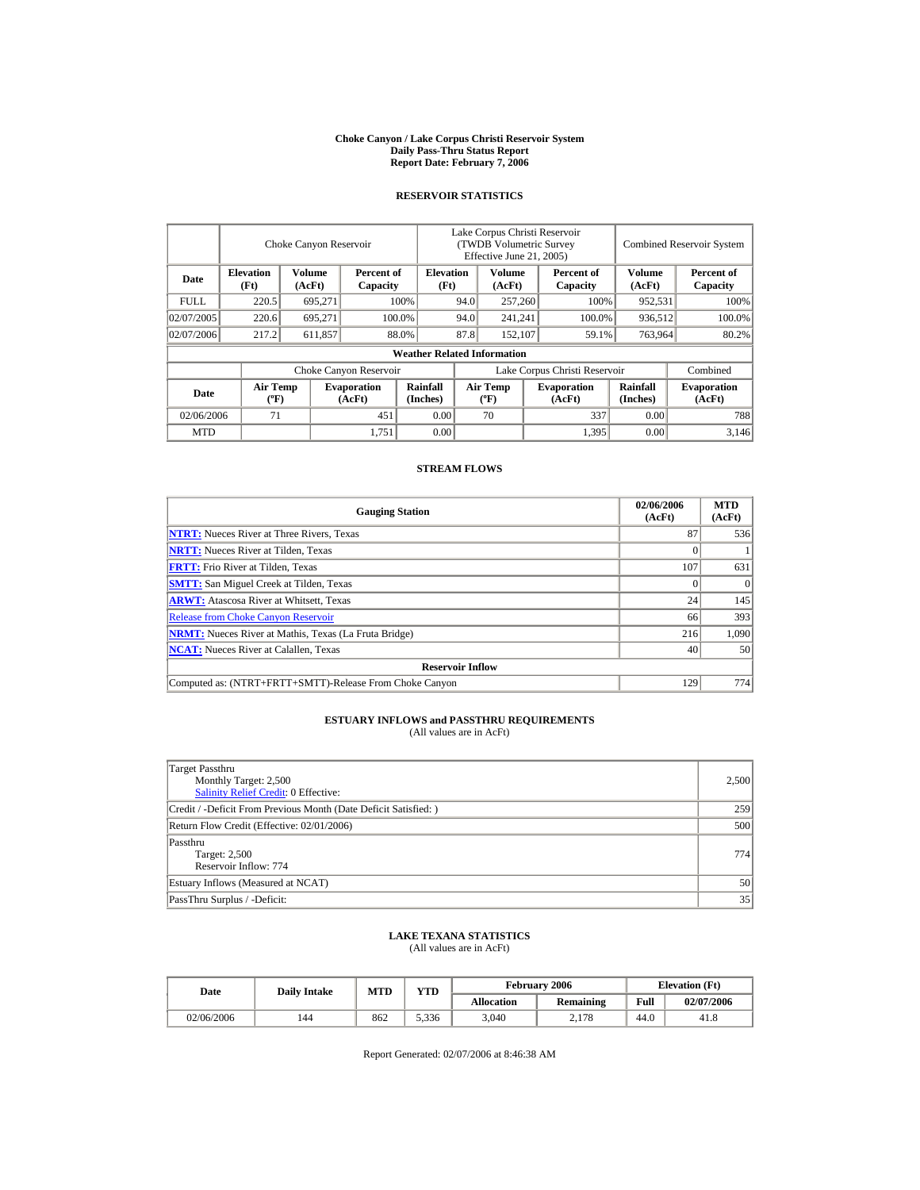#### **Choke Canyon / Lake Corpus Christi Reservoir System Daily Pass-Thru Status Report Report Date: February 7, 2006**

#### **RESERVOIR STATISTICS**

|             |                                             | Choke Canyon Reservoir |                              | Lake Corpus Christi Reservoir<br>(TWDB Volumetric Survey<br>Effective June 21, 2005) |                               |                                  |         |                              | <b>Combined Reservoir System</b> |                              |  |
|-------------|---------------------------------------------|------------------------|------------------------------|--------------------------------------------------------------------------------------|-------------------------------|----------------------------------|---------|------------------------------|----------------------------------|------------------------------|--|
| Date        | <b>Elevation</b><br>(Ft)                    | Volume<br>(AcFt)       | Percent of<br>Capacity       | <b>Elevation</b><br>(Ft)                                                             |                               | Volume<br>(AcFt)                 |         | Percent of<br>Capacity       | Volume<br>(AcFt)                 | Percent of<br>Capacity       |  |
| <b>FULL</b> | 220.5                                       | 695,271                |                              | 100%                                                                                 | 94.0                          | 257,260                          |         | 100%                         | 952,531                          | 100%                         |  |
| 02/07/2005  | 220.6                                       | 695,271                |                              | 100.0%                                                                               | 94.0                          |                                  | 241,241 | 100.0%                       | 936,512                          | 100.0%                       |  |
| 02/07/2006  | 217.2                                       | 611,857                |                              | 88.0%                                                                                | 87.8                          | 152,107                          |         | 59.1%                        | 763,964                          | 80.2%                        |  |
|             | <b>Weather Related Information</b>          |                        |                              |                                                                                      |                               |                                  |         |                              |                                  |                              |  |
|             |                                             |                        | Choke Canyon Reservoir       |                                                                                      | Lake Corpus Christi Reservoir |                                  |         |                              |                                  | Combined                     |  |
| Date        | <b>Air Temp</b><br>$({}^{\circ}\mathrm{F})$ |                        | <b>Evaporation</b><br>(AcFt) | Rainfall<br>(Inches)                                                                 |                               | <b>Air Temp</b><br>$(^{\circ}F)$ |         | <b>Evaporation</b><br>(AcFt) | <b>Rainfall</b><br>(Inches)      | <b>Evaporation</b><br>(AcFt) |  |
| 02/06/2006  | 71                                          |                        | 451                          | 0.00                                                                                 |                               | 70                               |         | 337                          | 0.00                             | 788                          |  |
| <b>MTD</b>  |                                             |                        | 1,751                        | 0.00                                                                                 |                               |                                  |         | 1,395                        | 0.00                             | 3.146                        |  |

### **STREAM FLOWS**

| <b>Gauging Station</b>                                       | 02/06/2006<br>(AcFt) | <b>MTD</b><br>(AcFt) |
|--------------------------------------------------------------|----------------------|----------------------|
| <b>NTRT:</b> Nueces River at Three Rivers, Texas             | 87                   | 536                  |
| <b>NRTT:</b> Nueces River at Tilden, Texas                   |                      |                      |
| <b>FRTT:</b> Frio River at Tilden, Texas                     | 107                  | 631                  |
| <b>SMTT:</b> San Miguel Creek at Tilden, Texas               |                      | $\Omega$             |
| <b>ARWT:</b> Atascosa River at Whitsett, Texas               | 24                   | 145                  |
| <b>Release from Choke Canyon Reservoir</b>                   | 66                   | 393                  |
| <b>NRMT:</b> Nueces River at Mathis, Texas (La Fruta Bridge) | 216                  | 1.090                |
| <b>NCAT:</b> Nueces River at Calallen, Texas                 | 40                   | 50                   |
| <b>Reservoir Inflow</b>                                      |                      |                      |
| Computed as: (NTRT+FRTT+SMTT)-Release From Choke Canyon      | 129                  | 774                  |

# **ESTUARY INFLOWS and PASSTHRU REQUIREMENTS**<br>(All values are in AcFt)

| Target Passthru<br>Monthly Target: 2,500<br><b>Salinity Relief Credit: 0 Effective:</b> | 2,500 |
|-----------------------------------------------------------------------------------------|-------|
| Credit / -Deficit From Previous Month (Date Deficit Satisfied:)                         | 259   |
| Return Flow Credit (Effective: 02/01/2006)                                              | 500   |
| Passthru<br>Target: 2,500<br>Reservoir Inflow: 774                                      | 774 l |
| Estuary Inflows (Measured at NCAT)                                                      | 50    |
| PassThru Surplus / -Deficit:                                                            | 35    |

### **LAKE TEXANA STATISTICS**

(All values are in AcFt)

| Date       | <b>Daily Intake</b> | MTD | <b>YTD</b> |                   | February 2006    | <b>Elevation</b> (Ft) |            |
|------------|---------------------|-----|------------|-------------------|------------------|-----------------------|------------|
|            |                     |     |            | <b>Allocation</b> | <b>Remaining</b> | Full                  | 02/07/2006 |
| 02/06/2006 | 144                 | 862 | 5.336      | 3,040             | 2,178            | 44.0                  | 41.8       |

Report Generated: 02/07/2006 at 8:46:38 AM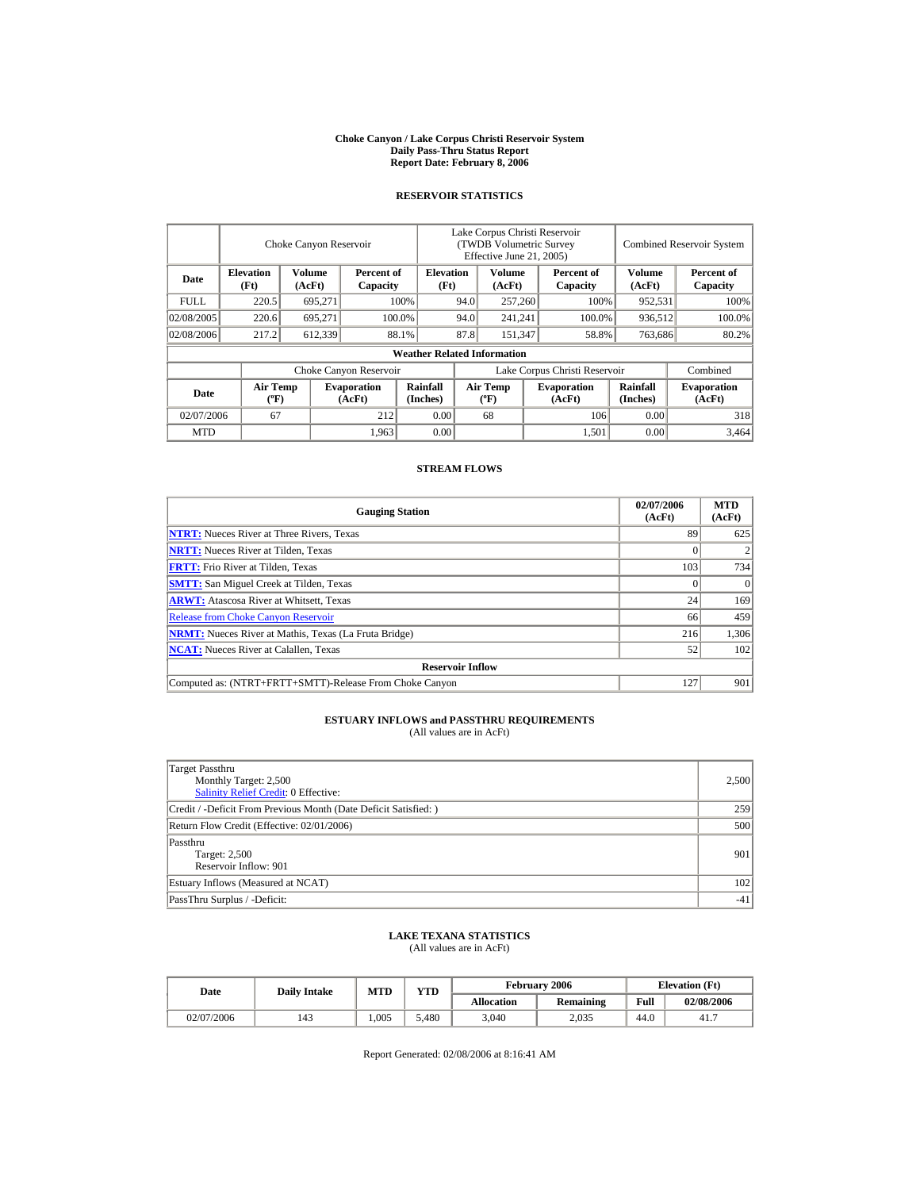#### **Choke Canyon / Lake Corpus Christi Reservoir System Daily Pass-Thru Status Report Report Date: February 8, 2006**

#### **RESERVOIR STATISTICS**

|             |                                             | Choke Canyon Reservoir |                              |                                    |                               | Lake Corpus Christi Reservoir<br>(TWDB Volumetric Survey<br>Effective June 21, 2005) |  |                              |                      | <b>Combined Reservoir System</b> |  |  |
|-------------|---------------------------------------------|------------------------|------------------------------|------------------------------------|-------------------------------|--------------------------------------------------------------------------------------|--|------------------------------|----------------------|----------------------------------|--|--|
| Date        | <b>Elevation</b><br>(Ft)                    | Volume<br>(AcFt)       | Percent of<br>Capacity       | <b>Elevation</b><br>(Ft)           |                               | Volume<br>(AcFt)                                                                     |  | Percent of<br>Capacity       | Volume<br>(AcFt)     | Percent of<br>Capacity           |  |  |
| <b>FULL</b> | 220.5                                       | 695,271                |                              | 100%                               | 94.0                          | 257,260                                                                              |  | 100%                         | 952,531              | 100%                             |  |  |
| 02/08/2005  | 220.6                                       | 695.271                |                              | 100.0%                             | 94.0                          | 241,241                                                                              |  | 100.0%                       | 936,512              | 100.0%                           |  |  |
| 02/08/2006  | 217.2                                       | 612,339                |                              | 88.1%                              | 87.8                          | 151,347                                                                              |  | 58.8%                        | 763,686              | 80.2%                            |  |  |
|             |                                             |                        |                              | <b>Weather Related Information</b> |                               |                                                                                      |  |                              |                      |                                  |  |  |
|             |                                             |                        | Choke Canyon Reservoir       |                                    | Lake Corpus Christi Reservoir |                                                                                      |  |                              | Combined             |                                  |  |  |
| Date        | <b>Air Temp</b><br>$({}^{\circ}\mathrm{F})$ |                        | <b>Evaporation</b><br>(AcFt) | Rainfall<br>(Inches)               |                               | <b>Air Temp</b><br>$(^{\circ}F)$                                                     |  | <b>Evaporation</b><br>(AcFt) | Rainfall<br>(Inches) | <b>Evaporation</b><br>(AcFt)     |  |  |
| 02/07/2006  | 67                                          |                        | 212                          | 0.00                               |                               | 68                                                                                   |  | 106                          | 0.00                 | 318                              |  |  |
| <b>MTD</b>  |                                             |                        | 1,963                        | 0.00                               |                               |                                                                                      |  | 1,501                        | 0.00                 | 3.464                            |  |  |

### **STREAM FLOWS**

| <b>Gauging Station</b>                                       | 02/07/2006<br>(AcFt) | <b>MTD</b><br>(AcFt) |  |  |  |  |  |
|--------------------------------------------------------------|----------------------|----------------------|--|--|--|--|--|
| <b>NTRT:</b> Nueces River at Three Rivers, Texas             | 89                   | 625                  |  |  |  |  |  |
| <b>NRTT:</b> Nueces River at Tilden, Texas                   |                      |                      |  |  |  |  |  |
| <b>FRTT:</b> Frio River at Tilden, Texas                     | 103                  | 734                  |  |  |  |  |  |
| <b>SMTT:</b> San Miguel Creek at Tilden, Texas               |                      | $\Omega$             |  |  |  |  |  |
| <b>ARWT:</b> Atascosa River at Whitsett, Texas               | 24                   | 169                  |  |  |  |  |  |
| <b>Release from Choke Canyon Reservoir</b>                   | 66                   | 459                  |  |  |  |  |  |
| <b>NRMT:</b> Nueces River at Mathis, Texas (La Fruta Bridge) | 216                  | 1,306                |  |  |  |  |  |
| <b>NCAT:</b> Nueces River at Calallen, Texas                 | 52                   | 102                  |  |  |  |  |  |
| <b>Reservoir Inflow</b>                                      |                      |                      |  |  |  |  |  |
| Computed as: (NTRT+FRTT+SMTT)-Release From Choke Canyon      | 127                  | 901                  |  |  |  |  |  |

# **ESTUARY INFLOWS and PASSTHRU REQUIREMENTS**<br>(All values are in AcFt)

| Target Passthru<br>Monthly Target: 2,500<br><b>Salinity Relief Credit: 0 Effective:</b> | 2,500  |
|-----------------------------------------------------------------------------------------|--------|
| Credit / -Deficit From Previous Month (Date Deficit Satisfied:)                         | 259    |
| Return Flow Credit (Effective: 02/01/2006)                                              | 500    |
| Passthru<br>Target: 2,500<br>Reservoir Inflow: 901                                      | 901    |
| Estuary Inflows (Measured at NCAT)                                                      | 102    |
| PassThru Surplus / -Deficit:                                                            | $-41'$ |

### **LAKE TEXANA STATISTICS**

(All values are in AcFt)

| Date       | <b>Daily Intake</b> | MTD  | <b>YTD</b> |                   | February 2006    | <b>Elevation</b> (Ft) |            |
|------------|---------------------|------|------------|-------------------|------------------|-----------------------|------------|
|            |                     |      |            | <b>Allocation</b> | <b>Remaining</b> | Full                  | 02/08/2006 |
| 02/07/2006 | 143                 | .005 | 5.480      | 3,040             | 2,035            | 44.0                  | 41.7       |

Report Generated: 02/08/2006 at 8:16:41 AM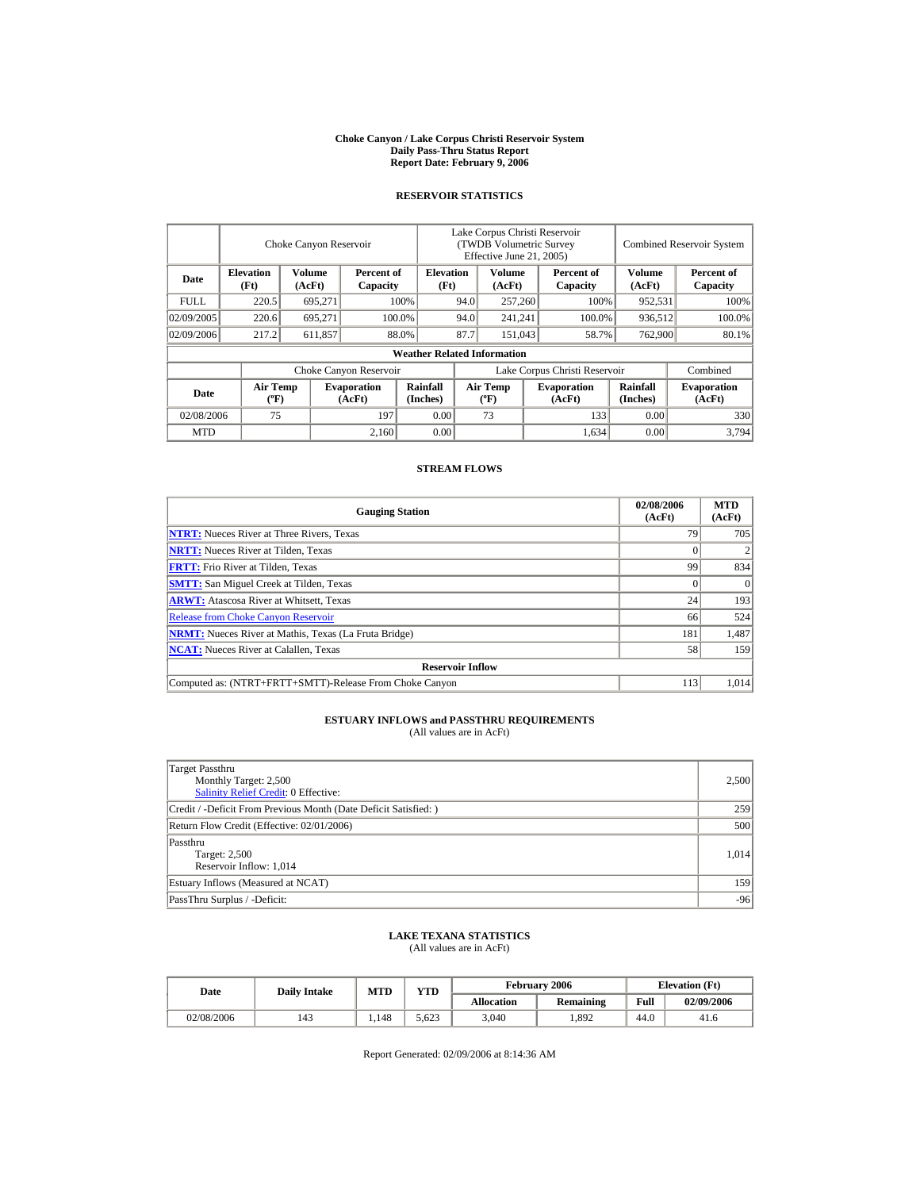#### **Choke Canyon / Lake Corpus Christi Reservoir System Daily Pass-Thru Status Report Report Date: February 9, 2006**

#### **RESERVOIR STATISTICS**

|             |                                             | Choke Canyon Reservoir |                              |                                    | Lake Corpus Christi Reservoir<br>(TWDB Volumetric Survey<br>Effective June 21, 2005) |                                  |       |                              |                             | <b>Combined Reservoir System</b> |  |
|-------------|---------------------------------------------|------------------------|------------------------------|------------------------------------|--------------------------------------------------------------------------------------|----------------------------------|-------|------------------------------|-----------------------------|----------------------------------|--|
| Date        | <b>Elevation</b><br>(Ft)                    | Volume<br>(AcFt)       | Percent of<br>Capacity       | <b>Elevation</b><br>(Ft)           |                                                                                      | Volume<br>(AcFt)                 |       | Percent of<br>Capacity       | Volume<br>(AcFt)            | Percent of<br>Capacity           |  |
| <b>FULL</b> | 220.5                                       | 695,271                |                              | 100%                               | 94.0                                                                                 | 257,260                          |       | 100%                         | 952,531                     | 100%                             |  |
| 02/09/2005  | 220.6                                       | 695,271                |                              | 94.0<br>100.0%                     |                                                                                      | 241,241                          |       | 100.0%                       | 936,512                     | 100.0%                           |  |
| 02/09/2006  | 217.2                                       | 611,857                |                              | 88.0%                              | 87.7                                                                                 | 151,043                          | 58.7% |                              | 762,900                     | 80.1%                            |  |
|             |                                             |                        |                              | <b>Weather Related Information</b> |                                                                                      |                                  |       |                              |                             |                                  |  |
|             |                                             |                        | Choke Canyon Reservoir       |                                    | Lake Corpus Christi Reservoir                                                        |                                  |       |                              |                             | Combined                         |  |
| Date        | <b>Air Temp</b><br>$({}^{\circ}\mathrm{F})$ |                        | <b>Evaporation</b><br>(AcFt) | Rainfall<br>(Inches)               |                                                                                      | <b>Air Temp</b><br>$(^{\circ}F)$ |       | <b>Evaporation</b><br>(AcFt) | <b>Rainfall</b><br>(Inches) | <b>Evaporation</b><br>(AcFt)     |  |
| 02/08/2006  | 75                                          |                        | 197                          | 0.00                               |                                                                                      | 73                               |       | 133                          | 0.00                        | 330                              |  |
| <b>MTD</b>  |                                             |                        | 2.160                        | 0.00                               |                                                                                      |                                  |       | 1,634                        | 0.00                        | 3.794                            |  |

### **STREAM FLOWS**

| <b>Gauging Station</b>                                       | 02/08/2006<br>(AcFt) | <b>MTD</b><br>(AcFt) |  |  |  |  |  |
|--------------------------------------------------------------|----------------------|----------------------|--|--|--|--|--|
| <b>NTRT:</b> Nueces River at Three Rivers, Texas             | 79                   | 705                  |  |  |  |  |  |
| <b>NRTT:</b> Nueces River at Tilden, Texas                   |                      |                      |  |  |  |  |  |
| <b>FRTT:</b> Frio River at Tilden, Texas                     | 99                   | 834                  |  |  |  |  |  |
| <b>SMTT:</b> San Miguel Creek at Tilden, Texas               |                      | $\Omega$             |  |  |  |  |  |
| <b>ARWT:</b> Atascosa River at Whitsett, Texas               | 24                   | 193                  |  |  |  |  |  |
| <b>Release from Choke Canyon Reservoir</b>                   | 66                   | 524                  |  |  |  |  |  |
| <b>NRMT:</b> Nueces River at Mathis, Texas (La Fruta Bridge) | 181                  | 1,487                |  |  |  |  |  |
| <b>NCAT:</b> Nueces River at Calallen. Texas                 | 58                   | 159                  |  |  |  |  |  |
| <b>Reservoir Inflow</b>                                      |                      |                      |  |  |  |  |  |
| Computed as: (NTRT+FRTT+SMTT)-Release From Choke Canyon      | 113                  | 1.014                |  |  |  |  |  |

# **ESTUARY INFLOWS and PASSTHRU REQUIREMENTS**<br>(All values are in AcFt)

| Target Passthru<br>Monthly Target: 2,500<br>Salinity Relief Credit: 0 Effective: | 2,500 |
|----------------------------------------------------------------------------------|-------|
| Credit / -Deficit From Previous Month (Date Deficit Satisfied:)                  | 259   |
| Return Flow Credit (Effective: 02/01/2006)                                       | 500   |
| Passthru<br>Target: 2,500<br>Reservoir Inflow: 1,014                             | 1.014 |
| Estuary Inflows (Measured at NCAT)                                               | 159   |
| PassThru Surplus / -Deficit:                                                     | $-96$ |

### **LAKE TEXANA STATISTICS**

(All values are in AcFt)

| Date       | <b>Daily Intake</b> | <b>MTD</b> | <b>YTD</b> |                   | <b>February 2006</b> |      | <b>Elevation</b> (Ft) |
|------------|---------------------|------------|------------|-------------------|----------------------|------|-----------------------|
|            |                     |            |            | <b>Allocation</b> | Remaining            | Full | 02/09/2006            |
| 02/08/2006 | 143                 | l.148      | 5.623      | 3.040             | 1.892                | 44.0 | 41.6                  |

Report Generated: 02/09/2006 at 8:14:36 AM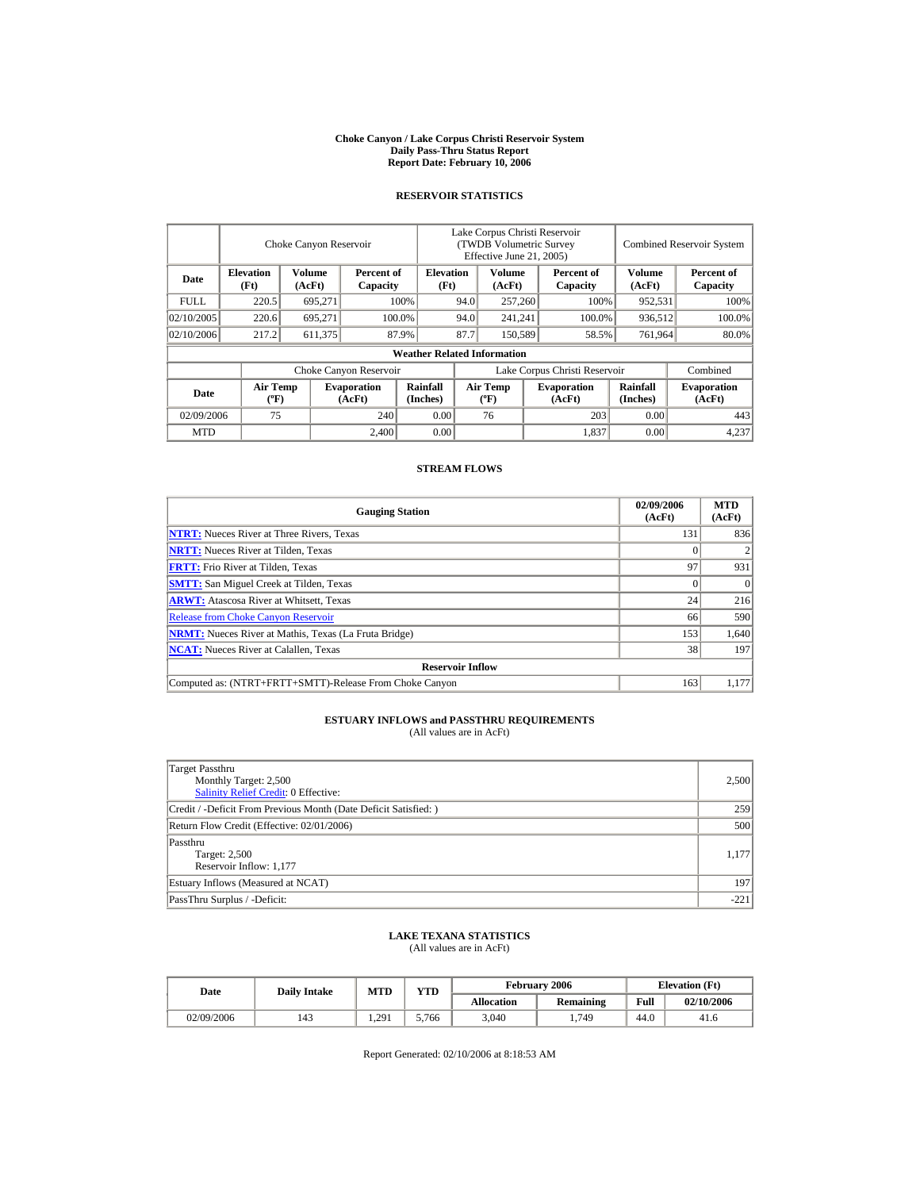#### **Choke Canyon / Lake Corpus Christi Reservoir System Daily Pass-Thru Status Report Report Date: February 10, 2006**

#### **RESERVOIR STATISTICS**

|            | Choke Canyon Reservoir                      |                  |                              |                                    | Lake Corpus Christi Reservoir<br>(TWDB Volumetric Survey<br>Effective June 21, 2005) |                                             |  |                              | <b>Combined Reservoir System</b> |                              |  |
|------------|---------------------------------------------|------------------|------------------------------|------------------------------------|--------------------------------------------------------------------------------------|---------------------------------------------|--|------------------------------|----------------------------------|------------------------------|--|
| Date       | <b>Elevation</b><br>(Ft)                    | Volume<br>(AcFt) | Percent of<br>Capacity       | <b>Elevation</b><br>(Ft)           |                                                                                      | Volume<br>(AcFt)                            |  | Percent of<br>Capacity       | Volume<br>(AcFt)                 | Percent of<br>Capacity       |  |
| FULL.      | 220.5                                       | 695,271          |                              | 100%                               | 94.0                                                                                 | 257,260                                     |  | 100%                         | 952,531                          | 100%                         |  |
| 02/10/2005 | 220.6                                       | 695.271          |                              | 100.0%                             | 94.0                                                                                 | 241,241                                     |  | 100.0%                       | 936,512                          | 100.0%                       |  |
| 02/10/2006 | 217.2                                       | 611,375          |                              | 87.9%                              | 87.7                                                                                 | 150,589                                     |  | 58.5%                        | 761,964                          | 80.0%                        |  |
|            |                                             |                  |                              | <b>Weather Related Information</b> |                                                                                      |                                             |  |                              |                                  |                              |  |
|            |                                             |                  | Choke Canyon Reservoir       |                                    | Lake Corpus Christi Reservoir                                                        |                                             |  |                              |                                  | Combined                     |  |
| Date       | <b>Air Temp</b><br>$({}^{\circ}\mathrm{F})$ |                  | <b>Evaporation</b><br>(AcFt) | Rainfall<br>(Inches)               |                                                                                      | <b>Air Temp</b><br>$({}^{\circ}\mathbf{F})$ |  | <b>Evaporation</b><br>(AcFt) | Rainfall<br>(Inches)             | <b>Evaporation</b><br>(AcFt) |  |
| 02/09/2006 | 75                                          |                  | 240                          | 0.00                               |                                                                                      | 76                                          |  | 203                          | 0.00                             | 443                          |  |
| <b>MTD</b> |                                             |                  | 2.400                        | 0.00                               |                                                                                      |                                             |  | 1,837                        | 0.00                             | 4,237                        |  |

### **STREAM FLOWS**

| <b>Gauging Station</b>                                       | 02/09/2006<br>(AcFt) | <b>MTD</b><br>(AcFt) |  |  |  |  |
|--------------------------------------------------------------|----------------------|----------------------|--|--|--|--|
| <b>NTRT:</b> Nueces River at Three Rivers, Texas             | 131                  | 836                  |  |  |  |  |
| <b>NRTT:</b> Nueces River at Tilden, Texas                   |                      |                      |  |  |  |  |
| <b>FRTT:</b> Frio River at Tilden, Texas                     | 97                   | 931                  |  |  |  |  |
| <b>SMTT:</b> San Miguel Creek at Tilden, Texas               | 0                    | $\Omega$             |  |  |  |  |
| <b>ARWT:</b> Atascosa River at Whitsett, Texas               | 24                   | 216                  |  |  |  |  |
| <b>Release from Choke Canyon Reservoir</b>                   | 66                   | 590                  |  |  |  |  |
| <b>NRMT:</b> Nueces River at Mathis, Texas (La Fruta Bridge) | 153                  | 1,640                |  |  |  |  |
| <b>NCAT:</b> Nueces River at Calallen. Texas                 | 38                   | 197                  |  |  |  |  |
| <b>Reservoir Inflow</b>                                      |                      |                      |  |  |  |  |
| Computed as: (NTRT+FRTT+SMTT)-Release From Choke Canyon      | 163                  | 1.177                |  |  |  |  |

# **ESTUARY INFLOWS and PASSTHRU REQUIREMENTS**<br>(All values are in AcFt)

| Target Passthru<br>Monthly Target: 2,500<br>Salinity Relief Credit: 0 Effective: | 2,500  |
|----------------------------------------------------------------------------------|--------|
| Credit / -Deficit From Previous Month (Date Deficit Satisfied:)                  | 259    |
| Return Flow Credit (Effective: 02/01/2006)                                       | 500    |
| Passthru<br>Target: 2,500<br>Reservoir Inflow: 1,177                             | 1,177  |
| Estuary Inflows (Measured at NCAT)                                               | 197    |
| PassThru Surplus / -Deficit:                                                     | $-221$ |

### **LAKE TEXANA STATISTICS**

(All values are in AcFt)

| Date       | <b>Daily Intake</b> | <b>MTD</b> | <b>VTD</b> |                   | <b>February 2006</b> | <b>Elevation</b> (Ft) |            |
|------------|---------------------|------------|------------|-------------------|----------------------|-----------------------|------------|
|            |                     |            |            | <b>Allocation</b> | Remaining            | Full                  | 02/10/2006 |
| 02/09/2006 | 143                 | .291       | 5,766      | 3,040             | 1,749                | 44.0                  | 41.6       |

Report Generated: 02/10/2006 at 8:18:53 AM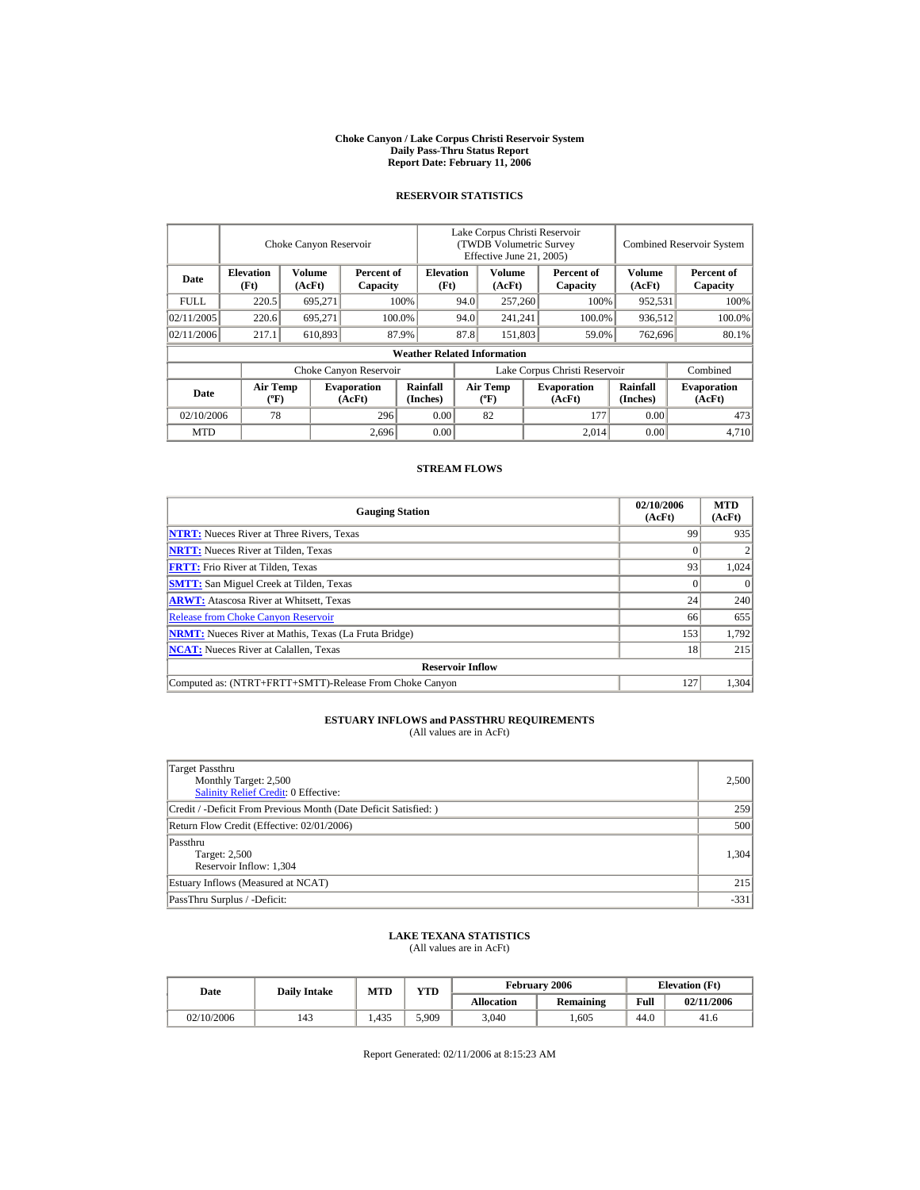#### **Choke Canyon / Lake Corpus Christi Reservoir System Daily Pass-Thru Status Report Report Date: February 11, 2006**

#### **RESERVOIR STATISTICS**

|            | Choke Canyon Reservoir                      |                  |                              |                                    | Lake Corpus Christi Reservoir<br>(TWDB Volumetric Survey<br>Effective June 21, 2005) |                                             |  |                              |                      | <b>Combined Reservoir System</b> |  |  |
|------------|---------------------------------------------|------------------|------------------------------|------------------------------------|--------------------------------------------------------------------------------------|---------------------------------------------|--|------------------------------|----------------------|----------------------------------|--|--|
| Date       | <b>Elevation</b><br>(Ft)                    | Volume<br>(AcFt) | Percent of<br>Capacity       | <b>Elevation</b><br>(Ft)           |                                                                                      | Volume<br>(AcFt)                            |  | Percent of<br>Capacity       | Volume<br>(AcFt)     | Percent of<br>Capacity           |  |  |
| FULL.      | 220.5                                       | 695,271          |                              | 100%                               | 94.0                                                                                 | 257,260                                     |  | 100%                         | 952,531              | 100%                             |  |  |
| 02/11/2005 | 220.6                                       | 695.271          |                              | 100.0%                             | 94.0                                                                                 | 241,241                                     |  | 100.0%                       | 936,512              | 100.0%                           |  |  |
| 02/11/2006 | 217.1                                       | 610,893          |                              | 87.9%                              | 87.8                                                                                 | 151,803                                     |  | 59.0%                        | 762,696              | 80.1%                            |  |  |
|            |                                             |                  |                              | <b>Weather Related Information</b> |                                                                                      |                                             |  |                              |                      |                                  |  |  |
|            |                                             |                  | Choke Canyon Reservoir       |                                    | Lake Corpus Christi Reservoir                                                        |                                             |  |                              |                      | Combined                         |  |  |
| Date       | <b>Air Temp</b><br>$({}^{\circ}\mathrm{F})$ |                  | <b>Evaporation</b><br>(AcFt) | Rainfall<br>(Inches)               |                                                                                      | <b>Air Temp</b><br>$({}^{\circ}\mathbf{F})$ |  | <b>Evaporation</b><br>(AcFt) | Rainfall<br>(Inches) | <b>Evaporation</b><br>(AcFt)     |  |  |
| 02/10/2006 | 78                                          |                  | 296                          | 0.00                               |                                                                                      | 82                                          |  | 177                          | 0.00                 | 473                              |  |  |
| <b>MTD</b> |                                             |                  | 2,696                        | 0.00                               |                                                                                      |                                             |  | 2.014                        | 0.00                 | 4.710                            |  |  |

### **STREAM FLOWS**

| <b>Gauging Station</b>                                       | 02/10/2006<br>(AcFt) | <b>MTD</b><br>(AcFt) |  |  |  |  |
|--------------------------------------------------------------|----------------------|----------------------|--|--|--|--|
| <b>NTRT:</b> Nueces River at Three Rivers, Texas             | 99                   | 935                  |  |  |  |  |
| <b>NRTT:</b> Nueces River at Tilden, Texas                   |                      |                      |  |  |  |  |
| <b>FRTT:</b> Frio River at Tilden, Texas                     | 93                   | 1,024                |  |  |  |  |
| <b>SMTT:</b> San Miguel Creek at Tilden, Texas               |                      | $\Omega$             |  |  |  |  |
| <b>ARWT:</b> Atascosa River at Whitsett, Texas               | 24                   | 240                  |  |  |  |  |
| <b>Release from Choke Canyon Reservoir</b>                   | 66                   | 655                  |  |  |  |  |
| <b>NRMT:</b> Nueces River at Mathis, Texas (La Fruta Bridge) | 153                  | 1,792                |  |  |  |  |
| <b>NCAT:</b> Nueces River at Calallen, Texas                 | 18                   | 215                  |  |  |  |  |
| <b>Reservoir Inflow</b>                                      |                      |                      |  |  |  |  |
| Computed as: (NTRT+FRTT+SMTT)-Release From Choke Canyon      | 127                  | 1.304                |  |  |  |  |

# **ESTUARY INFLOWS and PASSTHRU REQUIREMENTS**<br>(All values are in AcFt)

| Target Passthru<br>Monthly Target: 2,500<br>Salinity Relief Credit: 0 Effective: | 2,500  |
|----------------------------------------------------------------------------------|--------|
| Credit / -Deficit From Previous Month (Date Deficit Satisfied:)                  | 259    |
| Return Flow Credit (Effective: 02/01/2006)                                       | 500    |
| Passthru<br>Target: 2,500<br>Reservoir Inflow: 1,304                             | 1.304  |
| Estuary Inflows (Measured at NCAT)                                               | 215    |
| PassThru Surplus / -Deficit:                                                     | $-331$ |

### **LAKE TEXANA STATISTICS**

(All values are in AcFt)

| Date       | <b>Daily Intake</b> | <b>MTD</b> | February 2006 |                   | <b>YTD</b> |      | <b>Elevation</b> (Ft) |  |
|------------|---------------------|------------|---------------|-------------------|------------|------|-----------------------|--|
|            |                     |            |               | <b>Allocation</b> | Remaining  | Full | 02/11/2006            |  |
| 02/10/2006 | 143                 | .435       | 5,909         | 3,040             | .605       | 44.0 | 41.6                  |  |

Report Generated: 02/11/2006 at 8:15:23 AM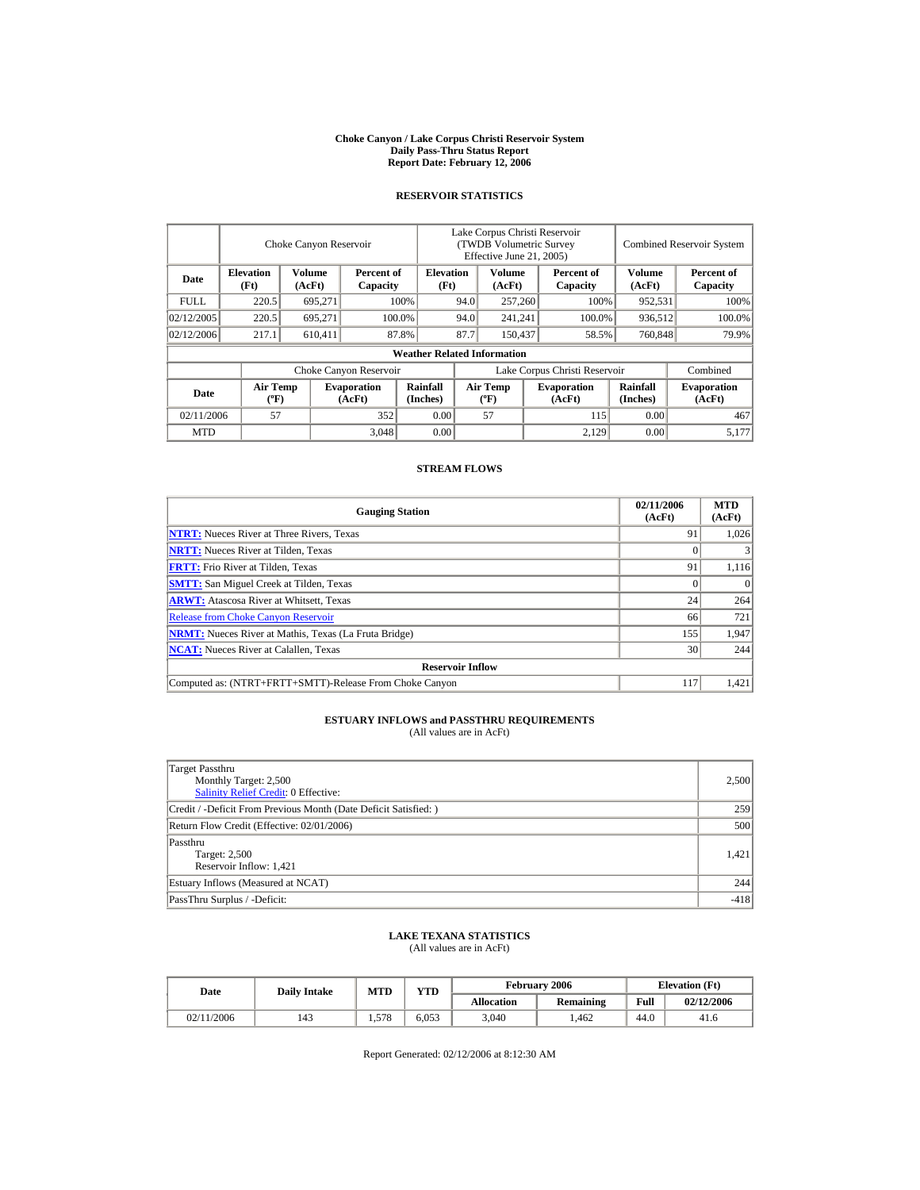#### **Choke Canyon / Lake Corpus Christi Reservoir System Daily Pass-Thru Status Report Report Date: February 12, 2006**

#### **RESERVOIR STATISTICS**

|             | Choke Canyon Reservoir                      |                  |                              |                                    | Lake Corpus Christi Reservoir<br>(TWDB Volumetric Survey<br>Effective June 21, 2005) |                                             |  |                              | <b>Combined Reservoir System</b> |                              |  |
|-------------|---------------------------------------------|------------------|------------------------------|------------------------------------|--------------------------------------------------------------------------------------|---------------------------------------------|--|------------------------------|----------------------------------|------------------------------|--|
| Date        | <b>Elevation</b><br>(Ft)                    | Volume<br>(AcFt) | Percent of<br>Capacity       | <b>Elevation</b><br>(Ft)           |                                                                                      | Volume<br>(AcFt)                            |  | Percent of<br>Capacity       | Volume<br>(AcFt)                 | Percent of<br>Capacity       |  |
| <b>FULL</b> | 220.5                                       | 695,271          |                              | 100%                               | 94.0                                                                                 | 257,260                                     |  | 100%                         | 952,531                          | 100%                         |  |
| 02/12/2005  | 220.5                                       | 695.271          |                              | 100.0%                             | 94.0                                                                                 | 241,241                                     |  | 100.0%                       | 936,512                          | 100.0%                       |  |
| 02/12/2006  | 217.1                                       | 610,411          |                              | 87.8%                              | 87.7                                                                                 | 150,437                                     |  | 58.5%                        | 760,848                          | 79.9%                        |  |
|             |                                             |                  |                              | <b>Weather Related Information</b> |                                                                                      |                                             |  |                              |                                  |                              |  |
|             |                                             |                  | Choke Canyon Reservoir       |                                    | Lake Corpus Christi Reservoir                                                        |                                             |  |                              |                                  | Combined                     |  |
| Date        | <b>Air Temp</b><br>$({}^{\circ}\mathrm{F})$ |                  | <b>Evaporation</b><br>(AcFt) | Rainfall<br>(Inches)               |                                                                                      | <b>Air Temp</b><br>$({}^{\circ}\mathbf{F})$ |  | <b>Evaporation</b><br>(AcFt) | <b>Rainfall</b><br>(Inches)      | <b>Evaporation</b><br>(AcFt) |  |
| 02/11/2006  | 57                                          |                  | 352                          | 0.00                               |                                                                                      | 57                                          |  | 115                          | 0.00                             | 467                          |  |
| <b>MTD</b>  |                                             |                  | 3,048                        | 0.00                               |                                                                                      |                                             |  | 2.129                        | 0.00                             | 5.177                        |  |

### **STREAM FLOWS**

| <b>Gauging Station</b>                                       | 02/11/2006<br>(AcFt) | <b>MTD</b><br>(AcFt) |  |  |  |  |
|--------------------------------------------------------------|----------------------|----------------------|--|--|--|--|
| <b>NTRT:</b> Nueces River at Three Rivers, Texas             | 91                   | 1,026                |  |  |  |  |
| <b>NRTT:</b> Nueces River at Tilden, Texas                   |                      |                      |  |  |  |  |
| <b>FRTT:</b> Frio River at Tilden, Texas                     | 91                   | 1,116                |  |  |  |  |
| <b>SMTT:</b> San Miguel Creek at Tilden, Texas               |                      | $\Omega$             |  |  |  |  |
| <b>ARWT:</b> Atascosa River at Whitsett, Texas               | 24                   | 264                  |  |  |  |  |
| <b>Release from Choke Canyon Reservoir</b>                   | 66                   | 721                  |  |  |  |  |
| <b>NRMT:</b> Nueces River at Mathis, Texas (La Fruta Bridge) | 155                  | 1,947                |  |  |  |  |
| <b>NCAT:</b> Nueces River at Calallen, Texas                 | 30                   | 244                  |  |  |  |  |
| <b>Reservoir Inflow</b>                                      |                      |                      |  |  |  |  |
| Computed as: (NTRT+FRTT+SMTT)-Release From Choke Canyon      | 117                  | 1.421                |  |  |  |  |

# **ESTUARY INFLOWS and PASSTHRU REQUIREMENTS**<br>(All values are in AcFt)

| Target Passthru<br>Monthly Target: 2,500<br><b>Salinity Relief Credit: 0 Effective:</b> | 2,500  |
|-----------------------------------------------------------------------------------------|--------|
| Credit / -Deficit From Previous Month (Date Deficit Satisfied: )                        | 259    |
| Return Flow Credit (Effective: 02/01/2006)                                              | 500    |
| Passthru<br>Target: 2,500<br>Reservoir Inflow: 1,421                                    | 1,421  |
| Estuary Inflows (Measured at NCAT)                                                      | 244    |
| PassThru Surplus / -Deficit:                                                            | $-418$ |

### **LAKE TEXANA STATISTICS**

(All values are in AcFt)

| Date       | <b>Daily Intake</b> | MTD   | <b>YTD</b> |                   | February 2006    | <b>Elevation</b> (Ft) |            |
|------------|---------------------|-------|------------|-------------------|------------------|-----------------------|------------|
|            |                     |       |            | <b>Allocation</b> | <b>Remaining</b> | Full                  | 02/12/2006 |
| 02/11/2006 | 143                 | 1.578 | 6,053      | 3,040             | .462             | 44.0                  | 41.6       |

Report Generated: 02/12/2006 at 8:12:30 AM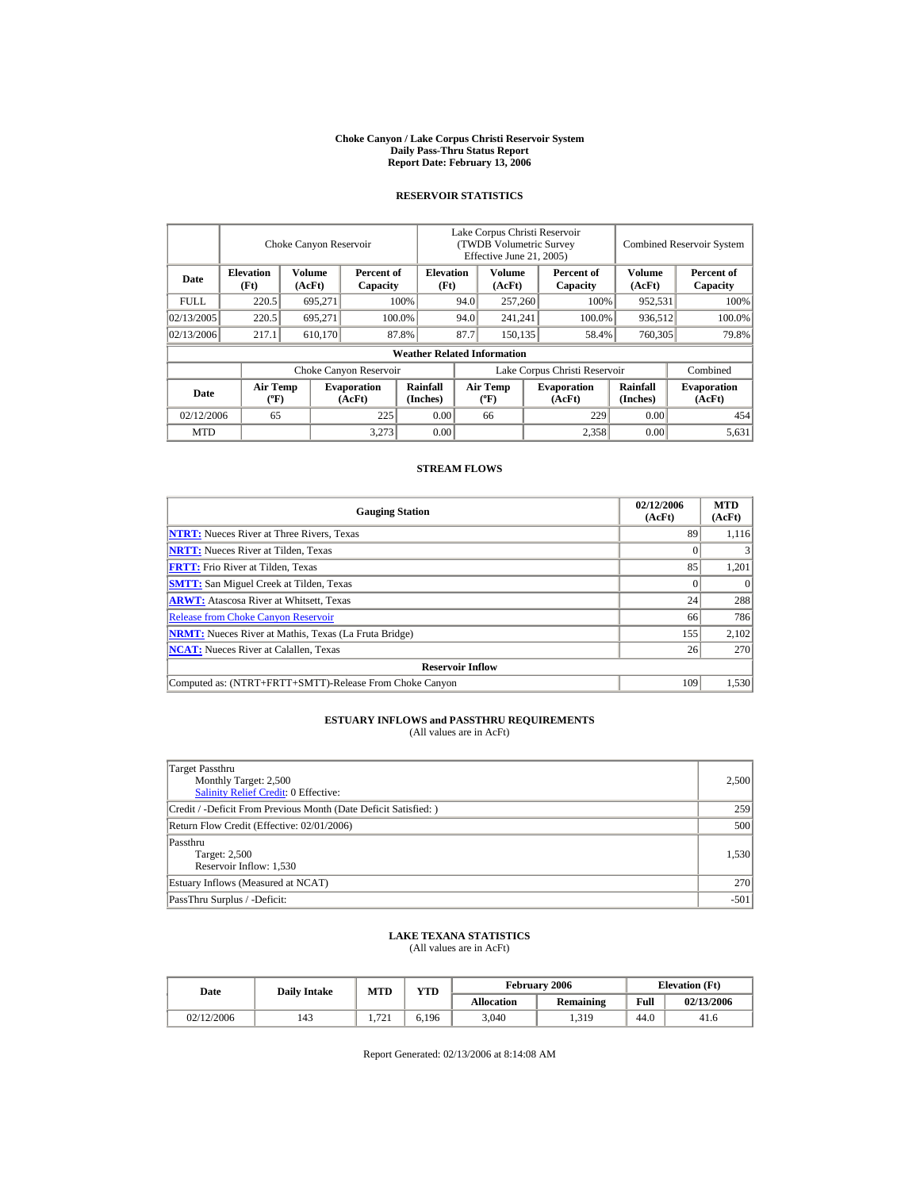#### **Choke Canyon / Lake Corpus Christi Reservoir System Daily Pass-Thru Status Report Report Date: February 13, 2006**

#### **RESERVOIR STATISTICS**

|            | Choke Canyon Reservoir                      |                  |                              |                                    | Lake Corpus Christi Reservoir<br>(TWDB Volumetric Survey<br>Effective June 21, 2005) |                                             |  |                              | <b>Combined Reservoir System</b> |                              |  |
|------------|---------------------------------------------|------------------|------------------------------|------------------------------------|--------------------------------------------------------------------------------------|---------------------------------------------|--|------------------------------|----------------------------------|------------------------------|--|
| Date       | <b>Elevation</b><br>(Ft)                    | Volume<br>(AcFt) | Percent of<br>Capacity       | <b>Elevation</b><br>(Ft)           |                                                                                      | Volume<br>(AcFt)                            |  | Percent of<br>Capacity       | Volume<br>(AcFt)                 | Percent of<br>Capacity       |  |
| FULL.      | 220.5                                       | 695,271          |                              | 100%                               | 94.0                                                                                 | 257,260                                     |  | 100%                         | 952,531                          | 100%                         |  |
| 02/13/2005 | 220.5                                       | 695.271          |                              | 100.0%                             | 94.0                                                                                 | 241,241                                     |  | 100.0%                       | 936,512                          | 100.0%                       |  |
| 02/13/2006 | 217.1                                       | 610,170          |                              | 87.8%                              | 87.7                                                                                 | 150.135                                     |  | 58.4%                        | 760,305                          | 79.8%                        |  |
|            |                                             |                  |                              | <b>Weather Related Information</b> |                                                                                      |                                             |  |                              |                                  |                              |  |
|            |                                             |                  | Choke Canyon Reservoir       |                                    | Lake Corpus Christi Reservoir                                                        |                                             |  |                              |                                  | Combined                     |  |
| Date       | <b>Air Temp</b><br>$({}^{\circ}\mathrm{F})$ |                  | <b>Evaporation</b><br>(AcFt) | Rainfall<br>(Inches)               |                                                                                      | <b>Air Temp</b><br>$({}^{\circ}\mathbf{F})$ |  | <b>Evaporation</b><br>(AcFt) | Rainfall<br>(Inches)             | <b>Evaporation</b><br>(AcFt) |  |
| 02/12/2006 | 65                                          |                  | 225                          | 0.00                               |                                                                                      | 66                                          |  | 229                          | 0.00                             | 454                          |  |
| <b>MTD</b> |                                             |                  | 3.273                        | 0.00                               |                                                                                      |                                             |  | 2,358                        | 0.00                             | 5,631                        |  |

### **STREAM FLOWS**

| <b>Gauging Station</b>                                       | 02/12/2006<br>(AcFt) | <b>MTD</b><br>(AcFt) |
|--------------------------------------------------------------|----------------------|----------------------|
| <b>NTRT:</b> Nueces River at Three Rivers, Texas             | 89                   | 1.116                |
| <b>NRTT:</b> Nueces River at Tilden, Texas                   |                      |                      |
| <b>FRTT:</b> Frio River at Tilden, Texas                     | 85                   | 1,201                |
| <b>SMTT:</b> San Miguel Creek at Tilden, Texas               |                      | $\theta$             |
| <b>ARWT:</b> Atascosa River at Whitsett, Texas               | 24                   | 288                  |
| <b>Release from Choke Canyon Reservoir</b>                   | 66                   | 786                  |
| <b>NRMT:</b> Nueces River at Mathis, Texas (La Fruta Bridge) | 155                  | 2,102                |
| <b>NCAT:</b> Nueces River at Calallen, Texas                 | 26                   | 270                  |
| <b>Reservoir Inflow</b>                                      |                      |                      |
| Computed as: (NTRT+FRTT+SMTT)-Release From Choke Canyon      | 109                  | 1.530                |

# **ESTUARY INFLOWS and PASSTHRU REQUIREMENTS**<br>(All values are in AcFt)

| Target Passthru<br>Monthly Target: 2,500<br><b>Salinity Relief Credit: 0 Effective:</b> | 2,500  |
|-----------------------------------------------------------------------------------------|--------|
| Credit / -Deficit From Previous Month (Date Deficit Satisfied:)                         | 259    |
| Return Flow Credit (Effective: 02/01/2006)                                              | 500    |
| Passthru<br>Target: 2,500<br>Reservoir Inflow: 1,530                                    | 1,530  |
| Estuary Inflows (Measured at NCAT)                                                      | 270    |
| PassThru Surplus / -Deficit:                                                            | $-501$ |

### **LAKE TEXANA STATISTICS**

(All values are in AcFt)

| <b>Date</b> | <b>Daily Intake</b> | MTD      | <b>YTD</b> |                   | <b>February 2006</b> | <b>Elevation</b> (Ft) |            |
|-------------|---------------------|----------|------------|-------------------|----------------------|-----------------------|------------|
|             |                     |          |            | <b>Allocation</b> | <b>Remaining</b>     | Full                  | 02/13/2006 |
| 02/12/2006  | 143                 | 721<br>. | 6,196      | 3,040             | 1,319                | 44.0                  | 41.6       |

Report Generated: 02/13/2006 at 8:14:08 AM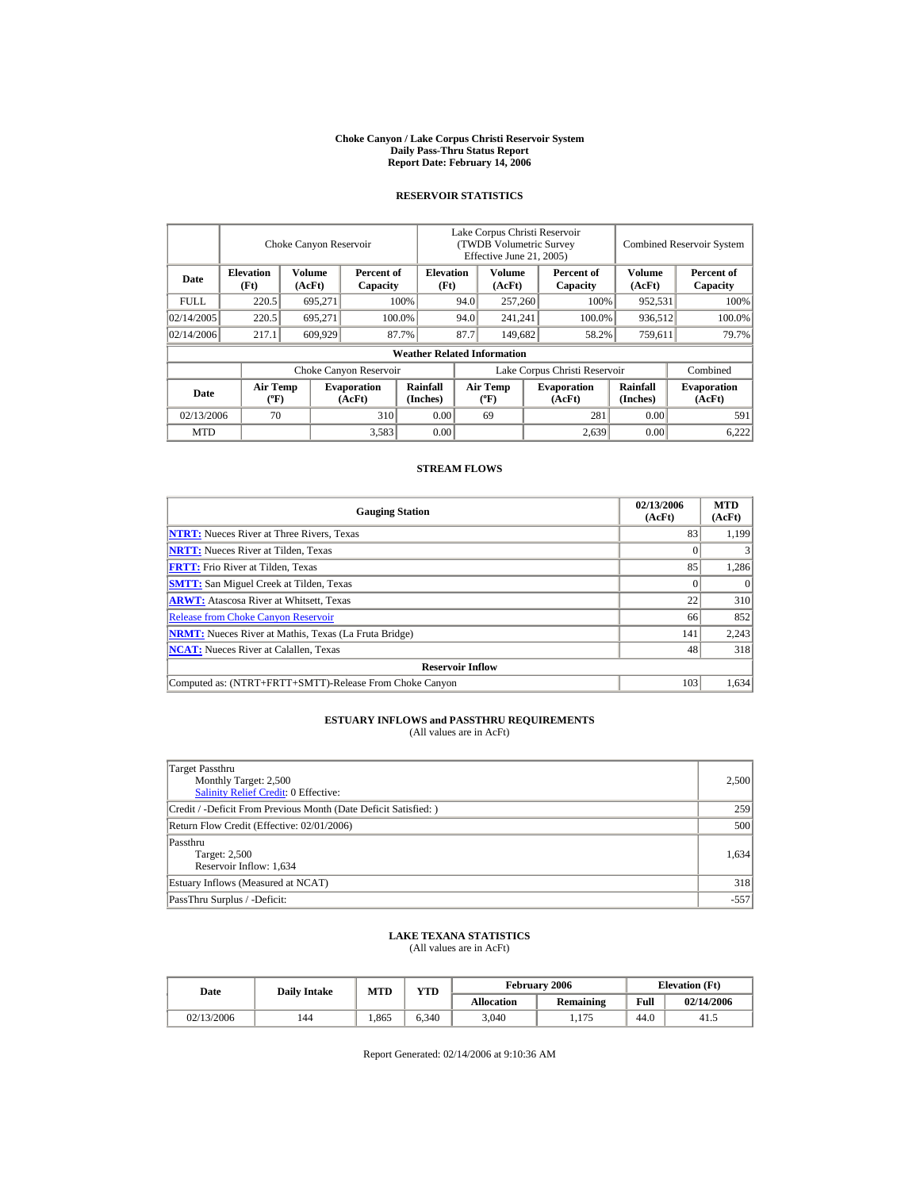#### **Choke Canyon / Lake Corpus Christi Reservoir System Daily Pass-Thru Status Report Report Date: February 14, 2006**

#### **RESERVOIR STATISTICS**

|            | Choke Canyon Reservoir                      |                  |                              |                                    | Lake Corpus Christi Reservoir<br>(TWDB Volumetric Survey<br>Effective June 21, 2005) |                                             |  |                              | <b>Combined Reservoir System</b> |                              |  |
|------------|---------------------------------------------|------------------|------------------------------|------------------------------------|--------------------------------------------------------------------------------------|---------------------------------------------|--|------------------------------|----------------------------------|------------------------------|--|
| Date       | <b>Elevation</b><br>(Ft)                    | Volume<br>(AcFt) | Percent of<br>Capacity       | <b>Elevation</b><br>(Ft)           |                                                                                      | Volume<br>(AcFt)                            |  | Percent of<br>Capacity       | Volume<br>(AcFt)                 | Percent of<br>Capacity       |  |
| FULL.      | 220.5                                       | 695,271          |                              | 100%                               | 94.0                                                                                 | 257,260                                     |  | 100%                         | 952,531                          | 100%                         |  |
| 02/14/2005 | 220.5                                       | 695.271          |                              | 100.0%                             | 94.0                                                                                 | 241,241                                     |  | 100.0%                       | 936,512                          | 100.0%                       |  |
| 02/14/2006 | 217.1                                       | 609,929          |                              | 87.7%                              | 87.7<br>149,682                                                                      |                                             |  | 58.2%                        | 759,611                          | 79.7%                        |  |
|            |                                             |                  |                              | <b>Weather Related Information</b> |                                                                                      |                                             |  |                              |                                  |                              |  |
|            |                                             |                  | Choke Canyon Reservoir       |                                    | Lake Corpus Christi Reservoir                                                        |                                             |  |                              |                                  | Combined                     |  |
| Date       | <b>Air Temp</b><br>$({}^{\circ}\mathrm{F})$ |                  | <b>Evaporation</b><br>(AcFt) | Rainfall<br>(Inches)               |                                                                                      | <b>Air Temp</b><br>$({}^{\circ}\mathbf{F})$ |  | <b>Evaporation</b><br>(AcFt) | Rainfall<br>(Inches)             | <b>Evaporation</b><br>(AcFt) |  |
| 02/13/2006 | 70                                          |                  | 310                          | 0.00                               |                                                                                      | 69                                          |  | 281                          | 0.00                             | 591                          |  |
| <b>MTD</b> |                                             |                  | 3,583                        | 0.00                               |                                                                                      |                                             |  | 2,639                        | 0.00                             | 6,222                        |  |

### **STREAM FLOWS**

| <b>Gauging Station</b>                                       | 02/13/2006<br>(AcFt) | <b>MTD</b><br>(AcFt) |
|--------------------------------------------------------------|----------------------|----------------------|
| <b>NTRT:</b> Nueces River at Three Rivers, Texas             | 83                   | 1.199                |
| <b>NRTT:</b> Nueces River at Tilden, Texas                   |                      |                      |
| <b>FRTT:</b> Frio River at Tilden, Texas                     | 85                   | 1,286                |
| <b>SMTT:</b> San Miguel Creek at Tilden, Texas               |                      | $\Omega$             |
| <b>ARWT:</b> Atascosa River at Whitsett, Texas               | 22                   | 310                  |
| <b>Release from Choke Canyon Reservoir</b>                   | 66                   | 852                  |
| <b>NRMT:</b> Nueces River at Mathis, Texas (La Fruta Bridge) | 141                  | 2,243                |
| <b>NCAT:</b> Nueces River at Calallen. Texas                 | 48                   | 318                  |
| <b>Reservoir Inflow</b>                                      |                      |                      |
| Computed as: (NTRT+FRTT+SMTT)-Release From Choke Canyon      | 103                  | 1.634                |

# **ESTUARY INFLOWS and PASSTHRU REQUIREMENTS**<br>(All values are in AcFt)

| Target Passthru<br>Monthly Target: 2,500<br><b>Salinity Relief Credit: 0 Effective:</b> | 2,500  |
|-----------------------------------------------------------------------------------------|--------|
| Credit / -Deficit From Previous Month (Date Deficit Satisfied: )                        | 259    |
| Return Flow Credit (Effective: 02/01/2006)                                              | 500    |
| Passthru<br>Target: 2,500<br>Reservoir Inflow: 1,634                                    | 1.634  |
| Estuary Inflows (Measured at NCAT)                                                      | 318    |
| PassThru Surplus / -Deficit:                                                            | $-557$ |

### **LAKE TEXANA STATISTICS**

(All values are in AcFt)

| Date       | <b>Daily Intake</b> | <b>MTD</b> | <b>VTD</b> |                   | <b>February 2006</b> |      | <b>Elevation</b> (Ft) |
|------------|---------------------|------------|------------|-------------------|----------------------|------|-----------------------|
|            |                     |            |            | <b>Allocation</b> | Remaining            | Full | 02/14/2006            |
| 02/13/2006 | 144                 | .865       | 6,340      | 3,040             | 1,175                | 44.0 | -41.5                 |

Report Generated: 02/14/2006 at 9:10:36 AM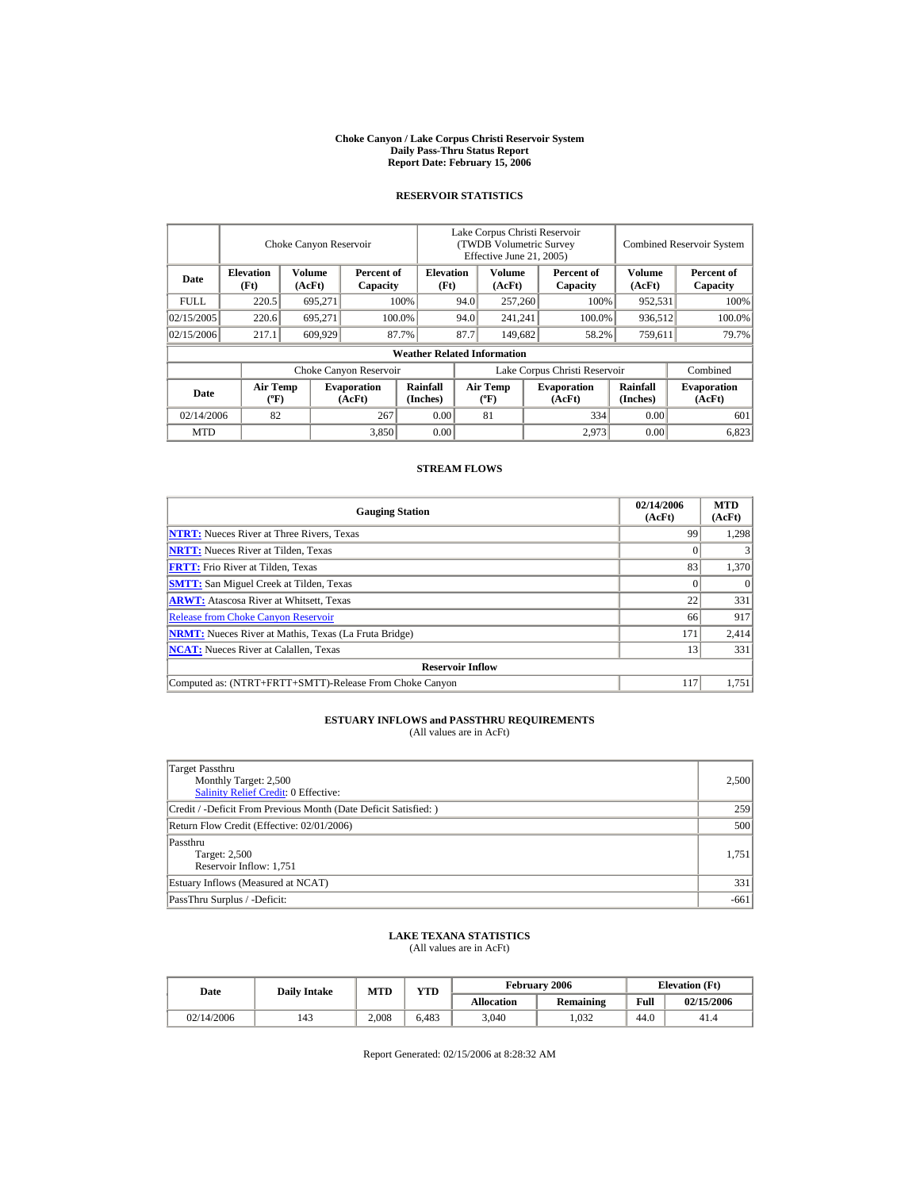#### **Choke Canyon / Lake Corpus Christi Reservoir System Daily Pass-Thru Status Report Report Date: February 15, 2006**

#### **RESERVOIR STATISTICS**

|            | Choke Canyon Reservoir                      |                  |                              |                                    | Lake Corpus Christi Reservoir<br>(TWDB Volumetric Survey<br>Effective June 21, 2005) |                                             |  |                              |                      | <b>Combined Reservoir System</b> |  |  |
|------------|---------------------------------------------|------------------|------------------------------|------------------------------------|--------------------------------------------------------------------------------------|---------------------------------------------|--|------------------------------|----------------------|----------------------------------|--|--|
| Date       | <b>Elevation</b><br>(Ft)                    | Volume<br>(AcFt) | Percent of<br>Capacity       | <b>Elevation</b><br>(Ft)           |                                                                                      | Volume<br>(AcFt)                            |  | Percent of<br>Capacity       | Volume<br>(AcFt)     | Percent of<br>Capacity           |  |  |
| FULL.      | 220.5                                       | 695,271          |                              | 100%                               | 94.0                                                                                 | 257,260                                     |  | 100%                         | 952,531              | 100%                             |  |  |
| 02/15/2005 | 220.6                                       | 695.271          |                              | 100.0%                             | 94.0                                                                                 | 241,241                                     |  | 100.0%                       | 936,512              | 100.0%                           |  |  |
| 02/15/2006 | 217.1                                       | 609,929          |                              | 87.7%                              | 87.7                                                                                 | 149,682                                     |  | 58.2%                        | 759,611              | 79.7%                            |  |  |
|            |                                             |                  |                              | <b>Weather Related Information</b> |                                                                                      |                                             |  |                              |                      |                                  |  |  |
|            |                                             |                  | Choke Canyon Reservoir       |                                    | Lake Corpus Christi Reservoir                                                        |                                             |  |                              |                      | Combined                         |  |  |
| Date       | <b>Air Temp</b><br>$({}^{\circ}\mathrm{F})$ |                  | <b>Evaporation</b><br>(AcFt) | Rainfall<br>(Inches)               |                                                                                      | <b>Air Temp</b><br>$({}^{\circ}\mathbf{F})$ |  | <b>Evaporation</b><br>(AcFt) | Rainfall<br>(Inches) | <b>Evaporation</b><br>(AcFt)     |  |  |
| 02/14/2006 | 82                                          |                  | 267                          | 0.00                               |                                                                                      | 81                                          |  | 334                          | 0.00                 | 601                              |  |  |
| <b>MTD</b> |                                             |                  | 3,850                        | 0.00                               |                                                                                      |                                             |  | 2.973                        | 0.00                 | 6,823                            |  |  |

### **STREAM FLOWS**

| <b>Gauging Station</b>                                       | 02/14/2006<br>(AcFt) | <b>MTD</b><br>(AcFt) |
|--------------------------------------------------------------|----------------------|----------------------|
| <b>NTRT:</b> Nueces River at Three Rivers, Texas             | 99                   | 1,298                |
| <b>NRTT:</b> Nueces River at Tilden, Texas                   |                      |                      |
| <b>FRTT:</b> Frio River at Tilden, Texas                     | 83                   | 1,370                |
| <b>SMTT:</b> San Miguel Creek at Tilden, Texas               |                      | $\theta$             |
| <b>ARWT:</b> Atascosa River at Whitsett, Texas               | 22                   | 331                  |
| <b>Release from Choke Canyon Reservoir</b>                   | 66                   | 917                  |
| <b>NRMT:</b> Nueces River at Mathis, Texas (La Fruta Bridge) | 171                  | 2,414                |
| <b>NCAT:</b> Nueces River at Calallen, Texas                 | 13                   | 331                  |
| <b>Reservoir Inflow</b>                                      |                      |                      |
| Computed as: (NTRT+FRTT+SMTT)-Release From Choke Canyon      | 117                  | 1.751                |

# **ESTUARY INFLOWS and PASSTHRU REQUIREMENTS**<br>(All values are in AcFt)

| Target Passthru<br>Monthly Target: 2,500<br>Salinity Relief Credit: 0 Effective: | 2,500  |
|----------------------------------------------------------------------------------|--------|
| Credit / -Deficit From Previous Month (Date Deficit Satisfied:)                  | 259    |
| Return Flow Credit (Effective: 02/01/2006)                                       | 500    |
| Passthru<br>Target: 2,500<br>Reservoir Inflow: 1,751                             | 1,751  |
| Estuary Inflows (Measured at NCAT)                                               | 331    |
| PassThru Surplus / -Deficit:                                                     | $-661$ |

### **LAKE TEXANA STATISTICS**

(All values are in AcFt)

| Date       | <b>Daily Intake</b> | VTD<br><b>MTD</b> |       |                   | <b>February 2006</b> | <b>Elevation</b> (Ft) |            |
|------------|---------------------|-------------------|-------|-------------------|----------------------|-----------------------|------------|
|            |                     |                   |       | <b>Allocation</b> | Remaining            | Full                  | 02/15/2006 |
| 02/14/2006 | 143                 | 2.008             | 6.483 | 3.040             | 1.032                | 44.0                  | 41.4       |

Report Generated: 02/15/2006 at 8:28:32 AM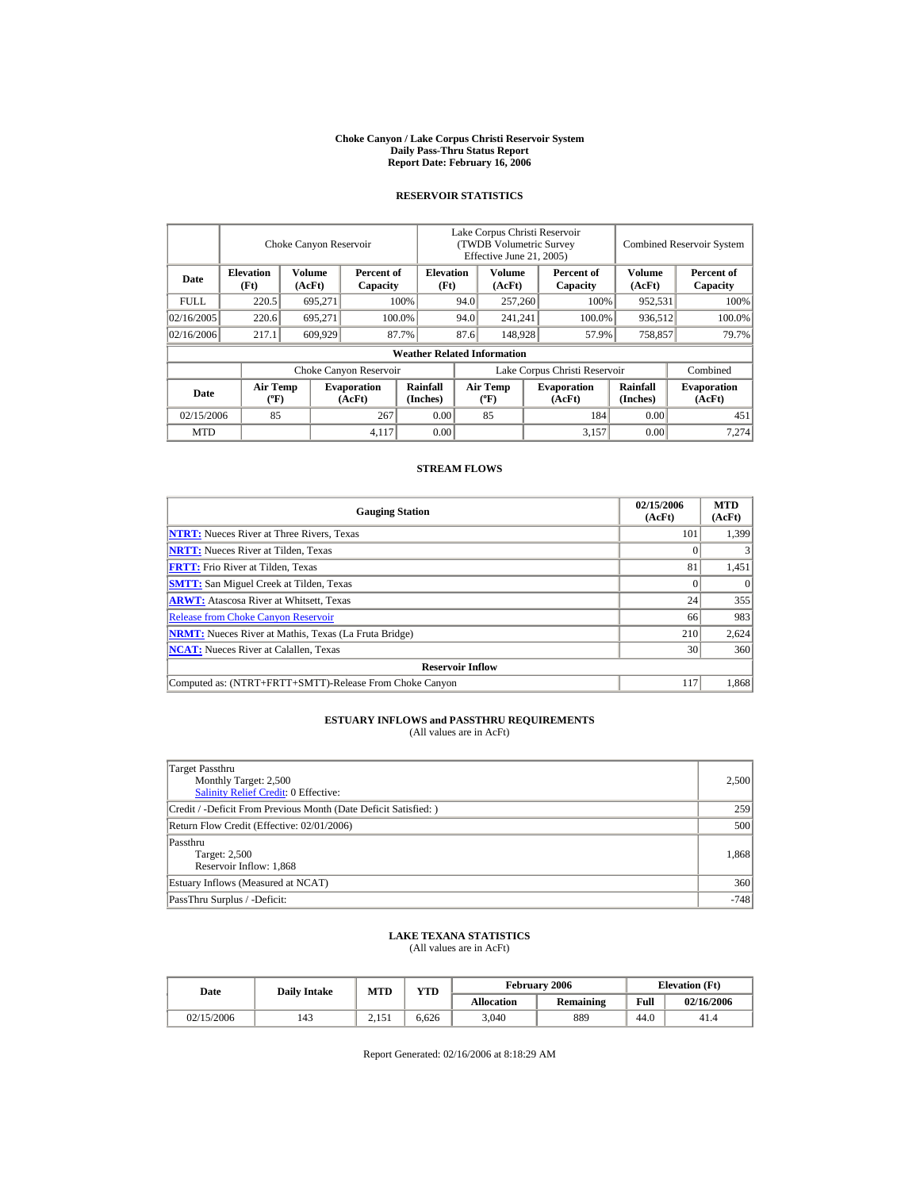#### **Choke Canyon / Lake Corpus Christi Reservoir System Daily Pass-Thru Status Report Report Date: February 16, 2006**

### **RESERVOIR STATISTICS**

|             |                                             | Choke Canyon Reservoir |                              |                                    | Lake Corpus Christi Reservoir<br>(TWDB Volumetric Survey<br>Effective June 21, 2005) |                                             |  |                              |                             | <b>Combined Reservoir System</b> |
|-------------|---------------------------------------------|------------------------|------------------------------|------------------------------------|--------------------------------------------------------------------------------------|---------------------------------------------|--|------------------------------|-----------------------------|----------------------------------|
| Date        | <b>Elevation</b><br>(Ft)                    | Volume<br>(AcFt)       | Percent of<br>Capacity       | <b>Elevation</b><br>(Ft)           |                                                                                      | Volume<br>(AcFt)                            |  | Percent of<br>Capacity       | Volume<br>(AcFt)            | Percent of<br>Capacity           |
| <b>FULL</b> | 220.5                                       | 695,271                |                              | 100%                               | 94.0                                                                                 | 257,260                                     |  | 100%                         | 952,531                     | 100%                             |
| 02/16/2005  | 220.6                                       | 695.271                |                              | 100.0%                             | 94.0                                                                                 | 241,241                                     |  | 100.0%                       | 936,512                     | 100.0%                           |
| 02/16/2006  | 217.1                                       | 609,929                |                              | 87.7%                              | 87.6                                                                                 | 148,928                                     |  | 57.9%                        | 758,857                     | 79.7%                            |
|             |                                             |                        |                              | <b>Weather Related Information</b> |                                                                                      |                                             |  |                              |                             |                                  |
|             |                                             |                        | Choke Canyon Reservoir       |                                    | Lake Corpus Christi Reservoir                                                        |                                             |  |                              |                             | Combined                         |
| Date        | <b>Air Temp</b><br>$({}^{\circ}\mathrm{F})$ |                        | <b>Evaporation</b><br>(AcFt) | Rainfall<br>(Inches)               |                                                                                      | <b>Air Temp</b><br>$({}^{\circ}\mathbf{F})$ |  | <b>Evaporation</b><br>(AcFt) | <b>Rainfall</b><br>(Inches) | <b>Evaporation</b><br>(AcFt)     |
| 02/15/2006  | 85                                          |                        | 267                          | 0.00                               |                                                                                      | 85                                          |  | 184                          | 0.00                        | 451                              |
| <b>MTD</b>  |                                             |                        | 4,117                        | 0.00                               |                                                                                      |                                             |  | 3,157                        | 0.00                        | 7,274                            |

### **STREAM FLOWS**

| <b>Gauging Station</b>                                       | 02/15/2006<br>(AcFt) | <b>MTD</b><br>(AcFt) |
|--------------------------------------------------------------|----------------------|----------------------|
| <b>NTRT:</b> Nueces River at Three Rivers, Texas             | 101                  | 1,399                |
| <b>NRTT:</b> Nueces River at Tilden, Texas                   |                      |                      |
| <b>FRTT:</b> Frio River at Tilden, Texas                     | 81                   | 1,451                |
| <b>SMTT:</b> San Miguel Creek at Tilden, Texas               |                      | $\theta$             |
| <b>ARWT:</b> Atascosa River at Whitsett, Texas               | 24                   | 355                  |
| <b>Release from Choke Canyon Reservoir</b>                   | 66                   | 983                  |
| <b>NRMT:</b> Nueces River at Mathis, Texas (La Fruta Bridge) | 210                  | 2,624                |
| <b>NCAT:</b> Nueces River at Calallen, Texas                 | 30                   | 360                  |
| <b>Reservoir Inflow</b>                                      |                      |                      |
| Computed as: (NTRT+FRTT+SMTT)-Release From Choke Canyon      | 117                  | 1.868                |

# **ESTUARY INFLOWS and PASSTHRU REQUIREMENTS**<br>(All values are in AcFt)

| Target Passthru<br>Monthly Target: 2,500<br>Salinity Relief Credit: 0 Effective: | 2,500  |
|----------------------------------------------------------------------------------|--------|
| Credit / -Deficit From Previous Month (Date Deficit Satisfied:)                  | 259    |
| Return Flow Credit (Effective: 02/01/2006)                                       | 500    |
| Passthru<br>Target: 2,500<br>Reservoir Inflow: 1,868                             | 1,868  |
| Estuary Inflows (Measured at NCAT)                                               | 360    |
| PassThru Surplus / -Deficit:                                                     | $-748$ |

### **LAKE TEXANA STATISTICS**

(All values are in AcFt)

| Date       | <b>Daily Intake</b> | <b>MTD</b> | <b>YTD</b> |                   | February 2006 |      | <b>Elevation</b> (Ft) |
|------------|---------------------|------------|------------|-------------------|---------------|------|-----------------------|
|            |                     |            |            | <b>Allocation</b> | Remaining     | Full | 02/16/2006            |
| 02/15/2006 | 143                 | 2.151      | 6,626      | 3,040             | 889           | 44.0 | 41.4                  |

Report Generated: 02/16/2006 at 8:18:29 AM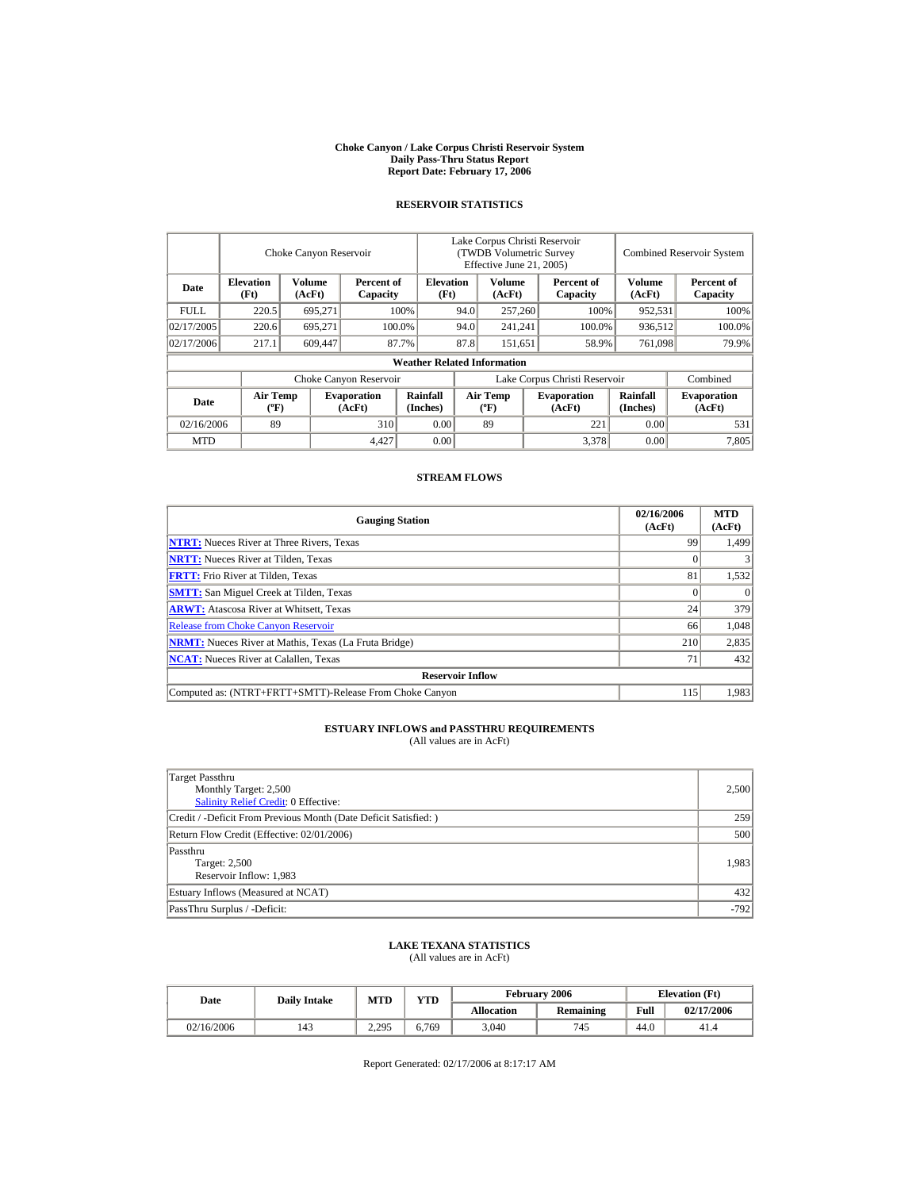#### **Choke Canyon / Lake Corpus Christi Reservoir System Daily Pass-Thru Status Report Report Date: February 17, 2006**

## **RESERVOIR STATISTICS**

|             |                                | Choke Canyon Reservoir |                              |                                    | Lake Corpus Christi Reservoir<br>(TWDB Volumetric Survey<br>Effective June 21, 2005) |                                    |                  |                              |                      | <b>Combined Reservoir System</b> |
|-------------|--------------------------------|------------------------|------------------------------|------------------------------------|--------------------------------------------------------------------------------------|------------------------------------|------------------|------------------------------|----------------------|----------------------------------|
| Date        | <b>Elevation</b><br>(Ft)       | Volume<br>(AcFt)       | Percent of<br>Capacity       | <b>Elevation</b><br>(Ft)           |                                                                                      | Volume<br>(AcFt)                   |                  | Percent of<br>Capacity       | Volume<br>(AcFt)     | Percent of<br>Capacity           |
| <b>FULL</b> | 220.5                          | 695.271                |                              | 100%                               |                                                                                      | 257,260                            |                  | 100%                         | 952,531              | 100%                             |
| 02/17/2005  | 220.6                          | 695.271                |                              | 100.0%                             | 94.0                                                                                 |                                    | 241.241          | 100.0%                       | 936.512              | 100.0%                           |
| 02/17/2006  | 217.1                          | 609,447                |                              | 87.7%                              | 87.8                                                                                 |                                    | 151.651<br>58.9% |                              | 761,098              | 79.9%                            |
|             |                                |                        |                              | <b>Weather Related Information</b> |                                                                                      |                                    |                  |                              |                      |                                  |
|             |                                |                        | Choke Canyon Reservoir       |                                    | Lake Corpus Christi Reservoir                                                        |                                    |                  |                              |                      | Combined                         |
| Date        | Air Temp<br>$({}^o\mathrm{F})$ |                        | <b>Evaporation</b><br>(AcFt) | Rainfall<br>(Inches)               |                                                                                      | Air Temp<br>$({}^{\circ}\text{F})$ |                  | <b>Evaporation</b><br>(AcFt) | Rainfall<br>(Inches) | <b>Evaporation</b><br>(AcFt)     |
| 02/16/2006  | 89                             |                        | 310                          | 0.00                               |                                                                                      | 89                                 |                  | 221                          | 0.00                 | 531                              |
| <b>MTD</b>  |                                |                        | 4.427                        | 0.00                               |                                                                                      |                                    |                  | 3,378                        | 0.00                 | 7,805                            |

#### **STREAM FLOWS**

| <b>Gauging Station</b>                                       | 02/16/2006<br>(AcFt) | <b>MTD</b><br>(AcFt) |
|--------------------------------------------------------------|----------------------|----------------------|
| <b>NTRT:</b> Nueces River at Three Rivers, Texas             | 99                   | 1,499                |
| <b>NRTT:</b> Nueces River at Tilden, Texas                   |                      |                      |
| <b>FRTT:</b> Frio River at Tilden, Texas                     | 81                   | 1.532                |
| <b>SMTT:</b> San Miguel Creek at Tilden, Texas               |                      |                      |
| <b>ARWT:</b> Atascosa River at Whitsett, Texas               | 24                   | 379                  |
| <b>Release from Choke Canyon Reservoir</b>                   | 66                   | 1,048                |
| <b>NRMT:</b> Nueces River at Mathis, Texas (La Fruta Bridge) | 210                  | 2,835                |
| <b>NCAT:</b> Nueces River at Calallen, Texas                 | 71                   | 432                  |
| <b>Reservoir Inflow</b>                                      |                      |                      |
| Computed as: (NTRT+FRTT+SMTT)-Release From Choke Canyon      | 115                  | 1,983                |

## **ESTUARY INFLOWS and PASSTHRU REQUIREMENTS**

(All values are in AcFt)

| Target Passthru<br>Monthly Target: 2,500<br>Salinity Relief Credit: 0 Effective: | 2,500  |
|----------------------------------------------------------------------------------|--------|
| Credit / -Deficit From Previous Month (Date Deficit Satisfied:)                  | 259    |
| Return Flow Credit (Effective: 02/01/2006)                                       | 500    |
| Passthru<br>Target: 2,500<br>Reservoir Inflow: 1,983                             | 1,983  |
| Estuary Inflows (Measured at NCAT)                                               | 432    |
| PassThru Surplus / -Deficit:                                                     | $-792$ |

#### **LAKE TEXANA STATISTICS** (All values are in AcFt)

| Date       |     | <b>YTD</b><br>MTD<br><b>Daily Intake</b> |       |                   | February 2006    | <b>Elevation</b> (Ft) |            |
|------------|-----|------------------------------------------|-------|-------------------|------------------|-----------------------|------------|
|            |     |                                          |       | <b>Allocation</b> | <b>Remaining</b> | Full                  | 02/17/2006 |
| 02/16/2006 | 143 | 2,295                                    | 6.769 | 3,040             | 745              | 44.0                  | 41.4       |

Report Generated: 02/17/2006 at 8:17:17 AM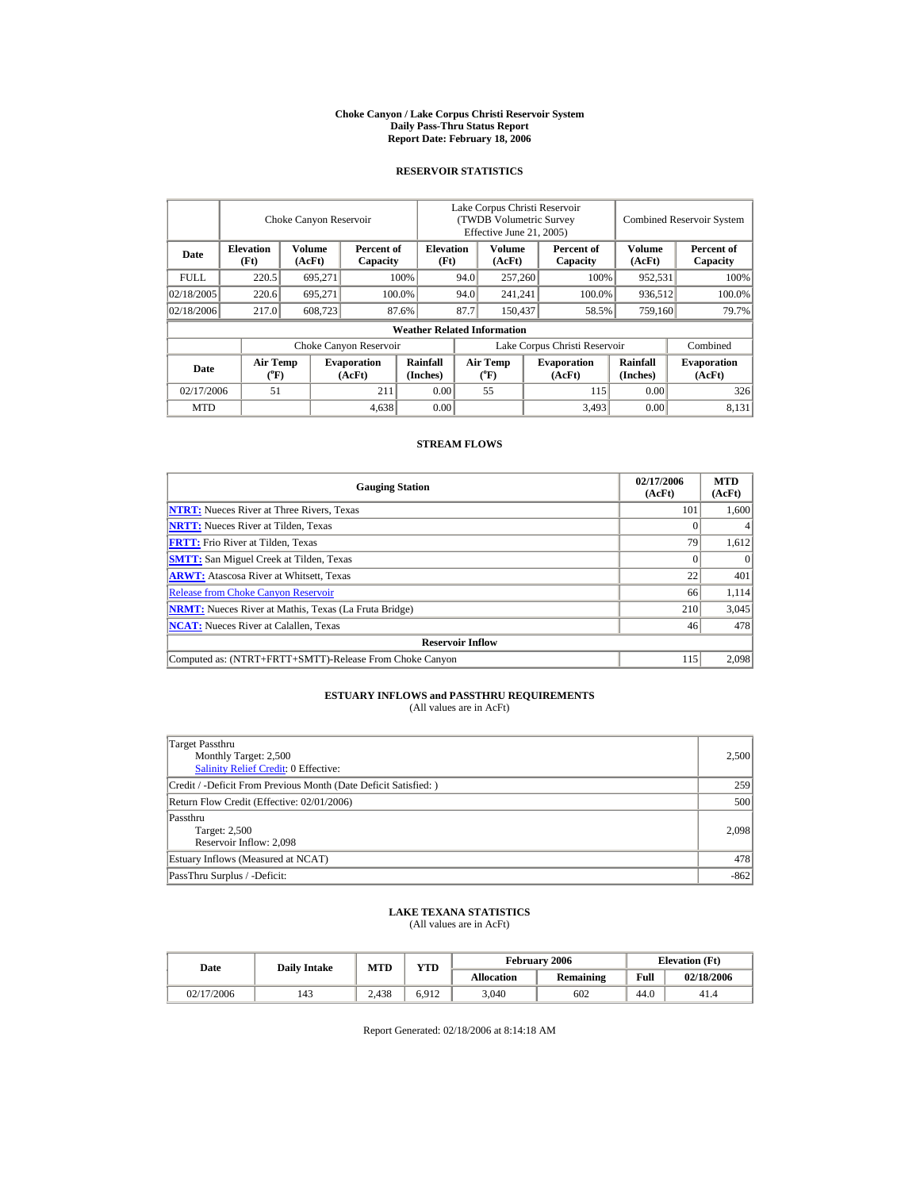#### **Choke Canyon / Lake Corpus Christi Reservoir System Daily Pass-Thru Status Report Report Date: February 18, 2006**

### **RESERVOIR STATISTICS**

|             |                          | Choke Canyon Reservoir |                              |                                    | Lake Corpus Christi Reservoir<br>(TWDB Volumetric Survey<br>Effective June 21, 2005) |                                         |  |                              |                      | <b>Combined Reservoir System</b> |
|-------------|--------------------------|------------------------|------------------------------|------------------------------------|--------------------------------------------------------------------------------------|-----------------------------------------|--|------------------------------|----------------------|----------------------------------|
| Date        | <b>Elevation</b><br>(Ft) | Volume<br>(AcFt)       | Percent of<br>Capacity       | <b>Elevation</b><br>(Ft)           |                                                                                      | Volume<br>(AcFt)                        |  | Percent of<br>Capacity       | Volume<br>(AcFt)     | Percent of<br>Capacity           |
| <b>FULL</b> | 220.5                    | 695.271                |                              | 100%                               | 94.0                                                                                 | 257,260                                 |  | 100%                         | 952,531              | 100%                             |
| 02/18/2005  | 220.6                    | 695,271                |                              | 100.0%                             | 94.0                                                                                 | 241.241                                 |  | 100.0%                       | 936.512              | 100.0%                           |
| 02/18/2006  | 217.0                    | 608,723                |                              | 87.6%                              | 87.7                                                                                 | 150,437                                 |  | 58.5%                        | 759,160              | 79.7%                            |
|             |                          |                        |                              | <b>Weather Related Information</b> |                                                                                      |                                         |  |                              |                      |                                  |
|             |                          |                        | Choke Canyon Reservoir       |                                    | Lake Corpus Christi Reservoir                                                        |                                         |  |                              |                      | Combined                         |
| Date        | <b>Air Temp</b><br>(°F)  |                        | <b>Evaporation</b><br>(AcFt) | Rainfall<br>(Inches)               |                                                                                      | <b>Air Temp</b><br>$(^{\circ}\text{F})$ |  | <b>Evaporation</b><br>(AcFt) | Rainfall<br>(Inches) | <b>Evaporation</b><br>(AcFt)     |
| 02/17/2006  | 51                       |                        | 211                          | 0.00                               |                                                                                      | 55                                      |  | 115                          | 0.00                 | 326                              |
| <b>MTD</b>  |                          |                        | 4,638                        | 0.00                               |                                                                                      |                                         |  | 3,493                        | 0.00                 | 8,131                            |

#### **STREAM FLOWS**

| <b>Gauging Station</b>                                       | 02/17/2006<br>(AcFt) | <b>MTD</b><br>(AcFt) |
|--------------------------------------------------------------|----------------------|----------------------|
| <b>NTRT:</b> Nueces River at Three Rivers, Texas             | 101                  | 1.600                |
| <b>NRTT:</b> Nueces River at Tilden, Texas                   |                      |                      |
| <b>FRTT:</b> Frio River at Tilden, Texas                     | 79                   | 1,612                |
| <b>SMTT:</b> San Miguel Creek at Tilden, Texas               |                      | $\Omega$             |
| <b>ARWT:</b> Atascosa River at Whitsett, Texas               | 22                   | 401                  |
| <b>Release from Choke Canyon Reservoir</b>                   | 66                   | 1,114                |
| <b>NRMT:</b> Nueces River at Mathis, Texas (La Fruta Bridge) | 210                  | 3,045                |
| <b>NCAT:</b> Nueces River at Calallen, Texas                 | 46                   | 478                  |
| <b>Reservoir Inflow</b>                                      |                      |                      |
| Computed as: (NTRT+FRTT+SMTT)-Release From Choke Canyon      | 115                  | 2.098                |

## **ESTUARY INFLOWS and PASSTHRU REQUIREMENTS**<br>(All values are in AcFt)

| Target Passthru                                                 |        |
|-----------------------------------------------------------------|--------|
| Monthly Target: 2,500                                           | 2,500  |
| Salinity Relief Credit: 0 Effective:                            |        |
| Credit / -Deficit From Previous Month (Date Deficit Satisfied:) | 259    |
| Return Flow Credit (Effective: 02/01/2006)                      | 500    |
| Passthru                                                        |        |
| Target: 2,500                                                   | 2,098  |
| Reservoir Inflow: 2,098                                         |        |
| Estuary Inflows (Measured at NCAT)                              | 478    |
| PassThru Surplus / -Deficit:                                    | $-862$ |

## **LAKE TEXANA STATISTICS** (All values are in AcFt)

| Date       | <b>Daily Intake</b> | MTD   | <b>YTD</b> |                   | <b>February 2006</b> | <b>Elevation</b> (Ft) |            |
|------------|---------------------|-------|------------|-------------------|----------------------|-----------------------|------------|
|            |                     |       |            | <b>Allocation</b> | Remaining            | Full                  | 02/18/2006 |
| 02/17/2006 | 143                 | 2.438 | 6.912      | 3.040             | 602                  | 44.0                  | 41.4       |

Report Generated: 02/18/2006 at 8:14:18 AM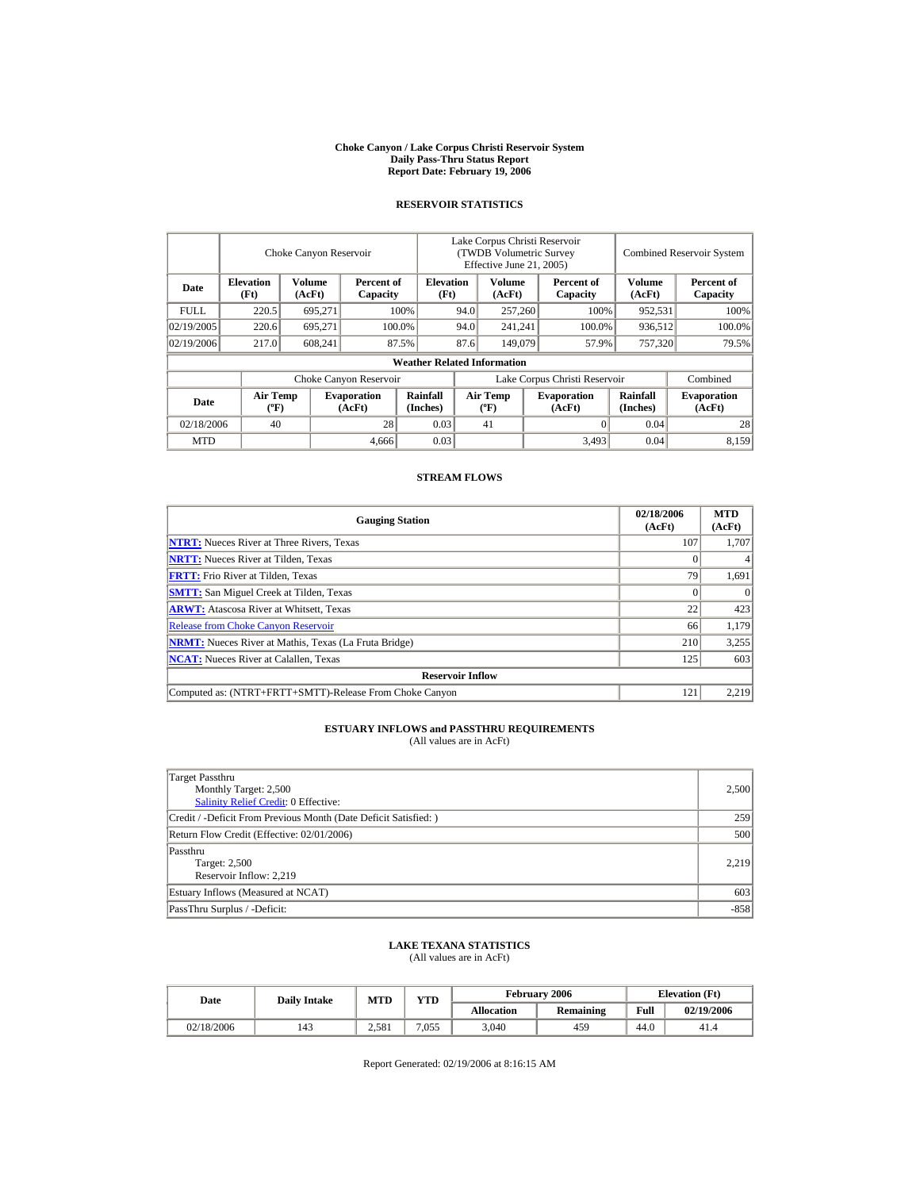#### **Choke Canyon / Lake Corpus Christi Reservoir System Daily Pass-Thru Status Report Report Date: February 19, 2006**

## **RESERVOIR STATISTICS**

|             | Choke Canyon Reservoir                      |                  |                              |                                    | Lake Corpus Christi Reservoir<br>(TWDB Volumetric Survey<br>Effective June 21, 2005) |                                             |  |                              | <b>Combined Reservoir System</b> |                              |
|-------------|---------------------------------------------|------------------|------------------------------|------------------------------------|--------------------------------------------------------------------------------------|---------------------------------------------|--|------------------------------|----------------------------------|------------------------------|
| Date        | <b>Elevation</b><br>(Ft)                    | Volume<br>(AcFt) | Percent of<br>Capacity       | <b>Elevation</b><br>(Ft)           |                                                                                      | <b>Volume</b><br>(AcFt)                     |  | Percent of<br>Capacity       | <b>Volume</b><br>(AcFt)          | Percent of<br>Capacity       |
| <b>FULL</b> | 220.5                                       | 695.271          |                              | 100%                               | 94.0                                                                                 | 257,260                                     |  | 100%                         | 952,531                          | 100%                         |
| 02/19/2005  | 220.6                                       | 695.271          |                              | 100.0%                             | 94.0                                                                                 | 241.241                                     |  | 100.0%                       | 936,512                          | 100.0%                       |
| 02/19/2006  | 217.0                                       | 608,241          |                              | 87.5%                              | 87.6                                                                                 | 149,079                                     |  | 57.9%                        | 757,320                          | 79.5%                        |
|             |                                             |                  |                              | <b>Weather Related Information</b> |                                                                                      |                                             |  |                              |                                  |                              |
|             |                                             |                  | Choke Canyon Reservoir       |                                    | Lake Corpus Christi Reservoir                                                        |                                             |  |                              |                                  | Combined                     |
| Date        | <b>Air Temp</b><br>$({}^{\circ}\mathrm{F})$ |                  | <b>Evaporation</b><br>(AcFt) | Rainfall<br>(Inches)               |                                                                                      | <b>Air Temp</b><br>$({}^{\circ}\mathbf{F})$ |  | <b>Evaporation</b><br>(AcFt) | Rainfall<br>(Inches)             | <b>Evaporation</b><br>(AcFt) |
| 02/18/2006  | 40                                          |                  | 28                           | 0.03                               |                                                                                      | 41                                          |  |                              | 0.04                             | 28                           |
| <b>MTD</b>  |                                             |                  | 4.666                        | 0.03                               |                                                                                      |                                             |  | 3,493                        | 0.04                             | 8,159                        |

#### **STREAM FLOWS**

| <b>Gauging Station</b>                                       | 02/18/2006<br>(AcFt) | <b>MTD</b><br>(AcFt) |
|--------------------------------------------------------------|----------------------|----------------------|
| <b>NTRT:</b> Nueces River at Three Rivers, Texas             | 107                  | 1,707                |
| <b>NRTT:</b> Nueces River at Tilden, Texas                   |                      |                      |
| <b>FRTT:</b> Frio River at Tilden, Texas                     | 79                   | 1,691                |
| <b>SMTT:</b> San Miguel Creek at Tilden, Texas               |                      |                      |
| <b>ARWT:</b> Atascosa River at Whitsett, Texas               | 22                   | 423                  |
| <b>Release from Choke Canyon Reservoir</b>                   | 66                   | 1,179                |
| <b>NRMT:</b> Nueces River at Mathis, Texas (La Fruta Bridge) | 210                  | 3,255                |
| <b>NCAT:</b> Nueces River at Calallen, Texas                 | 125                  | 603                  |
| <b>Reservoir Inflow</b>                                      |                      |                      |
| Computed as: (NTRT+FRTT+SMTT)-Release From Choke Canyon      | 121                  | 2,219                |

## **ESTUARY INFLOWS and PASSTHRU REQUIREMENTS**

(All values are in AcFt)

| Target Passthru<br>Monthly Target: 2,500<br>Salinity Relief Credit: 0 Effective: | 2,500  |
|----------------------------------------------------------------------------------|--------|
| Credit / -Deficit From Previous Month (Date Deficit Satisfied:)                  | 259    |
| Return Flow Credit (Effective: 02/01/2006)                                       | 500    |
| Passthru<br>Target: 2,500<br>Reservoir Inflow: 2,219                             | 2,219  |
| Estuary Inflows (Measured at NCAT)                                               | 603    |
| PassThru Surplus / -Deficit:                                                     | $-858$ |

#### **LAKE TEXANA STATISTICS** (All values are in AcFt)

| Date       | <b>Daily Intake</b> | MTD   | <b>YTD</b> |                   | <b>February 2006</b> | <b>Elevation</b> (Ft) |            |
|------------|---------------------|-------|------------|-------------------|----------------------|-----------------------|------------|
|            |                     |       |            | <b>Allocation</b> | <b>Remaining</b>     | Full                  | 02/19/2006 |
| 02/18/2006 | 143                 | 2.581 | 7.055      | 3.040             | 459                  | 44.0                  | 41.4       |

Report Generated: 02/19/2006 at 8:16:15 AM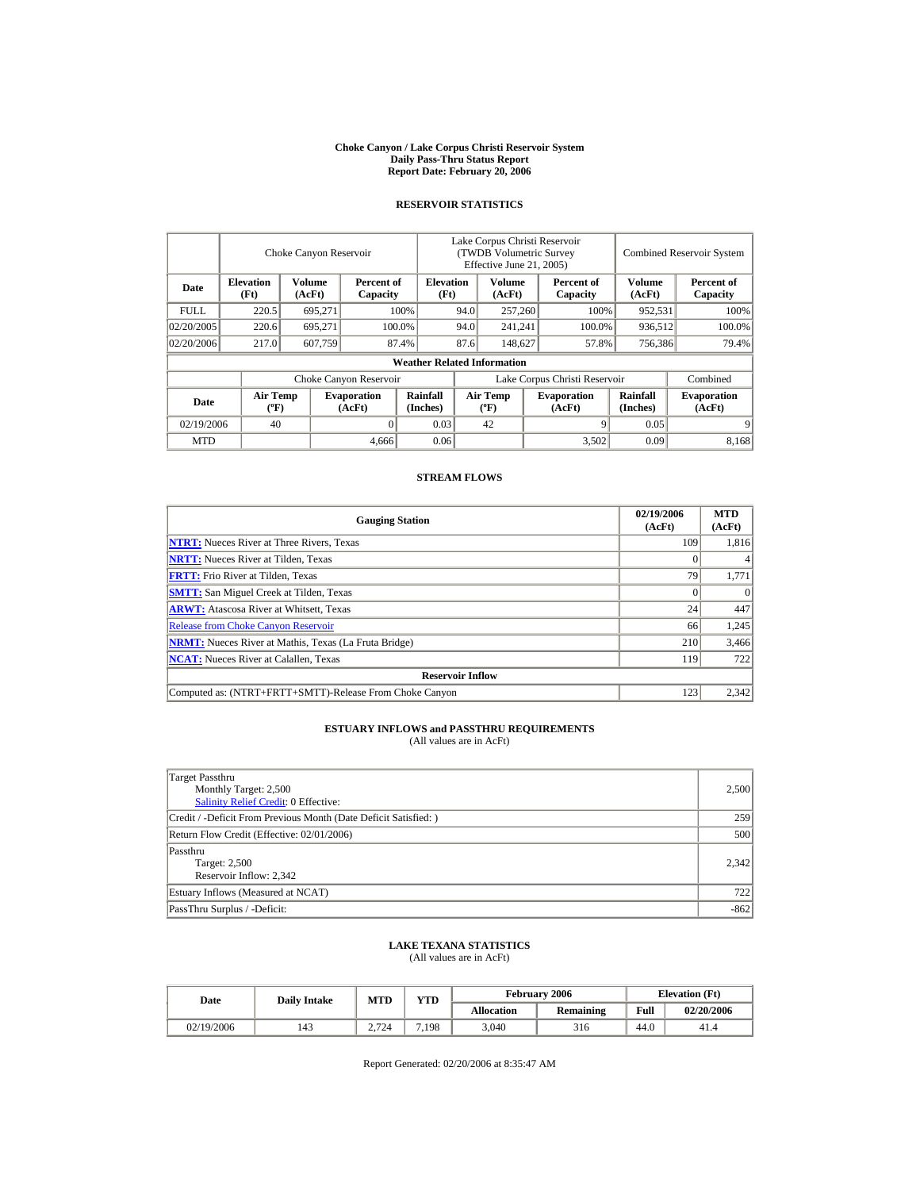#### **Choke Canyon / Lake Corpus Christi Reservoir System Daily Pass-Thru Status Report Report Date: February 20, 2006**

## **RESERVOIR STATISTICS**

|             | Choke Canyon Reservoir                      |                  |                              |                                    | Lake Corpus Christi Reservoir<br>(TWDB Volumetric Survey<br>Effective June 21, 2005) |                                  |  |                              | <b>Combined Reservoir System</b> |                              |  |
|-------------|---------------------------------------------|------------------|------------------------------|------------------------------------|--------------------------------------------------------------------------------------|----------------------------------|--|------------------------------|----------------------------------|------------------------------|--|
| Date        | <b>Elevation</b><br>(Ft)                    | Volume<br>(AcFt) | Percent of<br>Capacity       | <b>Elevation</b><br>(Ft)           |                                                                                      | Volume<br>(AcFt)                 |  | Percent of<br>Capacity       | Volume<br>(AcFt)                 | Percent of<br>Capacity       |  |
| <b>FULL</b> | 220.5                                       | 695.271          |                              | 100%                               | 94.0                                                                                 | 257,260                          |  | 100%                         | 952,531                          | 100%                         |  |
| 02/20/2005  | 220.6                                       | 695.271          |                              | 100.0%                             | 94.0                                                                                 | 241.241                          |  | 100.0%                       | 936,512                          | 100.0%                       |  |
| 02/20/2006  | 217.0                                       | 607,759          |                              | 87.4%                              | 87.6                                                                                 | 148,627                          |  | 57.8%                        | 756,386                          | 79.4%                        |  |
|             |                                             |                  |                              | <b>Weather Related Information</b> |                                                                                      |                                  |  |                              |                                  |                              |  |
|             |                                             |                  | Choke Canyon Reservoir       |                                    | Lake Corpus Christi Reservoir                                                        |                                  |  |                              |                                  | Combined                     |  |
| Date        | <b>Air Temp</b><br>$({}^{\circ}\mathrm{F})$ |                  | <b>Evaporation</b><br>(AcFt) | Rainfall<br>(Inches)               |                                                                                      | <b>Air Temp</b><br>$(^{\circ}F)$ |  | <b>Evaporation</b><br>(AcFt) | Rainfall<br>(Inches)             | <b>Evaporation</b><br>(AcFt) |  |
| 02/19/2006  | 40                                          |                  |                              | 0.03                               |                                                                                      | 42                               |  |                              | 0.05                             | 9                            |  |
| <b>MTD</b>  |                                             |                  | 4.666                        | 0.06                               |                                                                                      |                                  |  | 3,502                        | 0.09                             | 8.168                        |  |

#### **STREAM FLOWS**

| <b>Gauging Station</b>                                       | 02/19/2006<br>(AcFt) | <b>MTD</b><br>(AcFt) |
|--------------------------------------------------------------|----------------------|----------------------|
| <b>NTRT:</b> Nueces River at Three Rivers, Texas             | 109                  | 1,816                |
| <b>NRTT:</b> Nueces River at Tilden, Texas                   |                      |                      |
| <b>FRTT:</b> Frio River at Tilden, Texas                     | 79                   | 1,771                |
| <b>SMTT:</b> San Miguel Creek at Tilden, Texas               |                      |                      |
| <b>ARWT:</b> Atascosa River at Whitsett, Texas               | 24                   | 447                  |
| <b>Release from Choke Canyon Reservoir</b>                   | 66                   | 1,245                |
| <b>NRMT:</b> Nueces River at Mathis, Texas (La Fruta Bridge) | 210                  | 3,466                |
| <b>NCAT:</b> Nueces River at Calallen, Texas                 | 119                  | 722                  |
| <b>Reservoir Inflow</b>                                      |                      |                      |
| Computed as: (NTRT+FRTT+SMTT)-Release From Choke Canyon      | 123                  | 2,342                |

## **ESTUARY INFLOWS and PASSTHRU REQUIREMENTS**

(All values are in AcFt)

| Target Passthru<br>Monthly Target: 2,500<br><b>Salinity Relief Credit: 0 Effective:</b> | 2,500  |
|-----------------------------------------------------------------------------------------|--------|
| Credit / -Deficit From Previous Month (Date Deficit Satisfied: )                        | 259    |
| Return Flow Credit (Effective: 02/01/2006)                                              | 500    |
| Passthru<br>Target: 2,500<br>Reservoir Inflow: 2.342                                    | 2,342  |
| Estuary Inflows (Measured at NCAT)                                                      | 722    |
| PassThru Surplus / -Deficit:                                                            | $-862$ |

#### **LAKE TEXANA STATISTICS** (All values are in AcFt)

Date **Daily Intake** MTD YTD **Elevation (Ft)** Elevation (Ft) **Allocation Remaining Full 02/20/2006**  02/19/2006 | 143 | 2,724 | 7,198 | 3,040 | 316 | 44.0 | 41.4

Report Generated: 02/20/2006 at 8:35:47 AM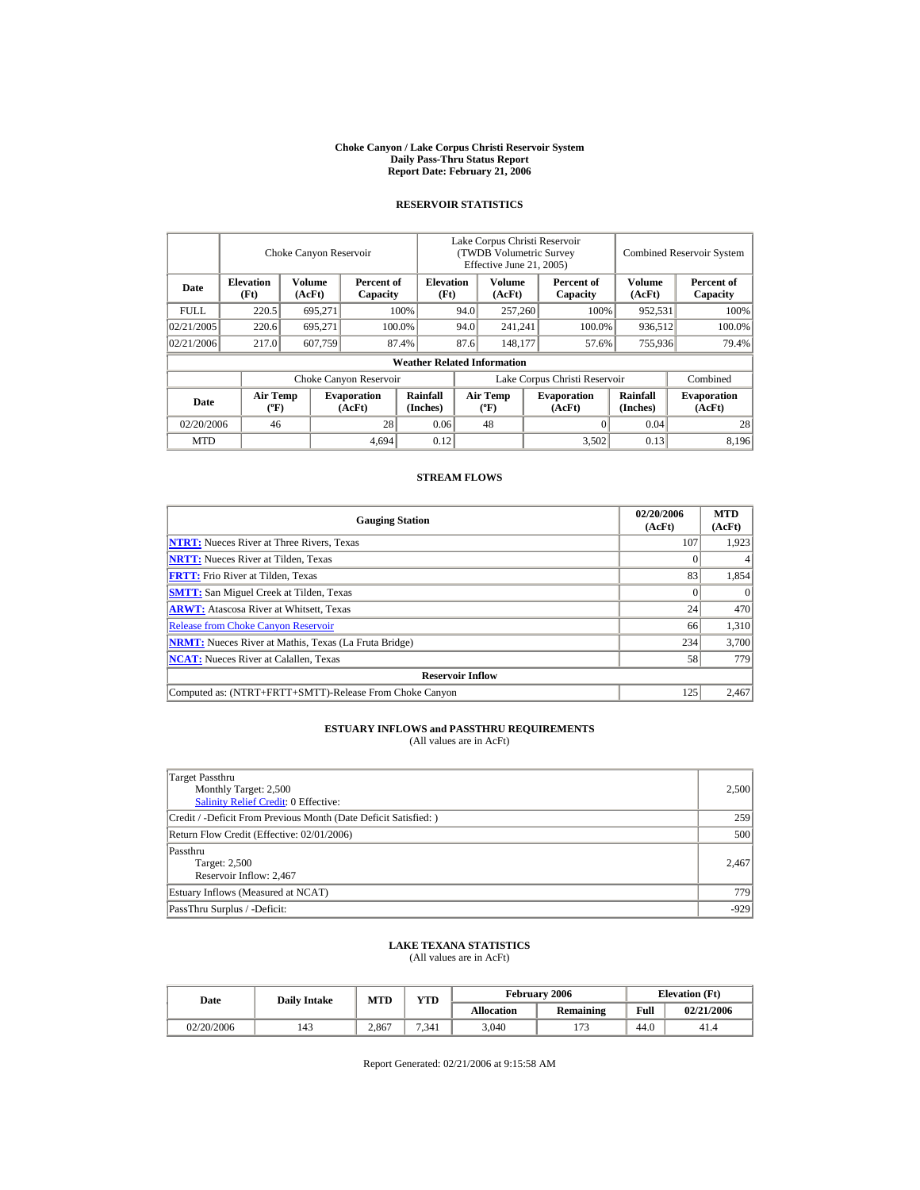#### **Choke Canyon / Lake Corpus Christi Reservoir System Daily Pass-Thru Status Report Report Date: February 21, 2006**

## **RESERVOIR STATISTICS**

|             | Choke Canyon Reservoir                      |                  |                              |                                    | Lake Corpus Christi Reservoir<br><b>(TWDB Volumetric Survey)</b><br>Effective June 21, 2005) |                                             |  |                              | <b>Combined Reservoir System</b> |                              |  |
|-------------|---------------------------------------------|------------------|------------------------------|------------------------------------|----------------------------------------------------------------------------------------------|---------------------------------------------|--|------------------------------|----------------------------------|------------------------------|--|
| Date        | <b>Elevation</b><br>(Ft)                    | Volume<br>(AcFt) | Percent of<br>Capacity       | <b>Elevation</b><br>(Ft)           |                                                                                              | Volume<br>(AcFt)                            |  | Percent of<br>Capacity       | Volume<br>(AcFt)                 | Percent of<br>Capacity       |  |
| <b>FULL</b> | 220.5                                       | 695,271          |                              | 100%                               | 94.0                                                                                         | 257,260                                     |  | 100%                         | 952,531                          | 100%                         |  |
| 02/21/2005  | 220.6                                       | 695.271          |                              | 100.0%                             | 94.0                                                                                         | 241.241                                     |  | 100.0%                       | 936.512                          | 100.0%                       |  |
| 02/21/2006  | 217.0                                       | 607,759          |                              | 87.4%                              | 87.6                                                                                         | 148,177                                     |  | 57.6%                        | 755,936                          | 79.4%                        |  |
|             |                                             |                  |                              | <b>Weather Related Information</b> |                                                                                              |                                             |  |                              |                                  |                              |  |
|             |                                             |                  | Choke Canyon Reservoir       |                                    | Lake Corpus Christi Reservoir                                                                |                                             |  |                              |                                  | Combined                     |  |
| <b>Date</b> | <b>Air Temp</b><br>$({}^{\circ}\mathrm{F})$ |                  | <b>Evaporation</b><br>(AcFt) | Rainfall<br>(Inches)               |                                                                                              | <b>Air Temp</b><br>$({}^{\circ}\mathbf{F})$ |  | <b>Evaporation</b><br>(AcFt) | Rainfall<br>(Inches)             | <b>Evaporation</b><br>(AcFt) |  |
| 02/20/2006  | 46                                          |                  | 28                           | 0.06                               |                                                                                              | 48                                          |  |                              | 0.04                             | 28                           |  |
| <b>MTD</b>  |                                             |                  | 4.694                        | 0.12                               |                                                                                              |                                             |  | 3,502                        | 0.13                             | 8,196                        |  |

#### **STREAM FLOWS**

| <b>Gauging Station</b>                                       | 02/20/2006<br>(AcFt) | <b>MTD</b><br>(AcFt) |
|--------------------------------------------------------------|----------------------|----------------------|
| <b>NTRT:</b> Nueces River at Three Rivers, Texas             | 107                  | 1,923                |
| <b>NRTT:</b> Nueces River at Tilden, Texas                   |                      |                      |
| <b>FRTT:</b> Frio River at Tilden, Texas                     | 83                   | 1,854                |
| <b>SMTT:</b> San Miguel Creek at Tilden, Texas               |                      |                      |
| <b>ARWT:</b> Atascosa River at Whitsett, Texas               | 24                   | 470                  |
| <b>Release from Choke Canyon Reservoir</b>                   | 66                   | 1,310                |
| <b>NRMT:</b> Nueces River at Mathis, Texas (La Fruta Bridge) | 234                  | 3,700                |
| <b>NCAT:</b> Nueces River at Calallen, Texas                 | 58                   | 779                  |
| <b>Reservoir Inflow</b>                                      |                      |                      |
| Computed as: (NTRT+FRTT+SMTT)-Release From Choke Canyon      | 125                  | 2,467                |

## **ESTUARY INFLOWS and PASSTHRU REQUIREMENTS**

(All values are in AcFt)

| Target Passthru<br>Monthly Target: 2,500<br>Salinity Relief Credit: 0 Effective: | 2,500  |
|----------------------------------------------------------------------------------|--------|
| Credit / -Deficit From Previous Month (Date Deficit Satisfied:)                  | 259    |
| Return Flow Credit (Effective: 02/01/2006)                                       | 500    |
| Passthru<br>Target: 2,500<br>Reservoir Inflow: 2,467                             | 2,467  |
| Estuary Inflows (Measured at NCAT)                                               | 779    |
| PassThru Surplus / -Deficit:                                                     | $-929$ |

#### **LAKE TEXANA STATISTICS** (All values are in AcFt)

Date **Daily Intake** MTD YTD **Elevation (Ft)** Elevation (Ft) **Allocation Remaining Full 02/21/2006**  02/20/2006 | 143 | 2,867 | 7,341 | 3,040 | 173 | 44.0 | 41.4

Report Generated: 02/21/2006 at 9:15:58 AM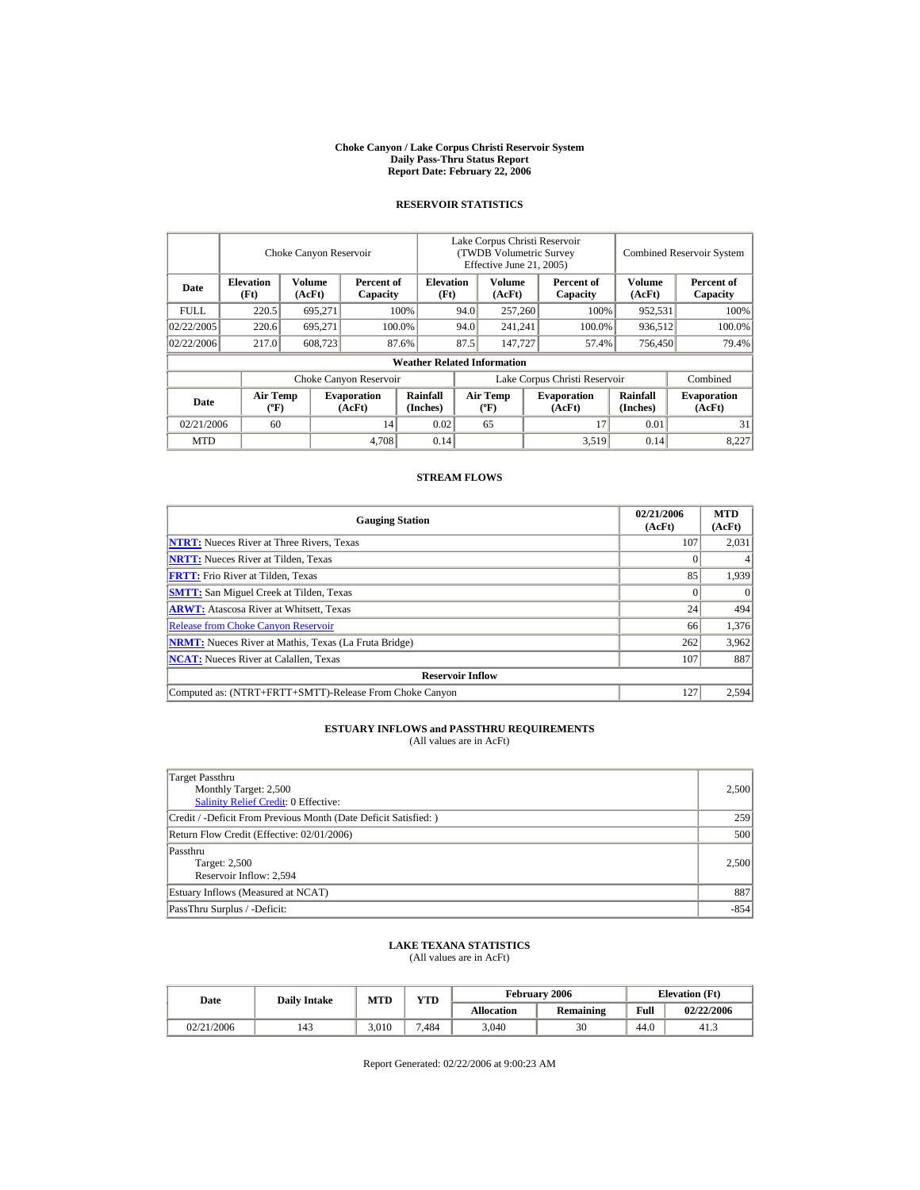#### **Choke Canyon / Lake Corpus Christi Reservoir System Daily Pass-Thru Status Report Report Date: February 22, 2006**

## **RESERVOIR STATISTICS**

|             | Choke Canyon Reservoir                      |                  |                              |                                    | Lake Corpus Christi Reservoir<br>(TWDB Volumetric Survey<br>Effective June 21, 2005) |                                             |  |                              | <b>Combined Reservoir System</b> |                              |
|-------------|---------------------------------------------|------------------|------------------------------|------------------------------------|--------------------------------------------------------------------------------------|---------------------------------------------|--|------------------------------|----------------------------------|------------------------------|
| Date        | <b>Elevation</b><br>(Ft)                    | Volume<br>(AcFt) | Percent of<br>Capacity       | <b>Elevation</b><br>(Ft)           |                                                                                      | <b>Volume</b><br>(AcFt)                     |  | Percent of<br>Capacity       | Volume<br>(AcFt)                 | Percent of<br>Capacity       |
| <b>FULL</b> | 220.5                                       | 695.271          |                              | 100%                               | 94.0                                                                                 | 257,260                                     |  | 100%                         | 952,531                          | 100%                         |
| 02/22/2005  | 220.6                                       | 695.271          |                              | 100.0%                             | 94.0                                                                                 | 241.241                                     |  | 100.0%                       | 936,512                          | 100.0%                       |
| 02/22/2006  | 217.0                                       | 608,723          |                              | 87.6%                              | 87.5                                                                                 | 147,727                                     |  | 57.4%                        | 756,450                          | 79.4%                        |
|             |                                             |                  |                              | <b>Weather Related Information</b> |                                                                                      |                                             |  |                              |                                  |                              |
|             |                                             |                  | Choke Canyon Reservoir       |                                    | Lake Corpus Christi Reservoir                                                        |                                             |  |                              |                                  | Combined                     |
| Date        | <b>Air Temp</b><br>$({}^{\circ}\mathrm{F})$ |                  | <b>Evaporation</b><br>(AcFt) | Rainfall<br>(Inches)               |                                                                                      | <b>Air Temp</b><br>$({}^{\circ}\mathbf{F})$ |  | <b>Evaporation</b><br>(AcFt) | Rainfall<br>(Inches)             | <b>Evaporation</b><br>(AcFt) |
| 02/21/2006  | 60                                          |                  | 14                           | 0.02                               |                                                                                      | 65                                          |  | 17                           | 0.01                             | 31                           |
| <b>MTD</b>  |                                             |                  | 4.708                        | 0.14                               |                                                                                      |                                             |  | 3,519                        | 0.14                             | 8.227                        |

#### **STREAM FLOWS**

| <b>Gauging Station</b>                                       | 02/21/2006<br>(AcFt) | <b>MTD</b><br>(AcFt) |
|--------------------------------------------------------------|----------------------|----------------------|
| <b>NTRT:</b> Nueces River at Three Rivers, Texas             | 107                  | 2,031                |
| <b>NRTT:</b> Nueces River at Tilden, Texas                   |                      |                      |
| <b>FRTT:</b> Frio River at Tilden, Texas                     | 85                   | 1.939                |
| <b>SMTT:</b> San Miguel Creek at Tilden, Texas               |                      |                      |
| <b>ARWT:</b> Atascosa River at Whitsett, Texas               | 24                   | 494                  |
| <b>Release from Choke Canyon Reservoir</b>                   | 66                   | 1,376                |
| <b>NRMT:</b> Nueces River at Mathis, Texas (La Fruta Bridge) | 262                  | 3,962                |
| <b>NCAT:</b> Nueces River at Calallen, Texas                 | 107                  | 887                  |
| <b>Reservoir Inflow</b>                                      |                      |                      |
| Computed as: (NTRT+FRTT+SMTT)-Release From Choke Canyon      | 127                  | 2,594                |

## **ESTUARY INFLOWS and PASSTHRU REQUIREMENTS**

(All values are in AcFt)

| Target Passthru<br>Monthly Target: 2,500<br>Salinity Relief Credit: 0 Effective: | 2,500  |
|----------------------------------------------------------------------------------|--------|
| Credit / -Deficit From Previous Month (Date Deficit Satisfied:)                  | 259    |
| Return Flow Credit (Effective: 02/01/2006)                                       | 500    |
| Passthru<br>Target: 2,500<br>Reservoir Inflow: 2,594                             | 2,500  |
| Estuary Inflows (Measured at NCAT)                                               | 887    |
| PassThru Surplus / -Deficit:                                                     | $-854$ |

#### **LAKE TEXANA STATISTICS** (All values are in AcFt)

| Date       | <b>Daily Intake</b> | MTD   | <b>YTD</b> |                   | February 2006 |      | <b>Elevation</b> (Ft) |
|------------|---------------------|-------|------------|-------------------|---------------|------|-----------------------|
|            |                     |       |            | <b>Allocation</b> | Remaining     | Full | 02/22/2006            |
| 02/21/2006 | 143                 | 3.010 | 7.484      | 3.040             | 30            | 44.0 | 41.3                  |

Report Generated: 02/22/2006 at 9:00:23 AM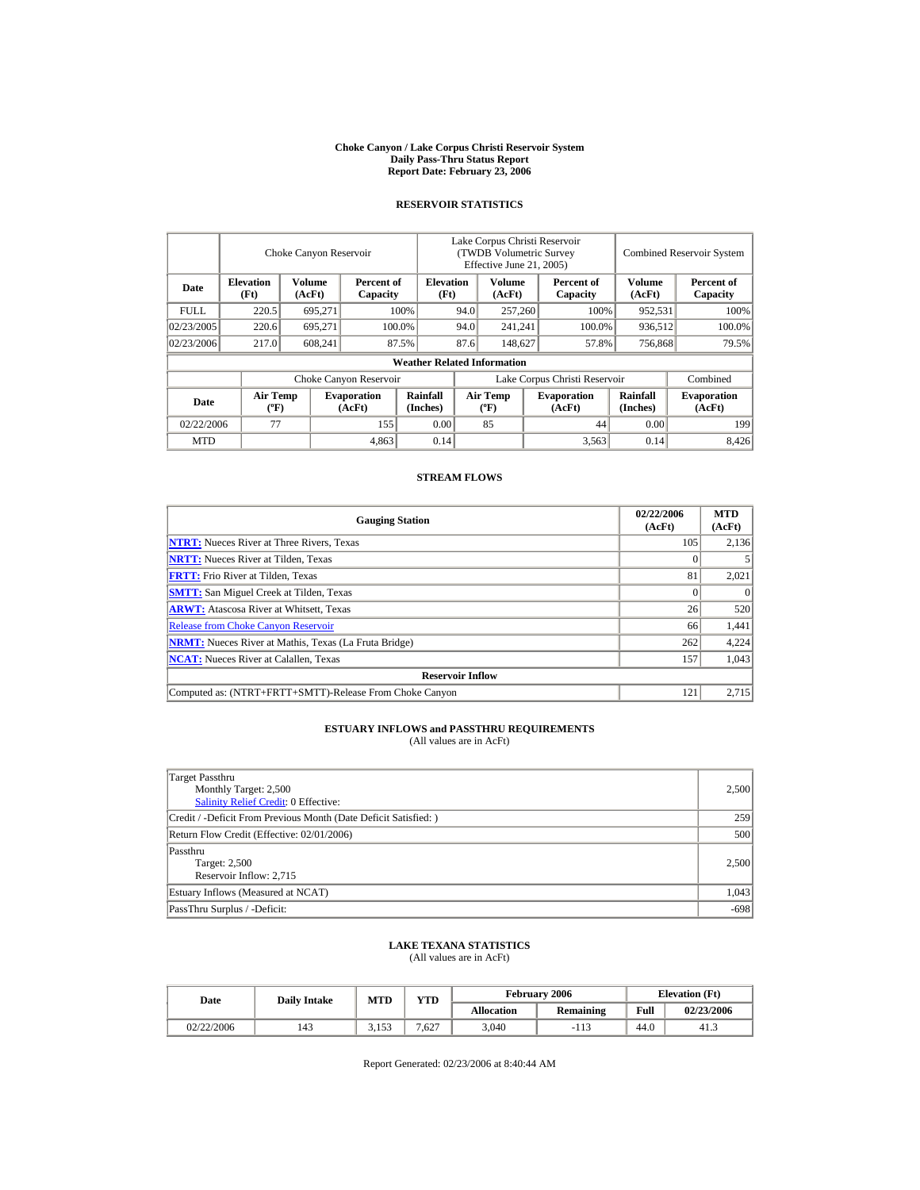#### **Choke Canyon / Lake Corpus Christi Reservoir System Daily Pass-Thru Status Report Report Date: February 23, 2006**

## **RESERVOIR STATISTICS**

|                        | Choke Canyon Reservoir                      |                  |                              |                                    | Lake Corpus Christi Reservoir<br>(TWDB Volumetric Survey<br>Effective June 21, 2005) |                                  |  |                              |                      | <b>Combined Reservoir System</b> |  |  |
|------------------------|---------------------------------------------|------------------|------------------------------|------------------------------------|--------------------------------------------------------------------------------------|----------------------------------|--|------------------------------|----------------------|----------------------------------|--|--|
| Date                   | <b>Elevation</b><br>(Ft)                    | Volume<br>(AcFt) | Percent of<br>Capacity       | <b>Elevation</b><br>(Ft)           |                                                                                      | Volume<br>(AcFt)                 |  | Percent of<br>Capacity       | Volume<br>(AcFt)     | Percent of<br>Capacity           |  |  |
| <b>FULL</b>            | 220.5                                       | 695.271          |                              | 100%                               | 94.0                                                                                 | 257,260                          |  | 100%                         | 952,531              | 100%                             |  |  |
| 02/23/2005             | 220.6                                       | 695.271          |                              | 100.0%                             | 94.0                                                                                 | 241.241                          |  | 100.0%                       | 936,512              | 100.0%                           |  |  |
| 02/23/2006             | 217.0                                       | 608,241          |                              | 87.5%                              | 87.6                                                                                 | 148,627                          |  | 57.8%                        | 756,868              | 79.5%                            |  |  |
|                        |                                             |                  |                              | <b>Weather Related Information</b> |                                                                                      |                                  |  |                              |                      |                                  |  |  |
| Choke Canyon Reservoir |                                             |                  |                              |                                    | Lake Corpus Christi Reservoir                                                        |                                  |  |                              |                      | Combined                         |  |  |
| Date                   | <b>Air Temp</b><br>$({}^{\circ}\mathrm{F})$ |                  | <b>Evaporation</b><br>(AcFt) | Rainfall<br>(Inches)               |                                                                                      | <b>Air Temp</b><br>$(^{\circ}F)$ |  | <b>Evaporation</b><br>(AcFt) | Rainfall<br>(Inches) | <b>Evaporation</b><br>(AcFt)     |  |  |
| 02/22/2006             | 77                                          |                  | 155                          | 0.00                               |                                                                                      | 85                               |  | 44                           | 0.00                 | 199                              |  |  |
| <b>MTD</b>             |                                             |                  | 4,863                        | 0.14                               |                                                                                      |                                  |  | 3,563                        | 0.14                 | 8.426                            |  |  |

#### **STREAM FLOWS**

| <b>Gauging Station</b>                                       | 02/22/2006<br>(AcFt) | <b>MTD</b><br>(AcFt) |  |  |  |  |
|--------------------------------------------------------------|----------------------|----------------------|--|--|--|--|
| <b>NTRT:</b> Nueces River at Three Rivers, Texas             | 105                  | 2,136                |  |  |  |  |
| <b>NRTT:</b> Nueces River at Tilden, Texas                   |                      |                      |  |  |  |  |
| <b>FRTT:</b> Frio River at Tilden, Texas                     | 81                   | 2,021                |  |  |  |  |
| <b>SMTT:</b> San Miguel Creek at Tilden, Texas               |                      |                      |  |  |  |  |
| <b>ARWT:</b> Atascosa River at Whitsett, Texas               | 26                   | 520                  |  |  |  |  |
| <b>Release from Choke Canyon Reservoir</b>                   | 66                   | 1,441                |  |  |  |  |
| <b>NRMT:</b> Nueces River at Mathis, Texas (La Fruta Bridge) | 262                  | 4,224                |  |  |  |  |
| <b>NCAT:</b> Nueces River at Calallen, Texas                 | 157                  | 1.043                |  |  |  |  |
| <b>Reservoir Inflow</b>                                      |                      |                      |  |  |  |  |
| Computed as: (NTRT+FRTT+SMTT)-Release From Choke Canyon      | 121                  | 2,715                |  |  |  |  |

## **ESTUARY INFLOWS and PASSTHRU REQUIREMENTS**

(All values are in AcFt)

| Target Passthru<br>Monthly Target: 2,500<br><b>Salinity Relief Credit: 0 Effective:</b> | 2,500  |
|-----------------------------------------------------------------------------------------|--------|
| Credit / -Deficit From Previous Month (Date Deficit Satisfied:)                         | 259    |
| Return Flow Credit (Effective: 02/01/2006)                                              | 500    |
| Passthru<br>Target: 2,500<br>Reservoir Inflow: 2.715                                    | 2,500  |
| Estuary Inflows (Measured at NCAT)                                                      | 1,043  |
| PassThru Surplus / -Deficit:                                                            | $-698$ |

#### **LAKE TEXANA STATISTICS** (All values are in AcFt)

Date **Daily Intake** MTD YTD **Elevation (Ft)** Elevation (Ft) **Allocation Remaining Full 02/23/2006**   $02/22/2006$  | 143 | 3,153 | 7,627 | 3,040 | -113 | 44.0 | 41.3

Report Generated: 02/23/2006 at 8:40:44 AM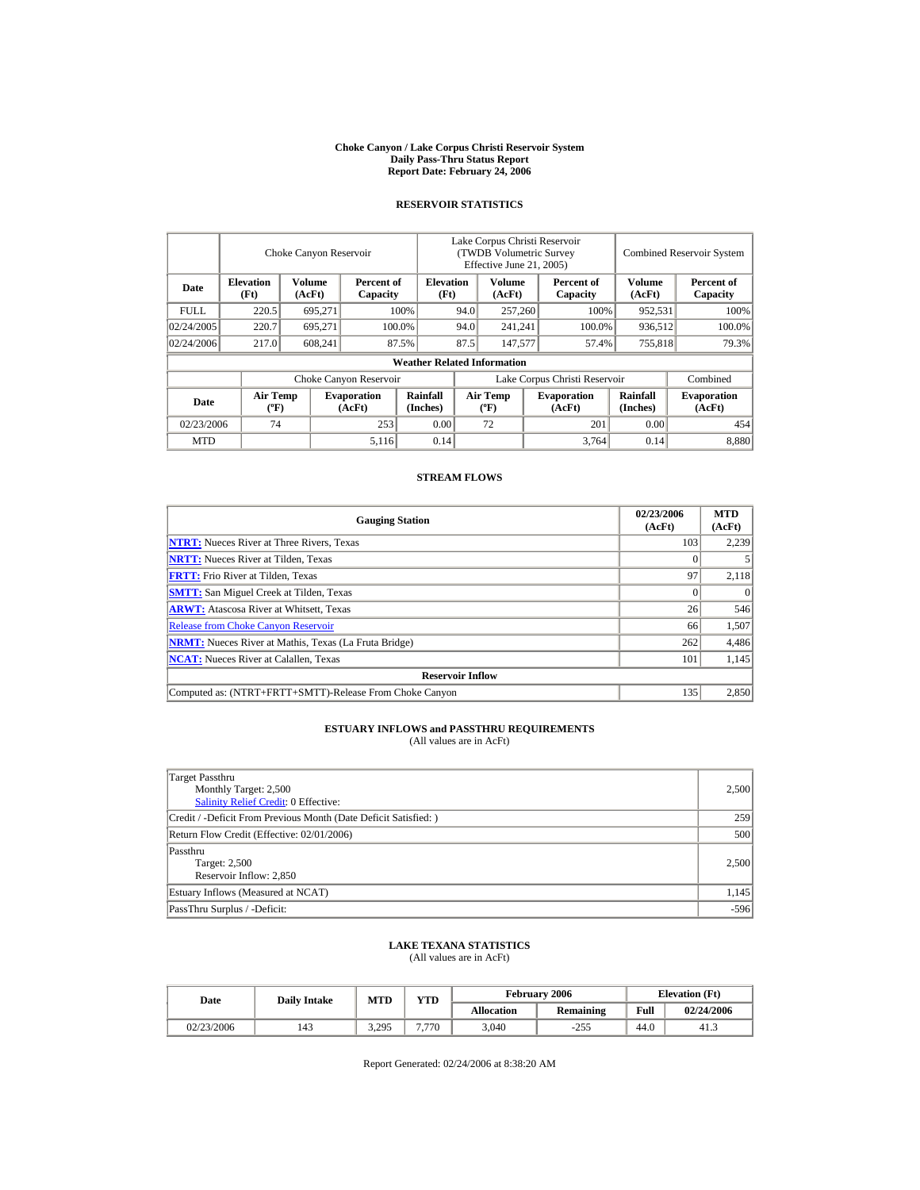#### **Choke Canyon / Lake Corpus Christi Reservoir System Daily Pass-Thru Status Report Report Date: February 24, 2006**

## **RESERVOIR STATISTICS**

|             | Choke Canyon Reservoir                      |                  |                              |                                    | Lake Corpus Christi Reservoir<br>(TWDB Volumetric Survey<br>Effective June 21, 2005) |                                  |  |                              |                      | <b>Combined Reservoir System</b> |  |  |
|-------------|---------------------------------------------|------------------|------------------------------|------------------------------------|--------------------------------------------------------------------------------------|----------------------------------|--|------------------------------|----------------------|----------------------------------|--|--|
| Date        | <b>Elevation</b><br>(Ft)                    | Volume<br>(AcFt) | Percent of<br>Capacity       | <b>Elevation</b><br>(Ft)           |                                                                                      | <b>Volume</b><br>(AcFt)          |  | Percent of<br>Capacity       | Volume<br>(AcFt)     | Percent of<br>Capacity           |  |  |
| <b>FULL</b> | 220.5                                       | 695.271          |                              | 100%                               | 94.0<br>257,260                                                                      |                                  |  | 100%                         | 952,531              | 100%                             |  |  |
| 02/24/2005  | 220.7                                       | 695.271          |                              | 100.0%                             | 94.0                                                                                 | 241.241                          |  | 100.0%                       | 936,512              | 100.0%                           |  |  |
| 02/24/2006  | 217.0                                       | 608,241          |                              | 87.5%                              | 87.5                                                                                 | 147,577                          |  | 57.4%                        | 755,818              | 79.3%                            |  |  |
|             |                                             |                  |                              | <b>Weather Related Information</b> |                                                                                      |                                  |  |                              |                      |                                  |  |  |
|             |                                             |                  | Choke Canyon Reservoir       |                                    | Lake Corpus Christi Reservoir                                                        |                                  |  |                              |                      | Combined                         |  |  |
| Date        | <b>Air Temp</b><br>$({}^{\circ}\mathrm{F})$ |                  | <b>Evaporation</b><br>(AcFt) | Rainfall<br>(Inches)               |                                                                                      | <b>Air Temp</b><br>$(^{\circ}F)$ |  | <b>Evaporation</b><br>(AcFt) | Rainfall<br>(Inches) | <b>Evaporation</b><br>(AcFt)     |  |  |
| 02/23/2006  | 74                                          |                  | 253                          | 0.00                               |                                                                                      | 72                               |  | 201                          | 0.00                 | 454                              |  |  |
| <b>MTD</b>  |                                             |                  | 5,116                        | 0.14                               |                                                                                      |                                  |  | 3.764                        | 0.14                 | 8,880                            |  |  |

#### **STREAM FLOWS**

| <b>Gauging Station</b>                                       | 02/23/2006<br>(AcFt) | <b>MTD</b><br>(AcFt) |  |  |  |  |
|--------------------------------------------------------------|----------------------|----------------------|--|--|--|--|
| <b>NTRT:</b> Nueces River at Three Rivers, Texas             | 103                  | 2,239                |  |  |  |  |
| <b>NRTT:</b> Nueces River at Tilden, Texas                   |                      |                      |  |  |  |  |
| <b>FRTT:</b> Frio River at Tilden, Texas                     | 97                   | 2,118                |  |  |  |  |
| <b>SMTT:</b> San Miguel Creek at Tilden, Texas               |                      |                      |  |  |  |  |
| <b>ARWT:</b> Atascosa River at Whitsett, Texas               | 26                   | 546                  |  |  |  |  |
| <b>Release from Choke Canyon Reservoir</b>                   | 66                   | 1,507                |  |  |  |  |
| <b>NRMT:</b> Nueces River at Mathis, Texas (La Fruta Bridge) | 262                  | 4,486                |  |  |  |  |
| <b>NCAT:</b> Nueces River at Calallen, Texas                 | 101                  | 1,145                |  |  |  |  |
| <b>Reservoir Inflow</b>                                      |                      |                      |  |  |  |  |
| Computed as: (NTRT+FRTT+SMTT)-Release From Choke Canyon      | 135                  | 2,850                |  |  |  |  |

## **ESTUARY INFLOWS and PASSTHRU REQUIREMENTS**

(All values are in AcFt)

| Target Passthru<br>Monthly Target: 2,500<br><b>Salinity Relief Credit: 0 Effective:</b> | 2,500  |
|-----------------------------------------------------------------------------------------|--------|
| Credit / -Deficit From Previous Month (Date Deficit Satisfied:)                         | 259    |
| Return Flow Credit (Effective: 02/01/2006)                                              | 500    |
| Passthru<br>Target: 2,500<br>Reservoir Inflow: 2.850                                    | 2,500  |
| Estuary Inflows (Measured at NCAT)                                                      | 1,145  |
| PassThru Surplus / -Deficit:                                                            | $-596$ |

#### **LAKE TEXANA STATISTICS** (All values are in AcFt)

Date **Daily Intake** MTD YTD **Elevation (Ft)** Elevation (Ft) **Allocation Remaining Full 02/24/2006**  02/23/2006 | 143 | 3,295 | 7,770 | 3,040 | -255 | 44.0 | 41.3

Report Generated: 02/24/2006 at 8:38:20 AM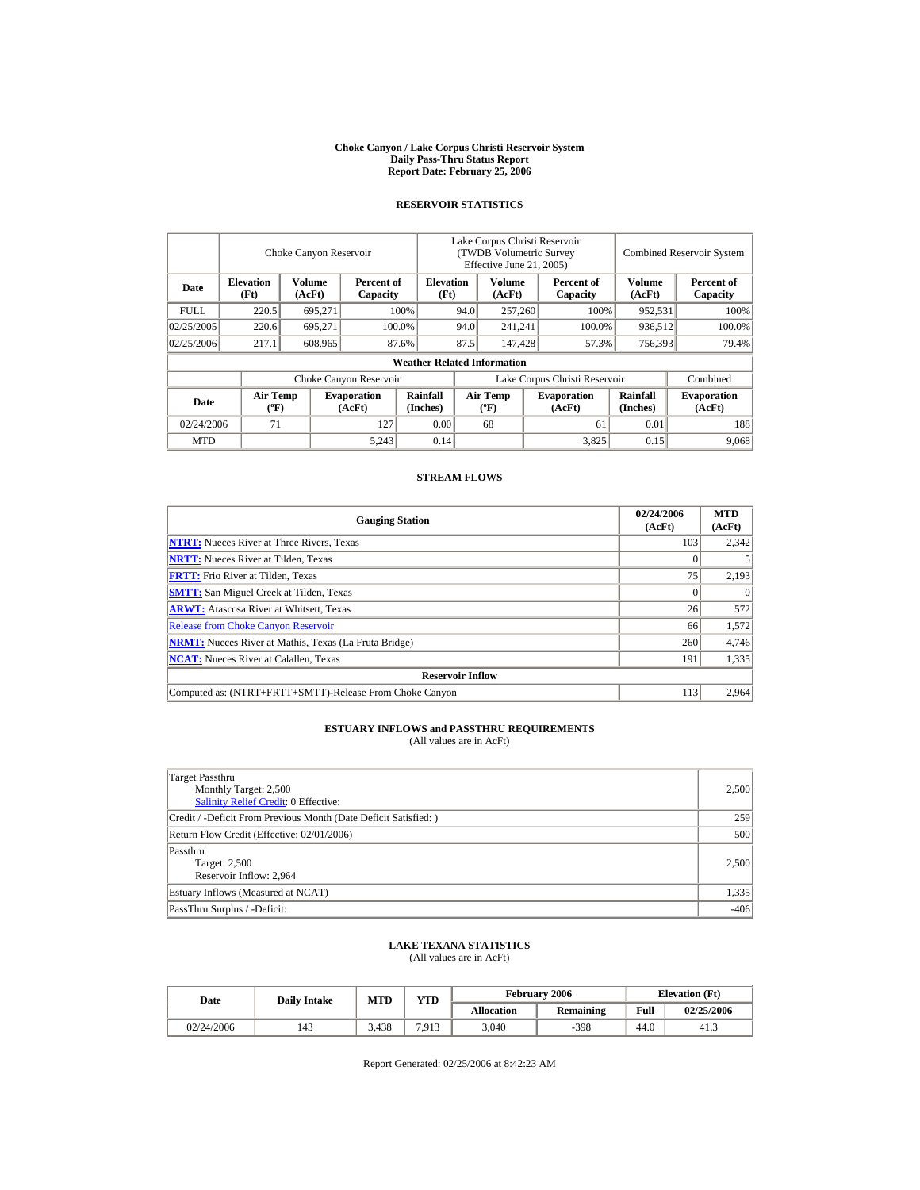#### **Choke Canyon / Lake Corpus Christi Reservoir System Daily Pass-Thru Status Report Report Date: February 25, 2006**

## **RESERVOIR STATISTICS**

|             | Choke Canyon Reservoir         |                  |                              |                                    | Lake Corpus Christi Reservoir<br>(TWDB Volumetric Survey<br>Effective June 21, 2005) |                                    |                   |                              |                      | <b>Combined Reservoir System</b> |  |  |
|-------------|--------------------------------|------------------|------------------------------|------------------------------------|--------------------------------------------------------------------------------------|------------------------------------|-------------------|------------------------------|----------------------|----------------------------------|--|--|
| Date        | <b>Elevation</b><br>(Ft)       | Volume<br>(AcFt) | Percent of<br>Capacity       |                                    | <b>Elevation</b><br>(Ft)                                                             | Volume<br>(AcFt)                   |                   | Percent of<br>Capacity       | Volume<br>(AcFt)     | Percent of<br>Capacity           |  |  |
| <b>FULL</b> | 220.5                          | 695.271          |                              | 100%                               | 94.0                                                                                 | 257,260                            |                   | 100%                         | 952,531              | 100%                             |  |  |
| 02/25/2005  | 220.6                          | 695.271          |                              | 100.0%                             | 94.0                                                                                 |                                    | 241.241<br>100.0% |                              | 936.512              | 100.0%                           |  |  |
| 02/25/2006  | 217.1                          | 608,965          |                              | 87.6%                              | 87.5                                                                                 | 147,428                            |                   | 57.3%                        | 756,393              | 79.4%                            |  |  |
|             |                                |                  |                              | <b>Weather Related Information</b> |                                                                                      |                                    |                   |                              |                      |                                  |  |  |
|             |                                |                  | Choke Canyon Reservoir       |                                    | Lake Corpus Christi Reservoir                                                        |                                    |                   |                              |                      | Combined                         |  |  |
| Date        | Air Temp<br>$({}^o\mathrm{F})$ |                  | <b>Evaporation</b><br>(AcFt) | Rainfall<br>(Inches)               |                                                                                      | Air Temp<br>$({}^{\circ}\text{F})$ |                   | <b>Evaporation</b><br>(AcFt) | Rainfall<br>(Inches) | <b>Evaporation</b><br>(AcFt)     |  |  |
| 02/24/2006  | 71                             |                  | 127                          | 0.00                               |                                                                                      | 68                                 |                   | 61                           | 0.01                 | 188                              |  |  |
| <b>MTD</b>  |                                |                  | 5,243                        | 0.14                               |                                                                                      |                                    |                   | 3.825                        | 0.15                 | 9.068                            |  |  |

#### **STREAM FLOWS**

| <b>Gauging Station</b>                                       | 02/24/2006<br>(AcFt) | <b>MTD</b><br>(AcFt) |  |  |  |  |
|--------------------------------------------------------------|----------------------|----------------------|--|--|--|--|
| <b>NTRT:</b> Nueces River at Three Rivers, Texas             | 103                  | 2,342                |  |  |  |  |
| <b>NRTT:</b> Nueces River at Tilden, Texas                   |                      |                      |  |  |  |  |
| <b>FRTT:</b> Frio River at Tilden, Texas                     | 75                   | 2,193                |  |  |  |  |
| <b>SMTT:</b> San Miguel Creek at Tilden, Texas               |                      |                      |  |  |  |  |
| <b>ARWT:</b> Atascosa River at Whitsett, Texas               | 26                   | 572                  |  |  |  |  |
| <b>Release from Choke Canyon Reservoir</b>                   | 66                   | 1,572                |  |  |  |  |
| <b>NRMT:</b> Nueces River at Mathis, Texas (La Fruta Bridge) | 260                  | 4,746                |  |  |  |  |
| <b>NCAT:</b> Nueces River at Calallen, Texas                 | 191                  | 1,335                |  |  |  |  |
| <b>Reservoir Inflow</b>                                      |                      |                      |  |  |  |  |
| Computed as: (NTRT+FRTT+SMTT)-Release From Choke Canyon      | 113                  | 2,964                |  |  |  |  |

## **ESTUARY INFLOWS and PASSTHRU REQUIREMENTS**

(All values are in AcFt)

| Target Passthru<br>Monthly Target: 2,500<br>Salinity Relief Credit: 0 Effective: | 2,500  |
|----------------------------------------------------------------------------------|--------|
| Credit / -Deficit From Previous Month (Date Deficit Satisfied:)                  | 259    |
| Return Flow Credit (Effective: 02/01/2006)                                       | 500    |
| Passthru<br>Target: 2,500<br>Reservoir Inflow: 2,964                             | 2,500  |
| Estuary Inflows (Measured at NCAT)                                               | 1,335  |
| PassThru Surplus / -Deficit:                                                     | $-406$ |

#### **LAKE TEXANA STATISTICS** (All values are in AcFt)

| Date       | <b>Daily Intake</b> | MTD   | <b>YTD</b> |                   | <b>February 2006</b> |      | <b>Elevation</b> (Ft) |
|------------|---------------------|-------|------------|-------------------|----------------------|------|-----------------------|
|            |                     |       |            | <b>Allocation</b> | <b>Remaining</b>     | Full | 02/25/2006            |
| 02/24/2006 | 143                 | 3.438 | 7.913      | 3.040             | $-398$               | 44.0 | 41.3                  |

Report Generated: 02/25/2006 at 8:42:23 AM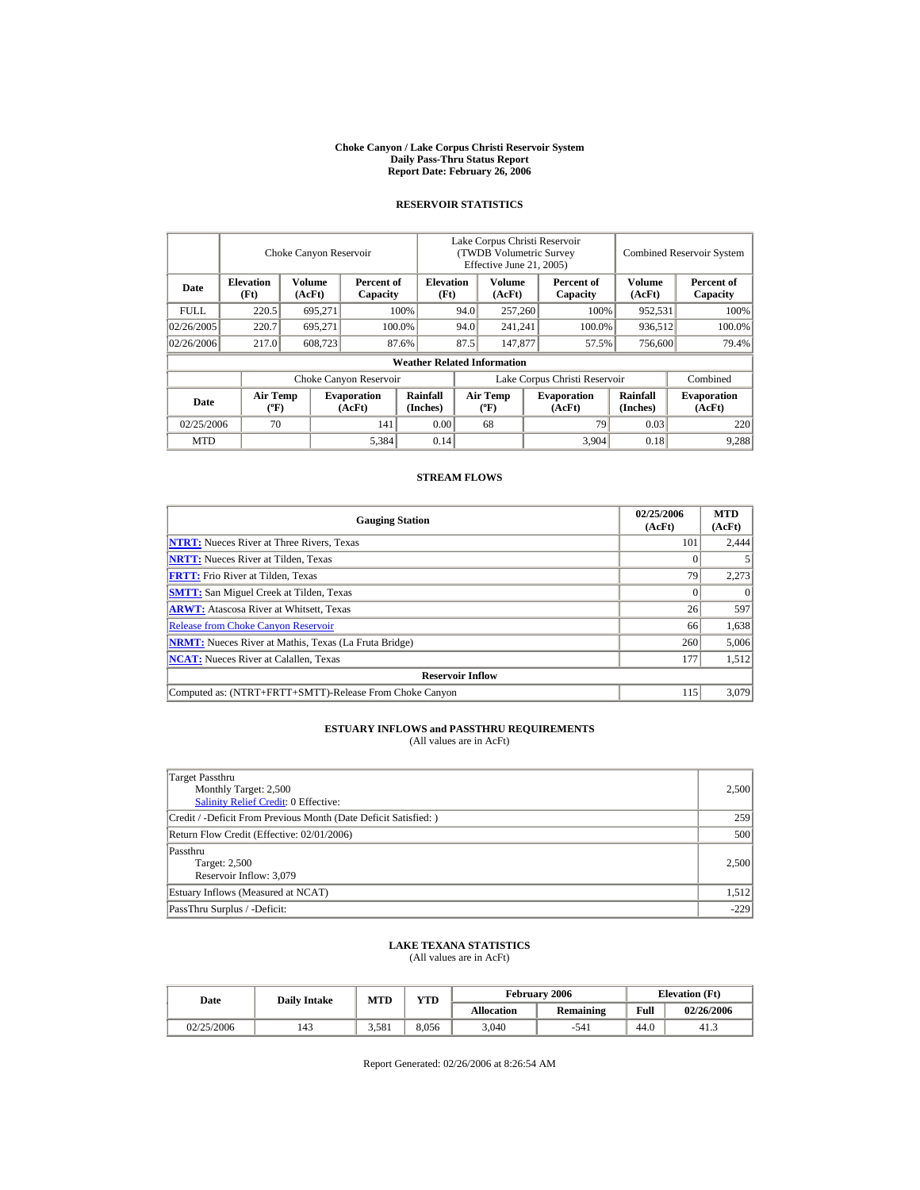#### **Choke Canyon / Lake Corpus Christi Reservoir System Daily Pass-Thru Status Report Report Date: February 26, 2006**

## **RESERVOIR STATISTICS**

|             | Choke Canyon Reservoir         |                  |                              |                                    | Lake Corpus Christi Reservoir<br>(TWDB Volumetric Survey<br>Effective June 21, 2005) |                                    |  |                               | <b>Combined Reservoir System</b> |                              |
|-------------|--------------------------------|------------------|------------------------------|------------------------------------|--------------------------------------------------------------------------------------|------------------------------------|--|-------------------------------|----------------------------------|------------------------------|
| Date        | <b>Elevation</b><br>(Ft)       | Volume<br>(AcFt) | Percent of<br>Capacity       | <b>Elevation</b><br>(Ft)           |                                                                                      | Volume<br>(AcFt)                   |  | Percent of<br>Capacity        | Volume<br>(AcFt)                 | Percent of<br>Capacity       |
| <b>FULL</b> | 220.5                          | 695.271          |                              | 100%                               | 94.0                                                                                 | 257,260                            |  | 100%                          | 952,531                          | 100%                         |
| 02/26/2005  | 220.7                          | 695.271          |                              | 100.0%                             | 94.0                                                                                 | 241.241                            |  | 100.0%                        | 936.512                          | 100.0%                       |
| 02/26/2006  | 217.0                          | 608,723          |                              | 87.6%                              | 87.5                                                                                 | 147,877                            |  | 57.5%                         | 756,600                          | 79.4%                        |
|             |                                |                  |                              | <b>Weather Related Information</b> |                                                                                      |                                    |  |                               |                                  |                              |
|             |                                |                  | Choke Canyon Reservoir       |                                    |                                                                                      |                                    |  | Lake Corpus Christi Reservoir |                                  | Combined                     |
| Date        | Air Temp<br>$({}^o\mathrm{F})$ |                  | <b>Evaporation</b><br>(AcFt) | Rainfall<br>(Inches)               |                                                                                      | Air Temp<br>$({}^{\circ}\text{F})$ |  | <b>Evaporation</b><br>(AcFt)  | Rainfall<br>(Inches)             | <b>Evaporation</b><br>(AcFt) |
| 02/25/2006  | 70                             |                  | 141                          | 0.00                               |                                                                                      | 68                                 |  | 79                            | 0.03                             | 220                          |
| <b>MTD</b>  |                                |                  | 5,384                        | 0.14                               |                                                                                      |                                    |  | 3,904                         | 0.18                             | 9,288                        |

#### **STREAM FLOWS**

| <b>Gauging Station</b>                                       | 02/25/2006<br>(AcFt) | <b>MTD</b><br>(AcFt) |
|--------------------------------------------------------------|----------------------|----------------------|
| <b>NTRT:</b> Nueces River at Three Rivers, Texas             | 101                  | 2,444                |
| <b>NRTT:</b> Nueces River at Tilden, Texas                   |                      |                      |
| <b>FRTT:</b> Frio River at Tilden, Texas                     | 79                   | 2,273                |
| <b>SMTT:</b> San Miguel Creek at Tilden, Texas               |                      |                      |
| <b>ARWT:</b> Atascosa River at Whitsett, Texas               | 26                   | 597                  |
| <b>Release from Choke Canyon Reservoir</b>                   | 66                   | 1,638                |
| <b>NRMT:</b> Nueces River at Mathis, Texas (La Fruta Bridge) | 260                  | 5,006                |
| <b>NCAT:</b> Nueces River at Calallen, Texas                 | 177                  | 1,512                |
| <b>Reservoir Inflow</b>                                      |                      |                      |
| Computed as: (NTRT+FRTT+SMTT)-Release From Choke Canyon      | 115                  | 3,079                |

## **ESTUARY INFLOWS and PASSTHRU REQUIREMENTS**

(All values are in AcFt)

| Target Passthru<br>Monthly Target: 2,500<br><b>Salinity Relief Credit: 0 Effective:</b> | 2,500  |
|-----------------------------------------------------------------------------------------|--------|
| Credit / -Deficit From Previous Month (Date Deficit Satisfied:)                         | 259    |
| Return Flow Credit (Effective: 02/01/2006)                                              | 500    |
| Passthru<br>Target: 2,500<br>Reservoir Inflow: 3.079                                    | 2,500  |
| Estuary Inflows (Measured at NCAT)                                                      | 1,512  |
| PassThru Surplus / -Deficit:                                                            | $-229$ |

#### **LAKE TEXANA STATISTICS** (All values are in AcFt)

Date **Daily Intake** MTD YTD **Elevation (Ft)** Elevation (Ft) **Allocation Remaining Full 02/26/2006**   $02/25/2006$  | 143 | 3,581 | 8,056 | 3,040 | -541 | 44.0 | 41.3

Report Generated: 02/26/2006 at 8:26:54 AM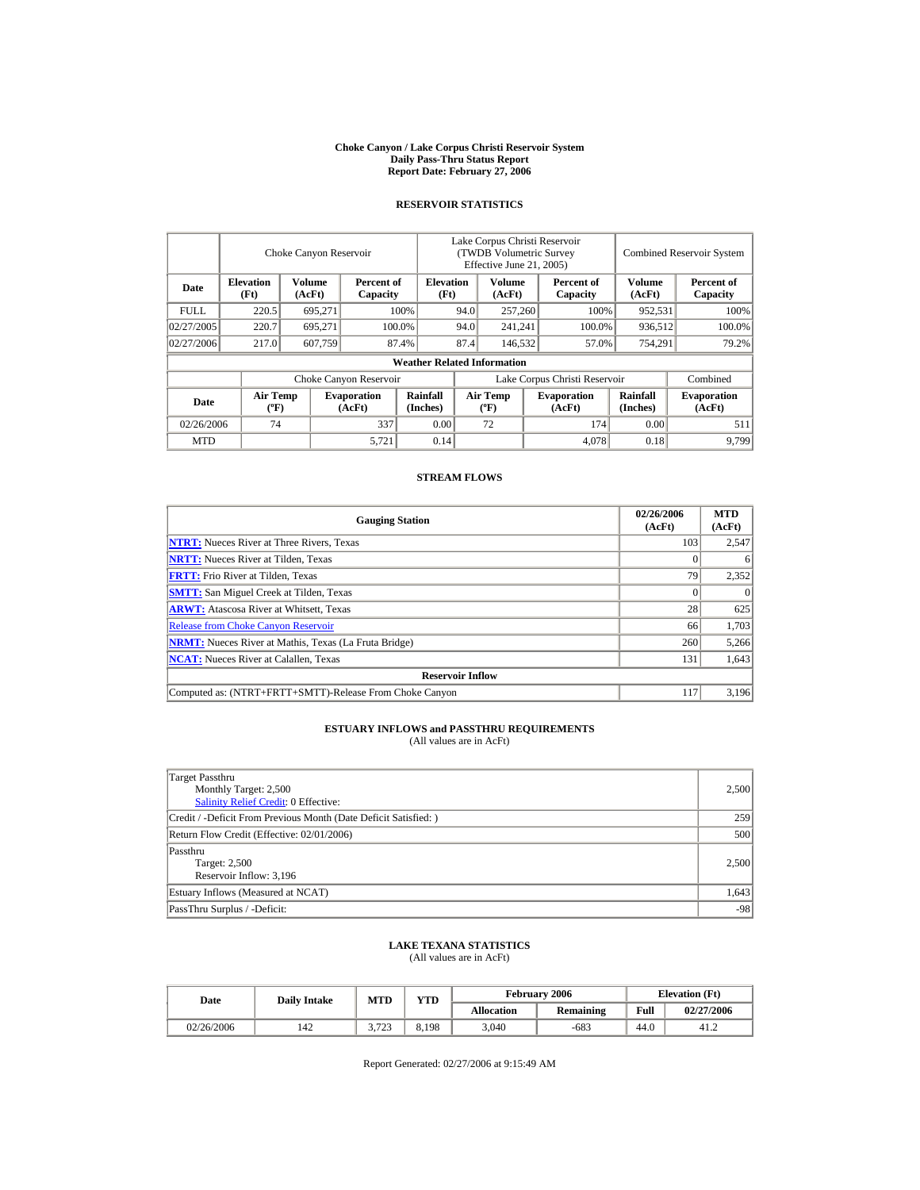#### **Choke Canyon / Lake Corpus Christi Reservoir System Daily Pass-Thru Status Report Report Date: February 27, 2006**

## **RESERVOIR STATISTICS**

|             | Choke Canyon Reservoir             |                         |                              |                          | Lake Corpus Christi Reservoir<br>(TWDB Volumetric Survey<br>Effective June 21, 2005) |                                    |  |                               | <b>Combined Reservoir System</b> |                              |
|-------------|------------------------------------|-------------------------|------------------------------|--------------------------|--------------------------------------------------------------------------------------|------------------------------------|--|-------------------------------|----------------------------------|------------------------------|
| Date        | <b>Elevation</b><br>(Ft)           | <b>Volume</b><br>(AcFt) | Percent of<br>Capacity       | <b>Elevation</b><br>(Ft) |                                                                                      | Volume<br>(AcFt)                   |  | Percent of<br>Capacity        | Volume<br>(AcFt)                 | Percent of<br>Capacity       |
| <b>FULL</b> | 220.5                              | 695.271                 |                              | 100%                     | 94.0                                                                                 | 257,260                            |  | 100%                          | 952,531                          | 100%                         |
| 02/27/2005  | 220.7                              | 695.271                 |                              | 100.0%                   | 94.0                                                                                 | 241.241                            |  | 100.0%                        | 936.512                          | 100.0%                       |
| 02/27/2006  | 217.0                              | 607.759                 |                              | 87.4%                    | 87.4                                                                                 | 146.532                            |  | 57.0%                         | 754,291                          | 79.2%                        |
|             | <b>Weather Related Information</b> |                         |                              |                          |                                                                                      |                                    |  |                               |                                  |                              |
|             |                                    |                         | Choke Canyon Reservoir       |                          |                                                                                      |                                    |  | Lake Corpus Christi Reservoir |                                  | Combined                     |
| Date        | Air Temp<br>$({}^o\mathrm{F})$     |                         | <b>Evaporation</b><br>(AcFt) | Rainfall<br>(Inches)     |                                                                                      | Air Temp<br>$({}^{\circ}\text{F})$ |  | <b>Evaporation</b><br>(AcFt)  | Rainfall<br>(Inches)             | <b>Evaporation</b><br>(AcFt) |
| 02/26/2006  | 74                                 |                         | 337                          | 0.00                     |                                                                                      | 72                                 |  | 174                           | 0.00                             | 511                          |
| <b>MTD</b>  |                                    |                         | 5,721                        | 0.14                     |                                                                                      |                                    |  | 4.078                         | 0.18                             | 9.799                        |

#### **STREAM FLOWS**

| <b>Gauging Station</b>                                       | 02/26/2006<br>(AcFt) | <b>MTD</b><br>(AcFt) |
|--------------------------------------------------------------|----------------------|----------------------|
| <b>NTRT:</b> Nueces River at Three Rivers, Texas             | 103                  | 2,547                |
| <b>NRTT:</b> Nueces River at Tilden, Texas                   |                      |                      |
| <b>FRTT:</b> Frio River at Tilden, Texas                     | 79                   | 2,352                |
| <b>SMTT:</b> San Miguel Creek at Tilden, Texas               |                      |                      |
| <b>ARWT:</b> Atascosa River at Whitsett, Texas               | 28                   | 625                  |
| <b>Release from Choke Canyon Reservoir</b>                   | 66                   | 1,703                |
| <b>NRMT:</b> Nueces River at Mathis, Texas (La Fruta Bridge) | 260                  | 5,266                |
| <b>NCAT:</b> Nueces River at Calallen, Texas                 | 131                  | 1,643                |
| <b>Reservoir Inflow</b>                                      |                      |                      |
| Computed as: (NTRT+FRTT+SMTT)-Release From Choke Canyon      | 117                  | 3,196                |

## **ESTUARY INFLOWS and PASSTHRU REQUIREMENTS**

(All values are in AcFt)

| Target Passthru<br>Monthly Target: 2,500<br><b>Salinity Relief Credit: 0 Effective:</b> | 2,500 |
|-----------------------------------------------------------------------------------------|-------|
| Credit / -Deficit From Previous Month (Date Deficit Satisfied:)                         | 259   |
| Return Flow Credit (Effective: 02/01/2006)                                              | 500   |
| Passthru<br>Target: 2,500<br>Reservoir Inflow: 3.196                                    | 2,500 |
| Estuary Inflows (Measured at NCAT)                                                      | 1,643 |
| PassThru Surplus / -Deficit:                                                            | $-98$ |

#### **LAKE TEXANA STATISTICS** (All values are in AcFt)

Date **Daily Intake** MTD YTD **Elevation (Ft)** Elevation (Ft) **Allocation Remaining Full 02/27/2006**   $02/26/2006$  | 142 | 3,723 | 8,198 | 3,040 | -683 | 44.0 | 41.2

Report Generated: 02/27/2006 at 9:15:49 AM